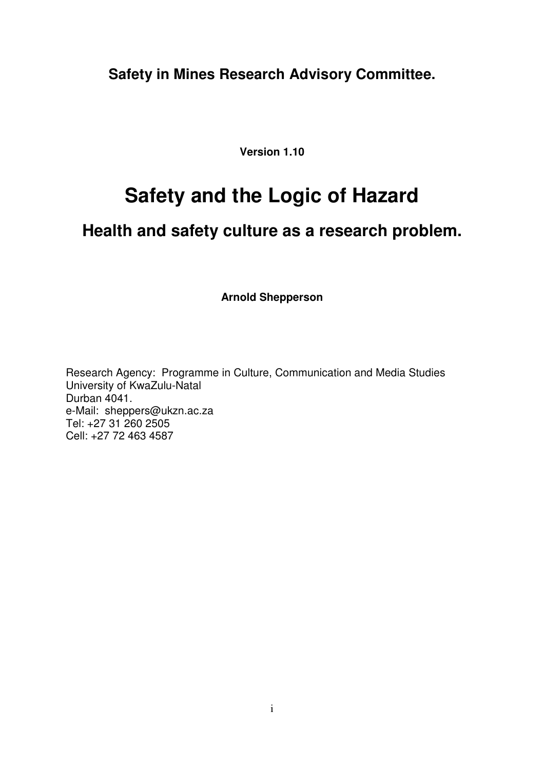**Safety in Mines Research Advisory Committee.**

**Version 1.10**

# **Safety and the Logic of Hazard**

### **Health and safety culture as a research problem.**

**Arnold Shepperson**

Research Agency: Programme in Culture, Communication and Media Studies University of KwaZulu-Natal Durban 4041. e-Mail: sheppers@ukzn.ac.za Tel: +27 31 260 2505 Cell: +27 72 463 4587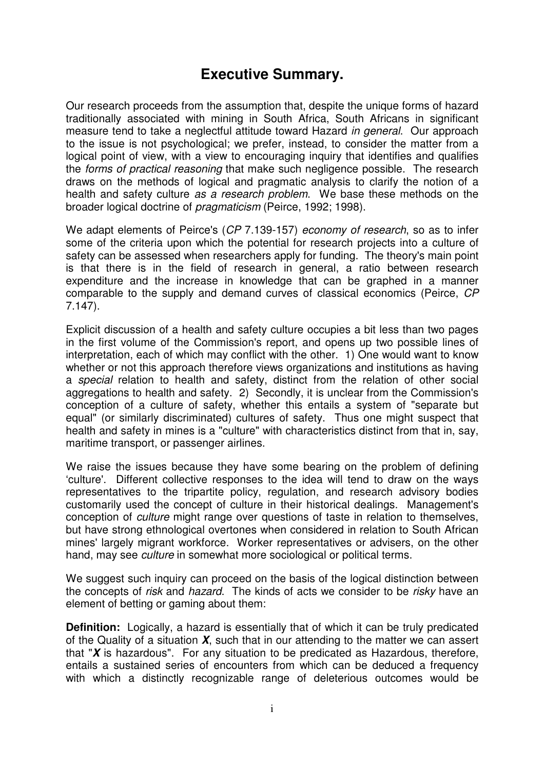### **Executive Summary.**

Our research proceeds from the assumption that, despite the unique forms of hazard traditionally associated with mining in South Africa, South Africans in significant measure tend to take a neglectful attitude toward Hazard *in general*. Our approach to the issue is not psychological; we prefer, instead, to consider the matter from a logical point of view, with a view to encouraging inquiry that identifies and qualifies the *forms of practical reasoning* that make such negligence possible. The research draws on the methods of logical and pragmatic analysis to clarify the notion of a health and safety culture *as a research problem*. We base these methods on the broader logical doctrine of *pragmaticism* (Peirce, 1992; 1998).

We adapt elements of Peirce's (*CP* 7.139-157) *economy of research*, so as to infer some of the criteria upon which the potential for research projects into a culture of safety can be assessed when researchers apply for funding. The theory's main point is that there is in the field of research in general, a ratio between research expenditure and the increase in knowledge that can be graphed in a manner comparable to the supply and demand curves of classical economics (Peirce, *CP* 7.147).

Explicit discussion of a health and safety culture occupies a bit less than two pages in the first volume of the Commission's report, and opens up two possible lines of interpretation, each of which may conflict with the other. 1) One would want to know whether or not this approach therefore views organizations and institutions as having a *special* relation to health and safety, distinct from the relation of other social aggregations to health and safety. 2) Secondly, it is unclear from the Commission's conception of a culture of safety, whether this entails a system of "separate but equal" (or similarly discriminated) cultures of safety. Thus one might suspect that health and safety in mines is a "culture" with characteristics distinct from that in, say, maritime transport, or passenger airlines.

We raise the issues because they have some bearing on the problem of defining 'culture'. Different collective responses to the idea will tend to draw on the ways representatives to the tripartite policy, regulation, and research advisory bodies customarily used the concept of culture in their historical dealings. Management's conception of *culture* might range over questions of taste in relation to themselves, but have strong ethnological overtones when considered in relation to South African mines' largely migrant workforce. Worker representatives or advisers, on the other hand, may see *culture* in somewhat more sociological or political terms.

We suggest such inquiry can proceed on the basis of the logical distinction between the concepts of *risk* and *hazard*. The kinds of acts we consider to be *risky* have an element of betting or gaming about them:

**Definition:** Logically, a hazard is essentially that of which it can be truly predicated of the Quality of a situation *X*, such that in our attending to the matter we can assert that "*X* is hazardous". For any situation to be predicated as Hazardous, therefore, entails a sustained series of encounters from which can be deduced a frequency with which a distinctly recognizable range of deleterious outcomes would be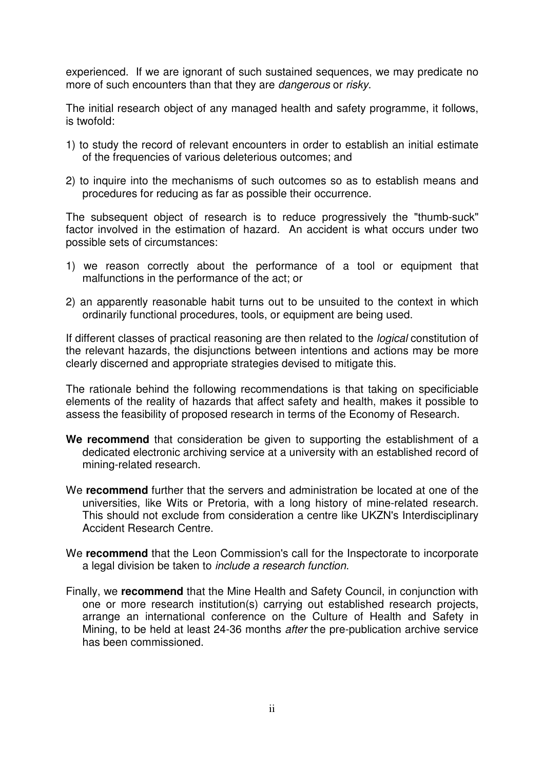experienced. If we are ignorant of such sustained sequences, we may predicate no more of such encounters than that they are *dangerous* or *risky*.

The initial research object of any managed health and safety programme, it follows, is twofold:

- 1) to study the record of relevant encounters in order to establish an initial estimate of the frequencies of various deleterious outcomes; and
- 2) to inquire into the mechanisms of such outcomes so as to establish means and procedures for reducing as far as possible their occurrence.

The subsequent object of research is to reduce progressively the "thumb-suck" factor involved in the estimation of hazard. An accident is what occurs under two possible sets of circumstances:

- 1) we reason correctly about the performance of a tool or equipment that malfunctions in the performance of the act; or
- 2) an apparently reasonable habit turns out to be unsuited to the context in which ordinarily functional procedures, tools, or equipment are being used.

If different classes of practical reasoning are then related to the *logical* constitution of the relevant hazards, the disjunctions between intentions and actions may be more clearly discerned and appropriate strategies devised to mitigate this.

The rationale behind the following recommendations is that taking on specificiable elements of the reality of hazards that affect safety and health, makes it possible to assess the feasibility of proposed research in terms of the Economy of Research.

- **We recommend** that consideration be given to supporting the establishment of a dedicated electronic archiving service at a university with an established record of mining-related research.
- We **recommend** further that the servers and administration be located at one of the universities, like Wits or Pretoria, with a long history of mine-related research. This should not exclude from consideration a centre like UKZN's Interdisciplinary Accident Research Centre.
- We **recommend** that the Leon Commission's call for the Inspectorate to incorporate a legal division be taken to *include a research function*.
- Finally, we **recommend** that the Mine Health and Safety Council, in conjunction with one or more research institution(s) carrying out established research projects, arrange an international conference on the Culture of Health and Safety in Mining, to be held at least 24-36 months *after* the pre-publication archive service has been commissioned.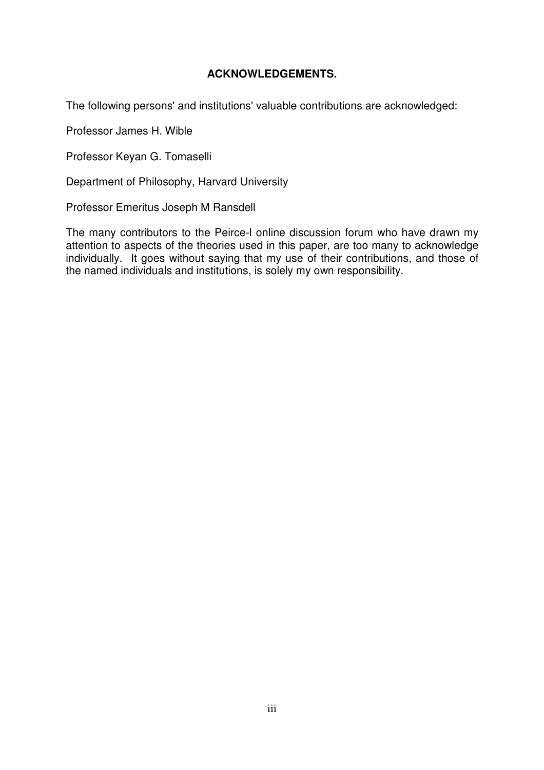#### **ACKNOWLEDGEMENTS.**

The following persons' and institutions' valuable contributions are acknowledged:

Professor James H. Wible

Professor Keyan G. Tomaselli

Department of Philosophy, Harvard University

Professor Emeritus Joseph M Ransdell

The many contributors to the Peirce-l online discussion forum who have drawn my attention to aspects of the theories used in this paper, are too many to acknowledge individually. It goes without saying that my use of their contributions, and those of the named individuals and institutions, is solely my own responsibility.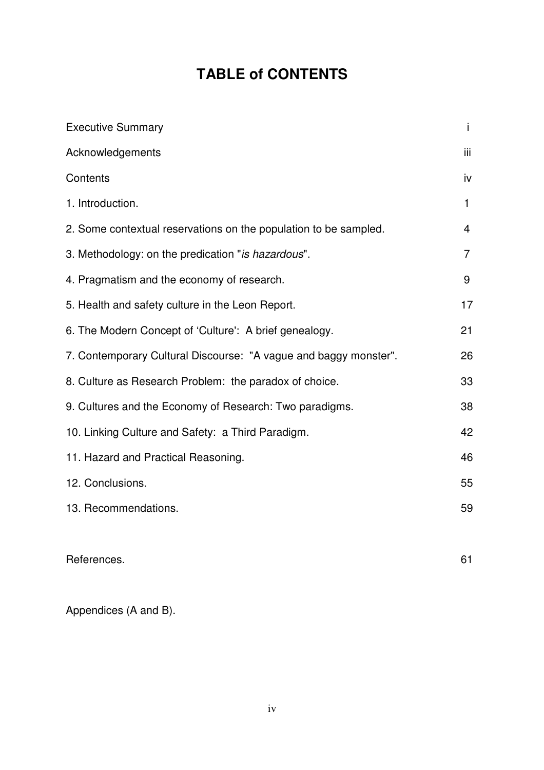## **TABLE of CONTENTS**

| <b>Executive Summary</b>                                         | Ť              |
|------------------------------------------------------------------|----------------|
| Acknowledgements                                                 | iii.           |
| Contents                                                         | iv             |
| 1. Introduction.                                                 | 1              |
| 2. Some contextual reservations on the population to be sampled. | $\overline{4}$ |
| 3. Methodology: on the predication "is hazardous".               | $\overline{7}$ |
| 4. Pragmatism and the economy of research.                       | 9              |
| 5. Health and safety culture in the Leon Report.                 | 17             |
| 6. The Modern Concept of 'Culture': A brief genealogy.           | 21             |
| 7. Contemporary Cultural Discourse: "A vague and baggy monster". | 26             |
| 8. Culture as Research Problem: the paradox of choice.           | 33             |
| 9. Cultures and the Economy of Research: Two paradigms.          | 38             |
| 10. Linking Culture and Safety: a Third Paradigm.                | 42             |
| 11. Hazard and Practical Reasoning.                              | 46             |
| 12. Conclusions.                                                 | 55             |
| 13. Recommendations.                                             | 59             |
|                                                                  |                |
| References.                                                      | 61             |
|                                                                  |                |

Appendices (A and B).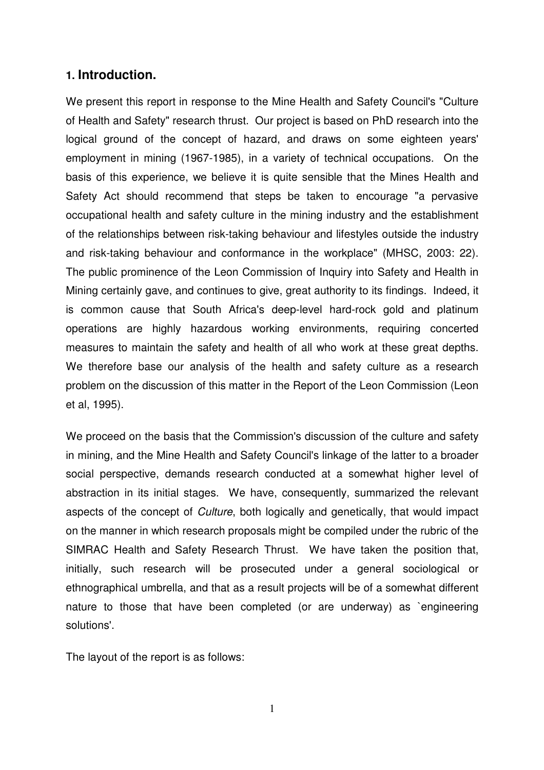#### **1. Introduction.**

We present this report in response to the Mine Health and Safety Council's "Culture of Health and Safety" research thrust. Our project is based on PhD research into the logical ground of the concept of hazard, and draws on some eighteen years' employment in mining (1967-1985), in a variety of technical occupations. On the basis of this experience, we believe it is quite sensible that the Mines Health and Safety Act should recommend that steps be taken to encourage "a pervasive occupational health and safety culture in the mining industry and the establishment of the relationships between risk-taking behaviour and lifestyles outside the industry and risk-taking behaviour and conformance in the workplace" (MHSC, 2003: 22). The public prominence of the Leon Commission of Inquiry into Safety and Health in Mining certainly gave, and continues to give, great authority to its findings. Indeed, it is common cause that South Africa's deep-level hard-rock gold and platinum operations are highly hazardous working environments, requiring concerted measures to maintain the safety and health of all who work at these great depths. We therefore base our analysis of the health and safety culture as a research problem on the discussion of this matter in the Report of the Leon Commission (Leon et al, 1995).

We proceed on the basis that the Commission's discussion of the culture and safety in mining, and the Mine Health and Safety Council's linkage of the latter to a broader social perspective, demands research conducted at a somewhat higher level of abstraction in its initial stages. We have, consequently, summarized the relevant aspects of the concept of *Culture*, both logically and genetically, that would impact on the manner in which research proposals might be compiled under the rubric of the SIMRAC Health and Safety Research Thrust. We have taken the position that, initially, such research will be prosecuted under a general sociological or ethnographical umbrella, and that as a result projects will be of a somewhat different nature to those that have been completed (or are underway) as `engineering solutions'.

The layout of the report is as follows:

1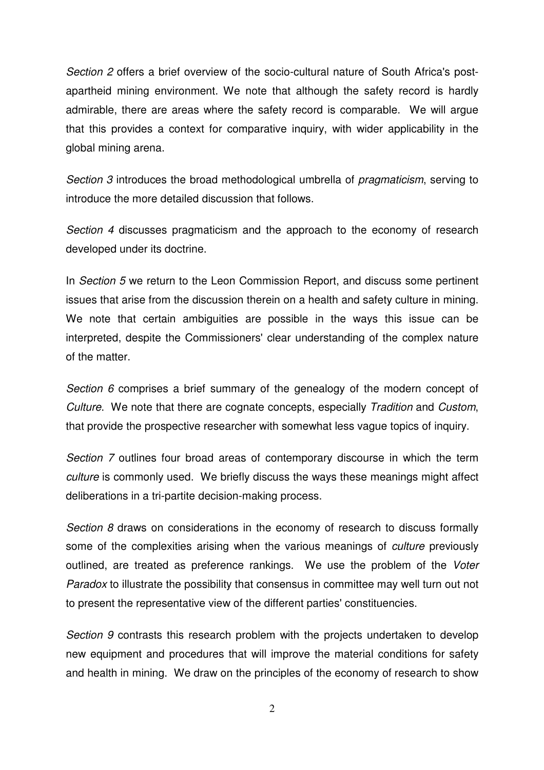*Section 2* offers a brief overview of the socio-cultural nature of South Africa's postapartheid mining environment. We note that although the safety record is hardly admirable, there are areas where the safety record is comparable. We will argue that this provides a context for comparative inquiry, with wider applicability in the global mining arena.

*Section 3* introduces the broad methodological umbrella of *pragmaticism*, serving to introduce the more detailed discussion that follows.

*Section 4* discusses pragmaticism and the approach to the economy of research developed under its doctrine.

In *Section 5* we return to the Leon Commission Report, and discuss some pertinent issues that arise from the discussion therein on a health and safety culture in mining. We note that certain ambiguities are possible in the ways this issue can be interpreted, despite the Commissioners' clear understanding of the complex nature of the matter.

*Section 6* comprises a brief summary of the genealogy of the modern concept of *Culture*. We note that there are cognate concepts, especially *Tradition* and *Custom*, that provide the prospective researcher with somewhat less vague topics of inquiry.

*Section 7* outlines four broad areas of contemporary discourse in which the term *culture* is commonly used. We briefly discuss the ways these meanings might affect deliberations in a tri-partite decision-making process.

*Section 8* draws on considerations in the economy of research to discuss formally some of the complexities arising when the various meanings of *culture* previously outlined, are treated as preference rankings. We use the problem of the *Voter Paradox* to illustrate the possibility that consensus in committee may well turn out not to present the representative view of the different parties' constituencies.

*Section 9* contrasts this research problem with the projects undertaken to develop new equipment and procedures that will improve the material conditions for safety and health in mining. We draw on the principles of the economy of research to show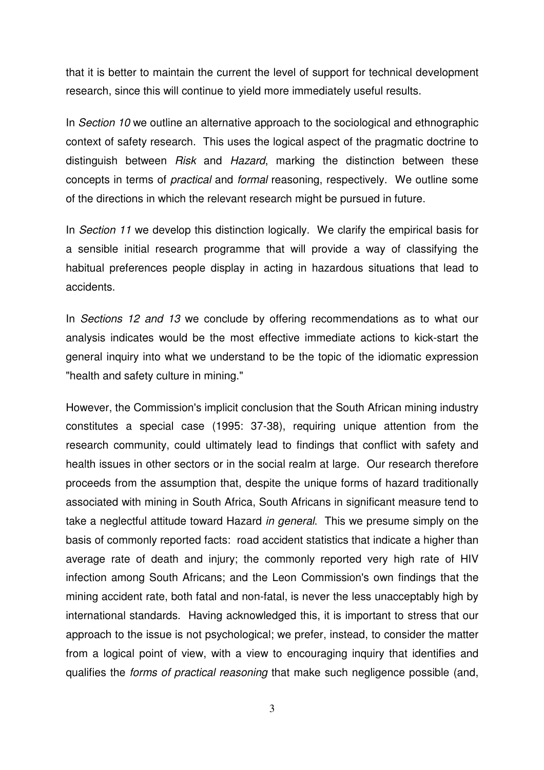that it is better to maintain the current the level of support for technical development research, since this will continue to yield more immediately useful results.

In *Section 10* we outline an alternative approach to the sociological and ethnographic context of safety research. This uses the logical aspect of the pragmatic doctrine to distinguish between *Risk* and *Hazard*, marking the distinction between these concepts in terms of *practical* and *formal* reasoning, respectively. We outline some of the directions in which the relevant research might be pursued in future.

In *Section 11* we develop this distinction logically. We clarify the empirical basis for a sensible initial research programme that will provide a way of classifying the habitual preferences people display in acting in hazardous situations that lead to accidents.

In *Sections 12 and 13* we conclude by offering recommendations as to what our analysis indicates would be the most effective immediate actions to kick-start the general inquiry into what we understand to be the topic of the idiomatic expression "health and safety culture in mining."

However, the Commission's implicit conclusion that the South African mining industry constitutes a special case (1995: 37-38), requiring unique attention from the research community, could ultimately lead to findings that conflict with safety and health issues in other sectors or in the social realm at large. Our research therefore proceeds from the assumption that, despite the unique forms of hazard traditionally associated with mining in South Africa, South Africans in significant measure tend to take a neglectful attitude toward Hazard *in general*. This we presume simply on the basis of commonly reported facts: road accident statistics that indicate a higher than average rate of death and injury; the commonly reported very high rate of HIV infection among South Africans; and the Leon Commission's own findings that the mining accident rate, both fatal and non-fatal, is never the less unacceptably high by international standards. Having acknowledged this, it is important to stress that our approach to the issue is not psychological; we prefer, instead, to consider the matter from a logical point of view, with a view to encouraging inquiry that identifies and qualifies the *forms of practical reasoning* that make such negligence possible (and,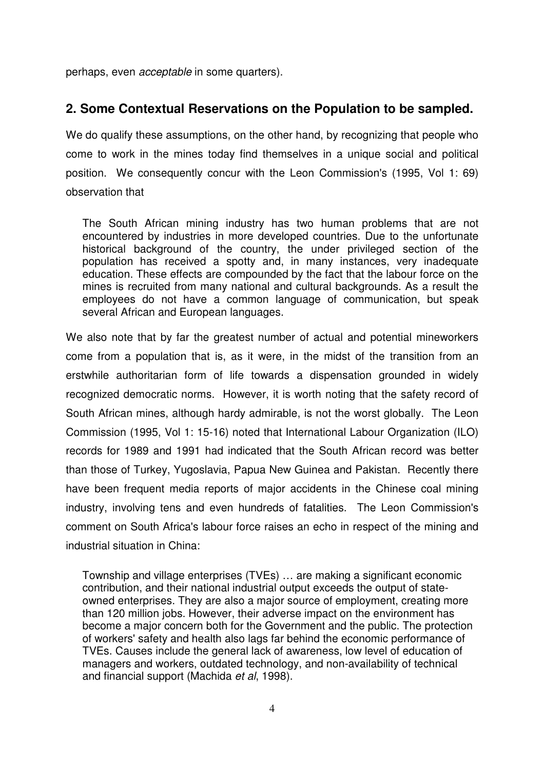perhaps, even *acceptable* in some quarters).

#### **2. Some Contextual Reservations on the Population to be sampled.**

We do qualify these assumptions, on the other hand, by recognizing that people who come to work in the mines today find themselves in a unique social and political position. We consequently concur with the Leon Commission's (1995, Vol 1: 69) observation that

The South African mining industry has two human problems that are not encountered by industries in more developed countries. Due to the unfortunate historical background of the country, the under privileged section of the population has received a spotty and, in many instances, very inadequate education. These effects are compounded by the fact that the labour force on the mines is recruited from many national and cultural backgrounds. As a result the employees do not have a common language of communication, but speak several African and European languages.

We also note that by far the greatest number of actual and potential mineworkers come from a population that is, as it were, in the midst of the transition from an erstwhile authoritarian form of life towards a dispensation grounded in widely recognized democratic norms. However, it is worth noting that the safety record of South African mines, although hardy admirable, is not the worst globally. The Leon Commission (1995, Vol 1: 15-16) noted that International Labour Organization (ILO) records for 1989 and 1991 had indicated that the South African record was better than those of Turkey, Yugoslavia, Papua New Guinea and Pakistan. Recently there have been frequent media reports of major accidents in the Chinese coal mining industry, involving tens and even hundreds of fatalities. The Leon Commission's comment on South Africa's labour force raises an echo in respect of the mining and industrial situation in China:

Township and village enterprises (TVEs) … are making a significant economic contribution, and their national industrial output exceeds the output of stateowned enterprises. They are also a major source of employment, creating more than 120 million jobs. However, their adverse impact on the environment has become a major concern both for the Government and the public. The protection of workers' safety and health also lags far behind the economic performance of TVEs. Causes include the general lack of awareness, low level of education of managers and workers, outdated technology, and non-availability of technical and financial support (Machida *et al*, 1998).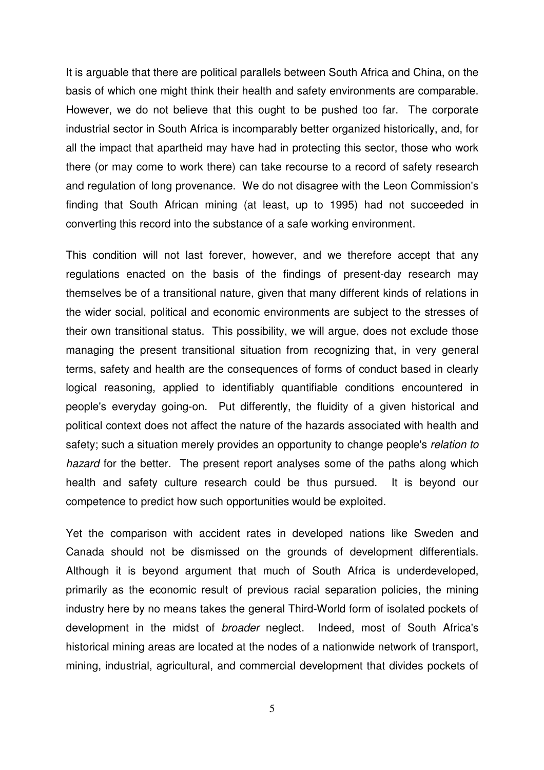It is arguable that there are political parallels between South Africa and China, on the basis of which one might think their health and safety environments are comparable. However, we do not believe that this ought to be pushed too far. The corporate industrial sector in South Africa is incomparably better organized historically, and, for all the impact that apartheid may have had in protecting this sector, those who work there (or may come to work there) can take recourse to a record of safety research and regulation of long provenance. We do not disagree with the Leon Commission's finding that South African mining (at least, up to 1995) had not succeeded in converting this record into the substance of a safe working environment.

This condition will not last forever, however, and we therefore accept that any regulations enacted on the basis of the findings of present-day research may themselves be of a transitional nature, given that many different kinds of relations in the wider social, political and economic environments are subject to the stresses of their own transitional status. This possibility, we will argue, does not exclude those managing the present transitional situation from recognizing that, in very general terms, safety and health are the consequences of forms of conduct based in clearly logical reasoning, applied to identifiably quantifiable conditions encountered in people's everyday going-on. Put differently, the fluidity of a given historical and political context does not affect the nature of the hazards associated with health and safety; such a situation merely provides an opportunity to change people's *relation to hazard* for the better. The present report analyses some of the paths along which health and safety culture research could be thus pursued. It is beyond our competence to predict how such opportunities would be exploited.

Yet the comparison with accident rates in developed nations like Sweden and Canada should not be dismissed on the grounds of development differentials. Although it is beyond argument that much of South Africa is underdeveloped, primarily as the economic result of previous racial separation policies, the mining industry here by no means takes the general Third-World form of isolated pockets of development in the midst of *broader* neglect. Indeed, most of South Africa's historical mining areas are located at the nodes of a nationwide network of transport, mining, industrial, agricultural, and commercial development that divides pockets of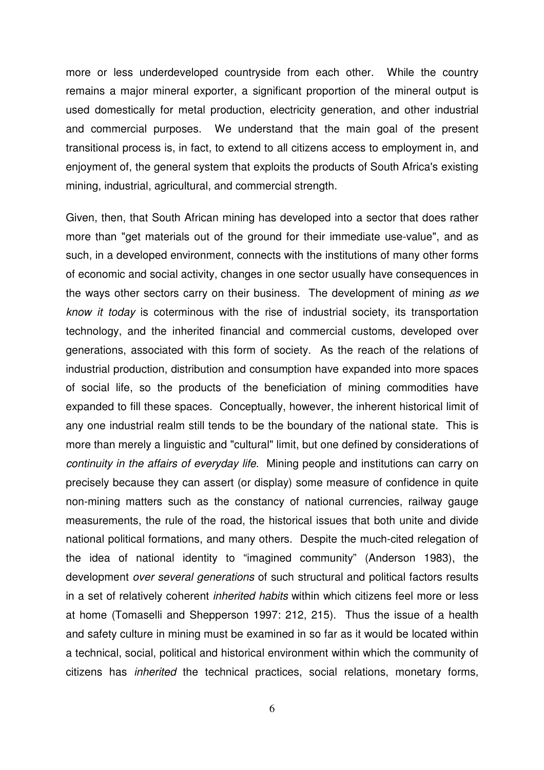more or less underdeveloped countryside from each other. While the country remains a major mineral exporter, a significant proportion of the mineral output is used domestically for metal production, electricity generation, and other industrial and commercial purposes. We understand that the main goal of the present transitional process is, in fact, to extend to all citizens access to employment in, and enjoyment of, the general system that exploits the products of South Africa's existing mining, industrial, agricultural, and commercial strength.

Given, then, that South African mining has developed into a sector that does rather more than "get materials out of the ground for their immediate use-value", and as such, in a developed environment, connects with the institutions of many other forms of economic and social activity, changes in one sector usually have consequences in the ways other sectors carry on their business. The development of mining *as we know it today* is coterminous with the rise of industrial society, its transportation technology, and the inherited financial and commercial customs, developed over generations, associated with this form of society. As the reach of the relations of industrial production, distribution and consumption have expanded into more spaces of social life, so the products of the beneficiation of mining commodities have expanded to fill these spaces. Conceptually, however, the inherent historical limit of any one industrial realm still tends to be the boundary of the national state. This is more than merely a linguistic and "cultural" limit, but one defined by considerations of *continuity in the affairs of everyday life*. Mining people and institutions can carry on precisely because they can assert (or display) some measure of confidence in quite non-mining matters such as the constancy of national currencies, railway gauge measurements, the rule of the road, the historical issues that both unite and divide national political formations, and many others. Despite the much-cited relegation of the idea of national identity to "imagined community" (Anderson 1983), the development *over several generations* of such structural and political factors results in a set of relatively coherent *inherited habits* within which citizens feel more or less at home (Tomaselli and Shepperson 1997: 212, 215). Thus the issue of a health and safety culture in mining must be examined in so far as it would be located within a technical, social, political and historical environment within which the community of citizens has *inherited* the technical practices, social relations, monetary forms,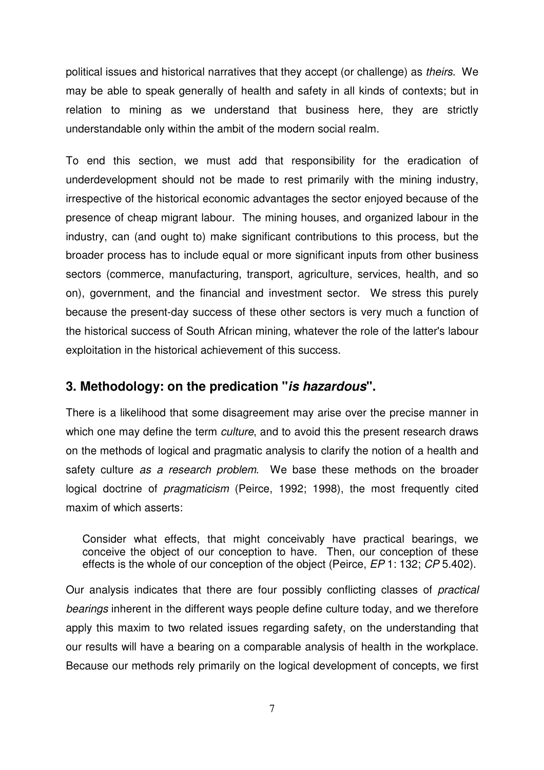political issues and historical narratives that they accept (or challenge) as *theirs*. We may be able to speak generally of health and safety in all kinds of contexts; but in relation to mining as we understand that business here, they are strictly understandable only within the ambit of the modern social realm.

To end this section, we must add that responsibility for the eradication of underdevelopment should not be made to rest primarily with the mining industry, irrespective of the historical economic advantages the sector enjoyed because of the presence of cheap migrant labour. The mining houses, and organized labour in the industry, can (and ought to) make significant contributions to this process, but the broader process has to include equal or more significant inputs from other business sectors (commerce, manufacturing, transport, agriculture, services, health, and so on), government, and the financial and investment sector. We stress this purely because the present-day success of these other sectors is very much a function of the historical success of South African mining, whatever the role of the latter's labour exploitation in the historical achievement of this success.

#### **3. Methodology: on the predication "***is hazardous***".**

There is a likelihood that some disagreement may arise over the precise manner in which one may define the term *culture*, and to avoid this the present research draws on the methods of logical and pragmatic analysis to clarify the notion of a health and safety culture *as a research problem*. We base these methods on the broader logical doctrine of *pragmaticism* (Peirce, 1992; 1998), the most frequently cited maxim of which asserts:

Consider what effects, that might conceivably have practical bearings, we conceive the object of our conception to have. Then, our conception of these effects is the whole of our conception of the object (Peirce, *EP* 1: 132; *CP* 5.402).

Our analysis indicates that there are four possibly conflicting classes of *practical bearings* inherent in the different ways people define culture today, and we therefore apply this maxim to two related issues regarding safety, on the understanding that our results will have a bearing on a comparable analysis of health in the workplace. Because our methods rely primarily on the logical development of concepts, we first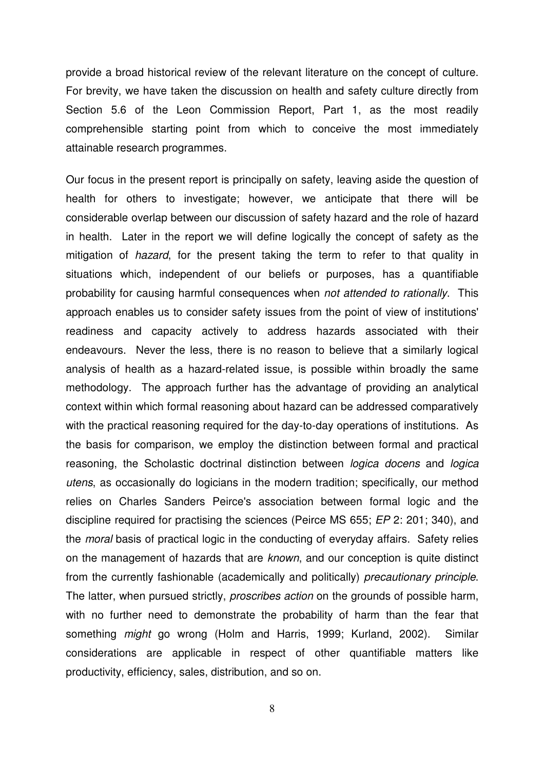provide a broad historical review of the relevant literature on the concept of culture. For brevity, we have taken the discussion on health and safety culture directly from Section 5.6 of the Leon Commission Report, Part 1, as the most readily comprehensible starting point from which to conceive the most immediately attainable research programmes.

Our focus in the present report is principally on safety, leaving aside the question of health for others to investigate; however, we anticipate that there will be considerable overlap between our discussion of safety hazard and the role of hazard in health. Later in the report we will define logically the concept of safety as the mitigation of *hazard*, for the present taking the term to refer to that quality in situations which, independent of our beliefs or purposes, has a quantifiable probability for causing harmful consequences when *not attended to rationally*. This approach enables us to consider safety issues from the point of view of institutions' readiness and capacity actively to address hazards associated with their endeavours. Never the less, there is no reason to believe that a similarly logical analysis of health as a hazard-related issue, is possible within broadly the same methodology. The approach further has the advantage of providing an analytical context within which formal reasoning about hazard can be addressed comparatively with the practical reasoning required for the day-to-day operations of institutions. As the basis for comparison, we employ the distinction between formal and practical reasoning, the Scholastic doctrinal distinction between *logica docens* and *logica utens*, as occasionally do logicians in the modern tradition; specifically, our method relies on Charles Sanders Peirce's association between formal logic and the discipline required for practising the sciences (Peirce MS 655; *EP* 2: 201; 340), and the *moral* basis of practical logic in the conducting of everyday affairs. Safety relies on the management of hazards that are *known*, and our conception is quite distinct from the currently fashionable (academically and politically) *precautionary principle*. The latter, when pursued strictly, *proscribes action* on the grounds of possible harm, with no further need to demonstrate the probability of harm than the fear that something *might* go wrong (Holm and Harris, 1999; Kurland, 2002). Similar considerations are applicable in respect of other quantifiable matters like productivity, efficiency, sales, distribution, and so on.

8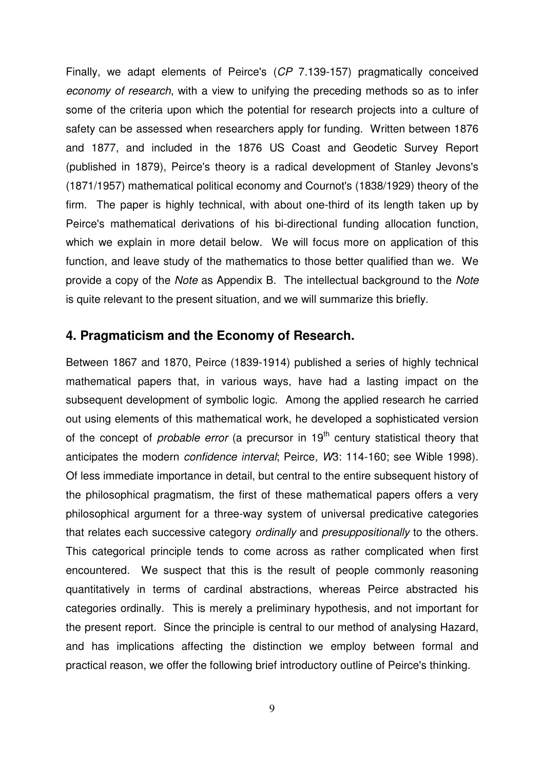Finally, we adapt elements of Peirce's (*CP* 7.139-157) pragmatically conceived *economy of research*, with a view to unifying the preceding methods so as to infer some of the criteria upon which the potential for research projects into a culture of safety can be assessed when researchers apply for funding. Written between 1876 and 1877, and included in the 1876 US Coast and Geodetic Survey Report (published in 1879), Peirce's theory is a radical development of Stanley Jevons's (1871/1957) mathematical political economy and Cournot's (1838/1929) theory of the firm. The paper is highly technical, with about one-third of its length taken up by Peirce's mathematical derivations of his bi-directional funding allocation function, which we explain in more detail below. We will focus more on application of this function, and leave study of the mathematics to those better qualified than we. We provide a copy of the *Note* as Appendix B. The intellectual background to the *Note* is quite relevant to the present situation, and we will summarize this briefly.

#### **4. Pragmaticism and the Economy of Research.**

Between 1867 and 1870, Peirce (1839-1914) published a series of highly technical mathematical papers that, in various ways, have had a lasting impact on the subsequent development of symbolic logic. Among the applied research he carried out using elements of this mathematical work, he developed a sophisticated version of the concept of *probable error* (a precursor in 19<sup>th</sup> century statistical theory that anticipates the modern *confidence interval*; Peirce, *W*3: 114-160; see Wible 1998). Of less immediate importance in detail, but central to the entire subsequent history of the philosophical pragmatism, the first of these mathematical papers offers a very philosophical argument for a three-way system of universal predicative categories that relates each successive category *ordinally* and *presuppositionally* to the others. This categorical principle tends to come across as rather complicated when first encountered. We suspect that this is the result of people commonly reasoning quantitatively in terms of cardinal abstractions, whereas Peirce abstracted his categories ordinally. This is merely a preliminary hypothesis, and not important for the present report. Since the principle is central to our method of analysing Hazard, and has implications affecting the distinction we employ between formal and practical reason, we offer the following brief introductory outline of Peirce's thinking.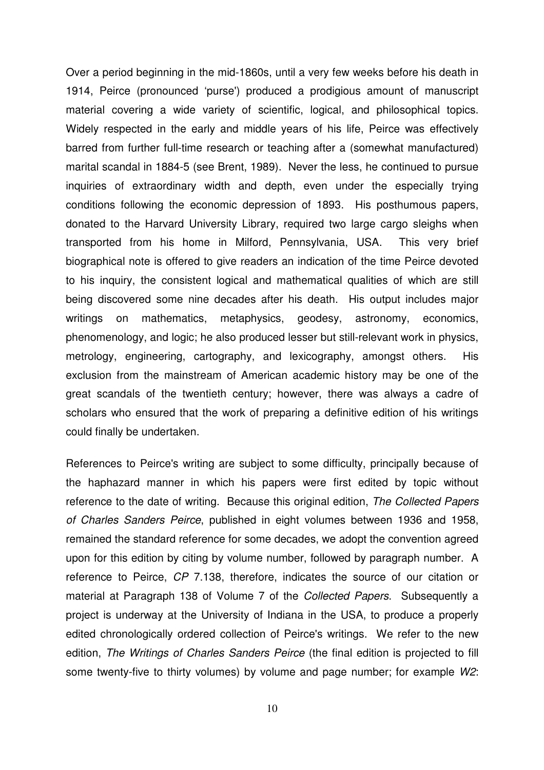Over a period beginning in the mid-1860s, until a very few weeks before his death in 1914, Peirce (pronounced 'purse') produced a prodigious amount of manuscript material covering a wide variety of scientific, logical, and philosophical topics. Widely respected in the early and middle years of his life, Peirce was effectively barred from further full-time research or teaching after a (somewhat manufactured) marital scandal in 1884-5 (see Brent, 1989). Never the less, he continued to pursue inquiries of extraordinary width and depth, even under the especially trying conditions following the economic depression of 1893. His posthumous papers, donated to the Harvard University Library, required two large cargo sleighs when transported from his home in Milford, Pennsylvania, USA. This very brief biographical note is offered to give readers an indication of the time Peirce devoted to his inquiry, the consistent logical and mathematical qualities of which are still being discovered some nine decades after his death. His output includes major writings on mathematics, metaphysics, geodesy, astronomy, economics, phenomenology, and logic; he also produced lesser but still-relevant work in physics, metrology, engineering, cartography, and lexicography, amongst others. His exclusion from the mainstream of American academic history may be one of the great scandals of the twentieth century; however, there was always a cadre of scholars who ensured that the work of preparing a definitive edition of his writings could finally be undertaken.

References to Peirce's writing are subject to some difficulty, principally because of the haphazard manner in which his papers were first edited by topic without reference to the date of writing. Because this original edition, *The Collected Papers of Charles Sanders Peirce*, published in eight volumes between 1936 and 1958, remained the standard reference for some decades, we adopt the convention agreed upon for this edition by citing by volume number, followed by paragraph number. A reference to Peirce, *CP* 7.138, therefore, indicates the source of our citation or material at Paragraph 138 of Volume 7 of the *Collected Papers*. Subsequently a project is underway at the University of Indiana in the USA, to produce a properly edited chronologically ordered collection of Peirce's writings. We refer to the new edition, *The Writings of Charles Sanders Peirce* (the final edition is projected to fill some twenty-five to thirty volumes) by volume and page number; for example *W2*: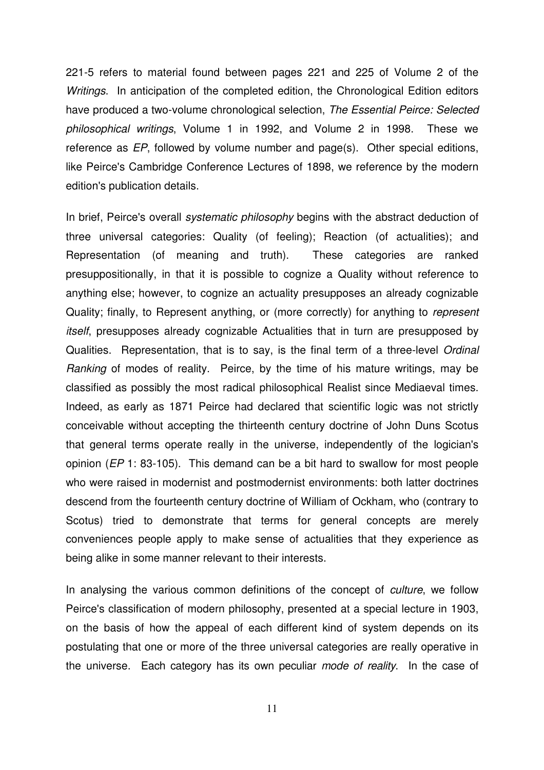221-5 refers to material found between pages 221 and 225 of Volume 2 of the *Writings*. In anticipation of the completed edition, the Chronological Edition editors have produced a two-volume chronological selection, *The Essential Peirce: Selected philosophical writings*, Volume 1 in 1992, and Volume 2 in 1998. These we reference as *EP*, followed by volume number and page(s). Other special editions, like Peirce's Cambridge Conference Lectures of 1898, we reference by the modern edition's publication details.

In brief, Peirce's overall *systematic philosophy* begins with the abstract deduction of three universal categories: Quality (of feeling); Reaction (of actualities); and Representation (of meaning and truth). These categories are ranked presuppositionally, in that it is possible to cognize a Quality without reference to anything else; however, to cognize an actuality presupposes an already cognizable Quality; finally, to Represent anything, or (more correctly) for anything to *represent itself*, presupposes already cognizable Actualities that in turn are presupposed by Qualities. Representation, that is to say, is the final term of a three-level *Ordinal Ranking* of modes of reality. Peirce, by the time of his mature writings, may be classified as possibly the most radical philosophical Realist since Mediaeval times. Indeed, as early as 1871 Peirce had declared that scientific logic was not strictly conceivable without accepting the thirteenth century doctrine of John Duns Scotus that general terms operate really in the universe, independently of the logician's opinion (*EP* 1: 83-105). This demand can be a bit hard to swallow for most people who were raised in modernist and postmodernist environments: both latter doctrines descend from the fourteenth century doctrine of William of Ockham, who (contrary to Scotus) tried to demonstrate that terms for general concepts are merely conveniences people apply to make sense of actualities that they experience as being alike in some manner relevant to their interests.

In analysing the various common definitions of the concept of *culture*, we follow Peirce's classification of modern philosophy, presented at a special lecture in 1903, on the basis of how the appeal of each different kind of system depends on its postulating that one or more of the three universal categories are really operative in the universe. Each category has its own peculiar *mode of reality*. In the case of

11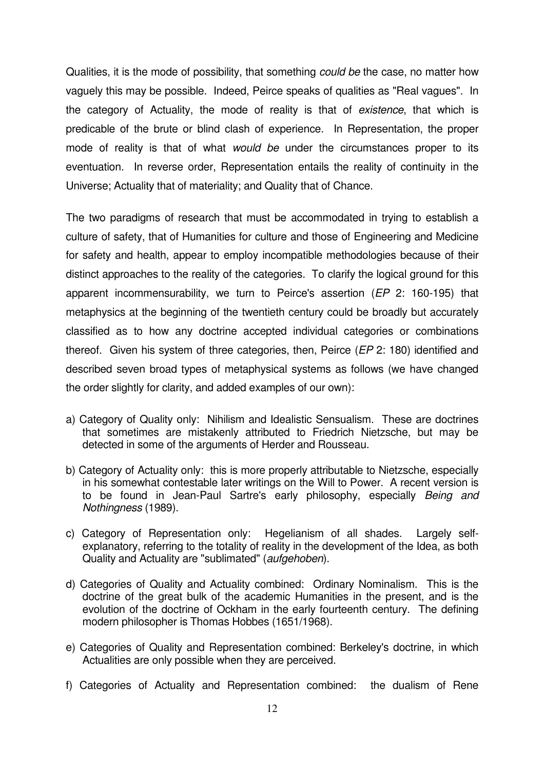Qualities, it is the mode of possibility, that something *could be* the case, no matter how vaguely this may be possible. Indeed, Peirce speaks of qualities as "Real vagues". In the category of Actuality, the mode of reality is that of *existence*, that which is predicable of the brute or blind clash of experience. In Representation, the proper mode of reality is that of what *would be* under the circumstances proper to its eventuation. In reverse order, Representation entails the reality of continuity in the Universe; Actuality that of materiality; and Quality that of Chance.

The two paradigms of research that must be accommodated in trying to establish a culture of safety, that of Humanities for culture and those of Engineering and Medicine for safety and health, appear to employ incompatible methodologies because of their distinct approaches to the reality of the categories. To clarify the logical ground for this apparent incommensurability, we turn to Peirce's assertion (*EP* 2: 160-195) that metaphysics at the beginning of the twentieth century could be broadly but accurately classified as to how any doctrine accepted individual categories or combinations thereof. Given his system of three categories, then, Peirce (*EP* 2: 180) identified and described seven broad types of metaphysical systems as follows (we have changed the order slightly for clarity, and added examples of our own):

- a) Category of Quality only: Nihilism and Idealistic Sensualism. These are doctrines that sometimes are mistakenly attributed to Friedrich Nietzsche, but may be detected in some of the arguments of Herder and Rousseau.
- b) Category of Actuality only: this is more properly attributable to Nietzsche, especially in his somewhat contestable later writings on the Will to Power. A recent version is to be found in Jean-Paul Sartre's early philosophy, especially *Being and Nothingness* (1989).
- c) Category of Representation only: Hegelianism of all shades. Largely selfexplanatory, referring to the totality of reality in the development of the Idea, as both Quality and Actuality are "sublimated" (*aufgehoben*).
- d) Categories of Quality and Actuality combined: Ordinary Nominalism. This is the doctrine of the great bulk of the academic Humanities in the present, and is the evolution of the doctrine of Ockham in the early fourteenth century. The defining modern philosopher is Thomas Hobbes (1651/1968).
- e) Categories of Quality and Representation combined: Berkeley's doctrine, in which Actualities are only possible when they are perceived.
- f) Categories of Actuality and Representation combined: the dualism of Rene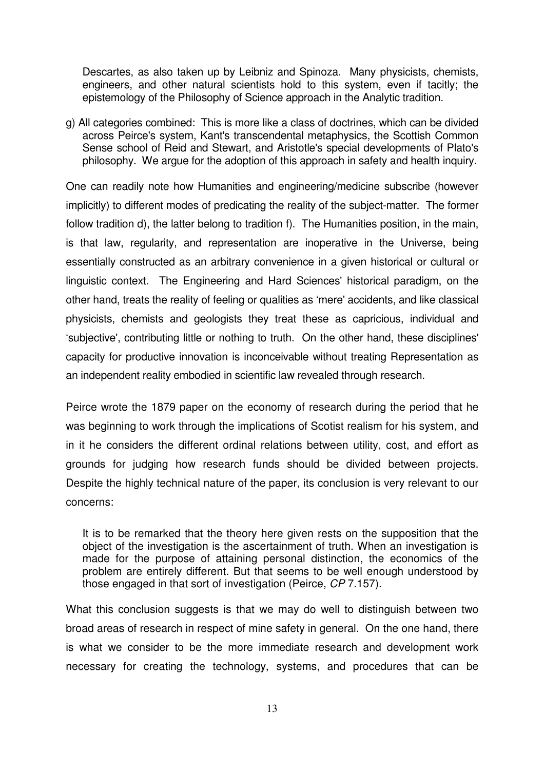Descartes, as also taken up by Leibniz and Spinoza. Many physicists, chemists, engineers, and other natural scientists hold to this system, even if tacitly; the epistemology of the Philosophy of Science approach in the Analytic tradition.

g) All categories combined: This is more like a class of doctrines, which can be divided across Peirce's system, Kant's transcendental metaphysics, the Scottish Common Sense school of Reid and Stewart, and Aristotle's special developments of Plato's philosophy. We argue for the adoption of this approach in safety and health inquiry.

One can readily note how Humanities and engineering/medicine subscribe (however implicitly) to different modes of predicating the reality of the subject-matter. The former follow tradition d), the latter belong to tradition f). The Humanities position, in the main, is that law, regularity, and representation are inoperative in the Universe, being essentially constructed as an arbitrary convenience in a given historical or cultural or linguistic context. The Engineering and Hard Sciences' historical paradigm, on the other hand, treats the reality of feeling or qualities as 'mere' accidents, and like classical physicists, chemists and geologists they treat these as capricious, individual and 'subjective', contributing little or nothing to truth. On the other hand, these disciplines' capacity for productive innovation is inconceivable without treating Representation as an independent reality embodied in scientific law revealed through research.

Peirce wrote the 1879 paper on the economy of research during the period that he was beginning to work through the implications of Scotist realism for his system, and in it he considers the different ordinal relations between utility, cost, and effort as grounds for judging how research funds should be divided between projects. Despite the highly technical nature of the paper, its conclusion is very relevant to our concerns:

It is to be remarked that the theory here given rests on the supposition that the object of the investigation is the ascertainment of truth. When an investigation is made for the purpose of attaining personal distinction, the economics of the problem are entirely different. But that seems to be well enough understood by those engaged in that sort of investigation (Peirce, *CP* 7.157).

What this conclusion suggests is that we may do well to distinguish between two broad areas of research in respect of mine safety in general. On the one hand, there is what we consider to be the more immediate research and development work necessary for creating the technology, systems, and procedures that can be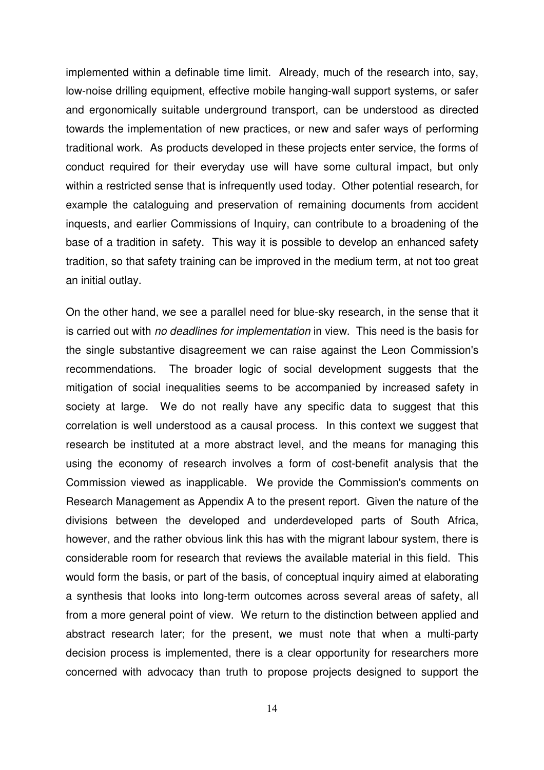implemented within a definable time limit. Already, much of the research into, say, low-noise drilling equipment, effective mobile hanging-wall support systems, or safer and ergonomically suitable underground transport, can be understood as directed towards the implementation of new practices, or new and safer ways of performing traditional work. As products developed in these projects enter service, the forms of conduct required for their everyday use will have some cultural impact, but only within a restricted sense that is infrequently used today. Other potential research, for example the cataloguing and preservation of remaining documents from accident inquests, and earlier Commissions of Inquiry, can contribute to a broadening of the base of a tradition in safety. This way it is possible to develop an enhanced safety tradition, so that safety training can be improved in the medium term, at not too great an initial outlay.

On the other hand, we see a parallel need for blue-sky research, in the sense that it is carried out with *no deadlines for implementation* in view. This need is the basis for the single substantive disagreement we can raise against the Leon Commission's recommendations. The broader logic of social development suggests that the mitigation of social inequalities seems to be accompanied by increased safety in society at large. We do not really have any specific data to suggest that this correlation is well understood as a causal process. In this context we suggest that research be instituted at a more abstract level, and the means for managing this using the economy of research involves a form of cost-benefit analysis that the Commission viewed as inapplicable. We provide the Commission's comments on Research Management as Appendix A to the present report. Given the nature of the divisions between the developed and underdeveloped parts of South Africa, however, and the rather obvious link this has with the migrant labour system, there is considerable room for research that reviews the available material in this field. This would form the basis, or part of the basis, of conceptual inquiry aimed at elaborating a synthesis that looks into long-term outcomes across several areas of safety, all from a more general point of view. We return to the distinction between applied and abstract research later; for the present, we must note that when a multi-party decision process is implemented, there is a clear opportunity for researchers more concerned with advocacy than truth to propose projects designed to support the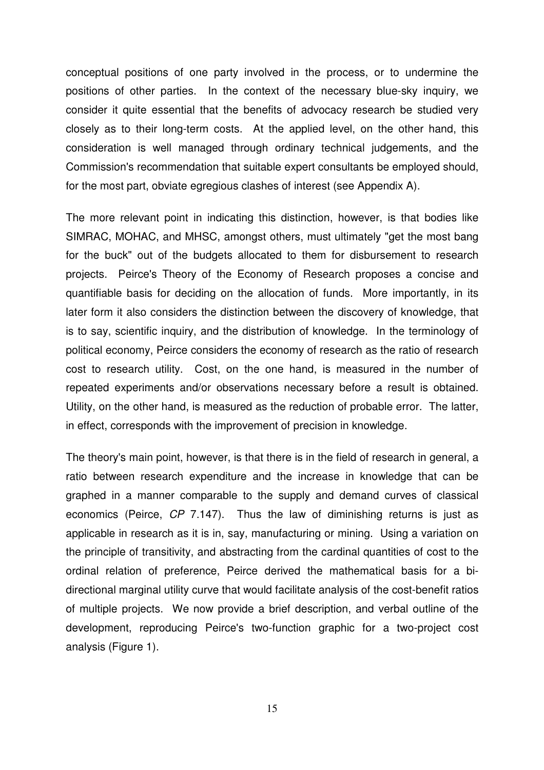conceptual positions of one party involved in the process, or to undermine the positions of other parties. In the context of the necessary blue-sky inquiry, we consider it quite essential that the benefits of advocacy research be studied very closely as to their long-term costs. At the applied level, on the other hand, this consideration is well managed through ordinary technical judgements, and the Commission's recommendation that suitable expert consultants be employed should, for the most part, obviate egregious clashes of interest (see Appendix A).

The more relevant point in indicating this distinction, however, is that bodies like SIMRAC, MOHAC, and MHSC, amongst others, must ultimately "get the most bang for the buck" out of the budgets allocated to them for disbursement to research projects. Peirce's Theory of the Economy of Research proposes a concise and quantifiable basis for deciding on the allocation of funds. More importantly, in its later form it also considers the distinction between the discovery of knowledge, that is to say, scientific inquiry, and the distribution of knowledge. In the terminology of political economy, Peirce considers the economy of research as the ratio of research cost to research utility. Cost, on the one hand, is measured in the number of repeated experiments and/or observations necessary before a result is obtained. Utility, on the other hand, is measured as the reduction of probable error. The latter, in effect, corresponds with the improvement of precision in knowledge.

The theory's main point, however, is that there is in the field of research in general, a ratio between research expenditure and the increase in knowledge that can be graphed in a manner comparable to the supply and demand curves of classical economics (Peirce, *CP* 7.147). Thus the law of diminishing returns is just as applicable in research as it is in, say, manufacturing or mining. Using a variation on the principle of transitivity, and abstracting from the cardinal quantities of cost to the ordinal relation of preference, Peirce derived the mathematical basis for a bidirectional marginal utility curve that would facilitate analysis of the cost-benefit ratios of multiple projects. We now provide a brief description, and verbal outline of the development, reproducing Peirce's two-function graphic for a two-project cost analysis (Figure 1).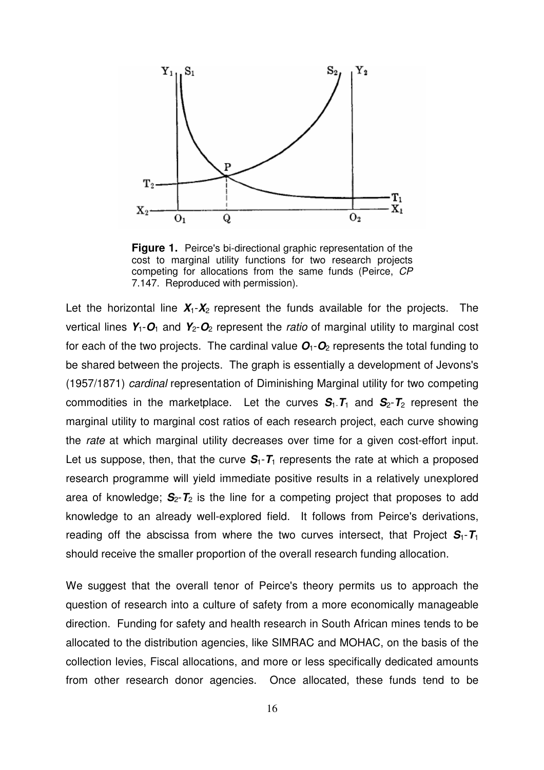

**Figure 1.** Peirce's bi-directional graphic representation of the cost to marginal utility functions for two research projects competing for allocations from the same funds (Peirce, *CP* 7.147. Reproduced with permission).

Let the horizontal line  $X_1 - X_2$  represent the funds available for the projects. The vertical lines  $Y_1$ - $O_1$  and  $Y_2$ - $O_2$  represent the *ratio* of marginal utility to marginal cost for each of the two projects. The cardinal value  $O_1$ - $O_2$  represents the total funding to be shared between the projects. The graph is essentially a development of Jevons's (1957/1871) *cardinal* representation of Diminishing Marginal utility for two competing commodities in the marketplace. Let the curves  $S_1$ - $T_1$  and  $S_2$ - $T_2$  represent the marginal utility to marginal cost ratios of each research project, each curve showing the *rate* at which marginal utility decreases over time for a given cost-effort input. Let us suppose, then, that the curve  $S_1 - T_1$  represents the rate at which a proposed research programme will yield immediate positive results in a relatively unexplored area of knowledge;  $S_2$ - $T_2$  is the line for a competing project that proposes to add knowledge to an already well-explored field. It follows from Peirce's derivations, reading off the abscissa from where the two curves intersect, that Project  $S_1 - T_1$ should receive the smaller proportion of the overall research funding allocation.

We suggest that the overall tenor of Peirce's theory permits us to approach the question of research into a culture of safety from a more economically manageable direction. Funding for safety and health research in South African mines tends to be allocated to the distribution agencies, like SIMRAC and MOHAC, on the basis of the collection levies, Fiscal allocations, and more or less specifically dedicated amounts from other research donor agencies. Once allocated, these funds tend to be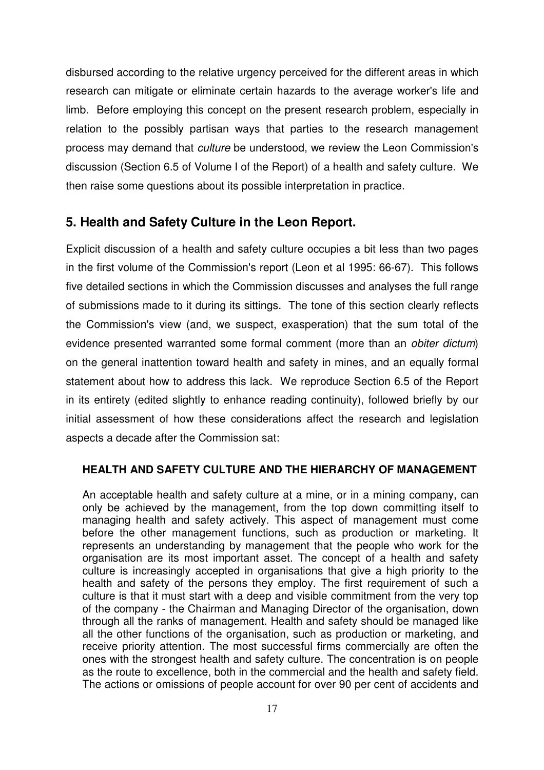disbursed according to the relative urgency perceived for the different areas in which research can mitigate or eliminate certain hazards to the average worker's life and limb. Before employing this concept on the present research problem, especially in relation to the possibly partisan ways that parties to the research management process may demand that *culture* be understood, we review the Leon Commission's discussion (Section 6.5 of Volume I of the Report) of a health and safety culture. We then raise some questions about its possible interpretation in practice.

#### **5. Health and Safety Culture in the Leon Report.**

Explicit discussion of a health and safety culture occupies a bit less than two pages in the first volume of the Commission's report (Leon et al 1995: 66-67). This follows five detailed sections in which the Commission discusses and analyses the full range of submissions made to it during its sittings. The tone of this section clearly reflects the Commission's view (and, we suspect, exasperation) that the sum total of the evidence presented warranted some formal comment (more than an *obiter dictum*) on the general inattention toward health and safety in mines, and an equally formal statement about how to address this lack. We reproduce Section 6.5 of the Report in its entirety (edited slightly to enhance reading continuity), followed briefly by our initial assessment of how these considerations affect the research and legislation aspects a decade after the Commission sat:

#### **HEALTH AND SAFETY CULTURE AND THE HIERARCHY OF MANAGEMENT**

An acceptable health and safety culture at a mine, or in a mining company, can only be achieved by the management, from the top down committing itself to managing health and safety actively. This aspect of management must come before the other management functions, such as production or marketing. It represents an understanding by management that the people who work for the organisation are its most important asset. The concept of a health and safety culture is increasingly accepted in organisations that give a high priority to the health and safety of the persons they employ. The first requirement of such a culture is that it must start with a deep and visible commitment from the very top of the company - the Chairman and Managing Director of the organisation, down through all the ranks of management. Health and safety should be managed like all the other functions of the organisation, such as production or marketing, and receive priority attention. The most successful firms commercially are often the ones with the strongest health and safety culture. The concentration is on people as the route to excellence, both in the commercial and the health and safety field. The actions or omissions of people account for over 90 per cent of accidents and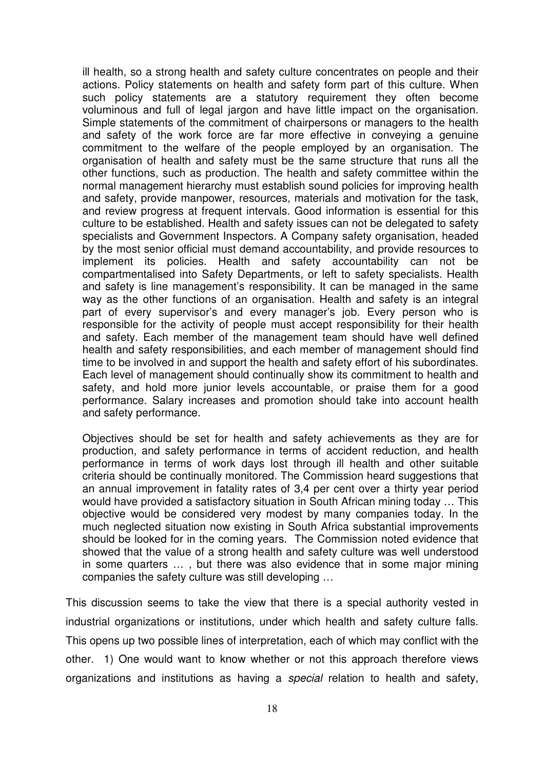ill health, so a strong health and safety culture concentrates on people and their actions. Policy statements on health and safety form part of this culture. When such policy statements are a statutory requirement they often become voluminous and full of legal jargon and have little impact on the organisation. Simple statements of the commitment of chairpersons or managers to the health and safety of the work force are far more effective in conveying a genuine commitment to the welfare of the people employed by an organisation. The organisation of health and safety must be the same structure that runs all the other functions, such as production. The health and safety committee within the normal management hierarchy must establish sound policies for improving health and safety, provide manpower, resources, materials and motivation for the task, and review progress at frequent intervals. Good information is essential for this culture to be established. Health and safety issues can not be delegated to safety specialists and Government Inspectors. A Company safety organisation, headed by the most senior official must demand accountability, and provide resources to implement its policies. Health and safety accountability can not be compartmentalised into Safety Departments, or left to safety specialists. Health and safety is line management's responsibility. It can be managed in the same way as the other functions of an organisation. Health and safety is an integral part of every supervisor's and every manager's job. Every person who is responsible for the activity of people must accept responsibility for their health and safety. Each member of the management team should have well defined health and safety responsibilities, and each member of management should find time to be involved in and support the health and safety effort of his subordinates. Each level of management should continually show its commitment to health and safety, and hold more junior levels accountable, or praise them for a good performance. Salary increases and promotion should take into account health and safety performance.

Objectives should be set for health and safety achievements as they are for production, and safety performance in terms of accident reduction, and health performance in terms of work days lost through ill health and other suitable criteria should be continually monitored. The Commission heard suggestions that an annual improvement in fatality rates of 3,4 per cent over a thirty year period would have provided a satisfactory situation in South African mining today … This objective would be considered very modest by many companies today. In the much neglected situation now existing in South Africa substantial improvements should be looked for in the coming years. The Commission noted evidence that showed that the value of a strong health and safety culture was well understood in some quarters … , but there was also evidence that in some major mining companies the safety culture was still developing …

This discussion seems to take the view that there is a special authority vested in industrial organizations or institutions, under which health and safety culture falls. This opens up two possible lines of interpretation, each of which may conflict with the other. 1) One would want to know whether or not this approach therefore views organizations and institutions as having a *special* relation to health and safety,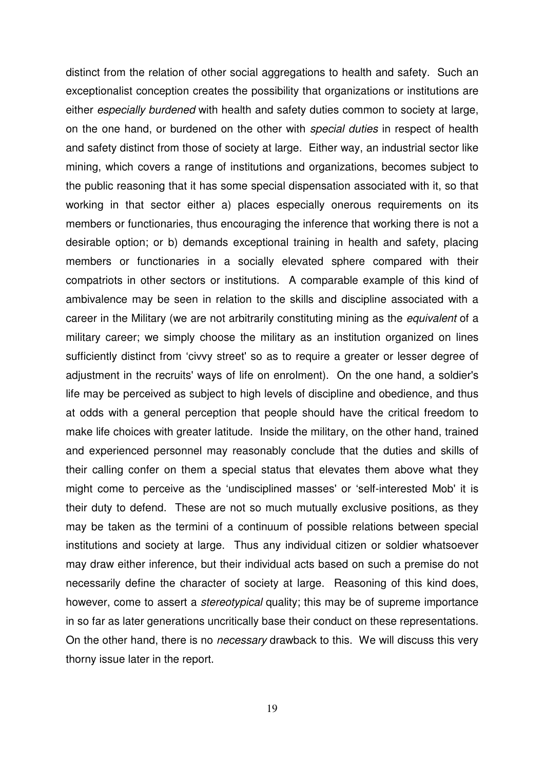distinct from the relation of other social aggregations to health and safety. Such an exceptionalist conception creates the possibility that organizations or institutions are either *especially burdened* with health and safety duties common to society at large, on the one hand, or burdened on the other with *special duties* in respect of health and safety distinct from those of society at large. Either way, an industrial sector like mining, which covers a range of institutions and organizations, becomes subject to the public reasoning that it has some special dispensation associated with it, so that working in that sector either a) places especially onerous requirements on its members or functionaries, thus encouraging the inference that working there is not a desirable option; or b) demands exceptional training in health and safety, placing members or functionaries in a socially elevated sphere compared with their compatriots in other sectors or institutions. A comparable example of this kind of ambivalence may be seen in relation to the skills and discipline associated with a career in the Military (we are not arbitrarily constituting mining as the *equivalent* of a military career; we simply choose the military as an institution organized on lines sufficiently distinct from 'civvy street' so as to require a greater or lesser degree of adjustment in the recruits' ways of life on enrolment). On the one hand, a soldier's life may be perceived as subject to high levels of discipline and obedience, and thus at odds with a general perception that people should have the critical freedom to make life choices with greater latitude. Inside the military, on the other hand, trained and experienced personnel may reasonably conclude that the duties and skills of their calling confer on them a special status that elevates them above what they might come to perceive as the 'undisciplined masses' or 'self-interested Mob' it is their duty to defend. These are not so much mutually exclusive positions, as they may be taken as the termini of a continuum of possible relations between special institutions and society at large. Thus any individual citizen or soldier whatsoever may draw either inference, but their individual acts based on such a premise do not necessarily define the character of society at large. Reasoning of this kind does, however, come to assert a *stereotypical* quality; this may be of supreme importance in so far as later generations uncritically base their conduct on these representations. On the other hand, there is no *necessary* drawback to this. We will discuss this very thorny issue later in the report.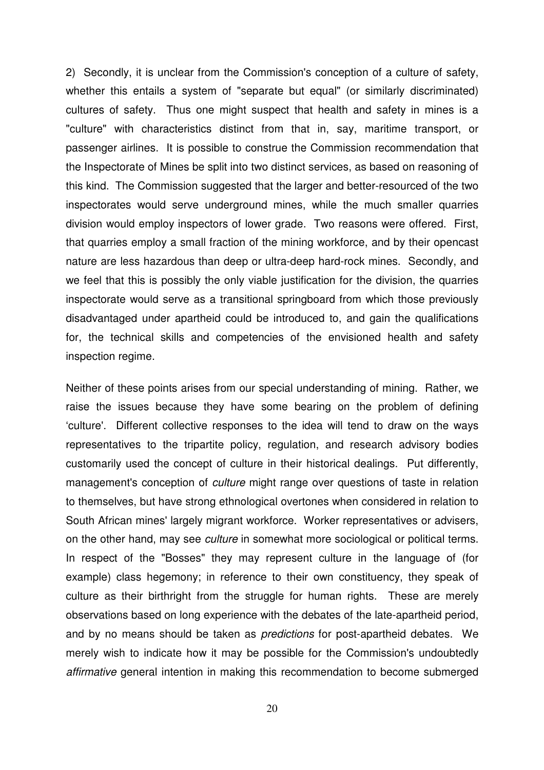2) Secondly, it is unclear from the Commission's conception of a culture of safety, whether this entails a system of "separate but equal" (or similarly discriminated) cultures of safety. Thus one might suspect that health and safety in mines is a "culture" with characteristics distinct from that in, say, maritime transport, or passenger airlines. It is possible to construe the Commission recommendation that the Inspectorate of Mines be split into two distinct services, as based on reasoning of this kind. The Commission suggested that the larger and better-resourced of the two inspectorates would serve underground mines, while the much smaller quarries division would employ inspectors of lower grade. Two reasons were offered. First, that quarries employ a small fraction of the mining workforce, and by their opencast nature are less hazardous than deep or ultra-deep hard-rock mines. Secondly, and we feel that this is possibly the only viable justification for the division, the quarries inspectorate would serve as a transitional springboard from which those previously disadvantaged under apartheid could be introduced to, and gain the qualifications for, the technical skills and competencies of the envisioned health and safety inspection regime.

Neither of these points arises from our special understanding of mining. Rather, we raise the issues because they have some bearing on the problem of defining 'culture'. Different collective responses to the idea will tend to draw on the ways representatives to the tripartite policy, regulation, and research advisory bodies customarily used the concept of culture in their historical dealings. Put differently, management's conception of *culture* might range over questions of taste in relation to themselves, but have strong ethnological overtones when considered in relation to South African mines' largely migrant workforce. Worker representatives or advisers, on the other hand, may see *culture* in somewhat more sociological or political terms. In respect of the "Bosses" they may represent culture in the language of (for example) class hegemony; in reference to their own constituency, they speak of culture as their birthright from the struggle for human rights. These are merely observations based on long experience with the debates of the late-apartheid period, and by no means should be taken as *predictions* for post-apartheid debates. We merely wish to indicate how it may be possible for the Commission's undoubtedly *affirmative* general intention in making this recommendation to become submerged

20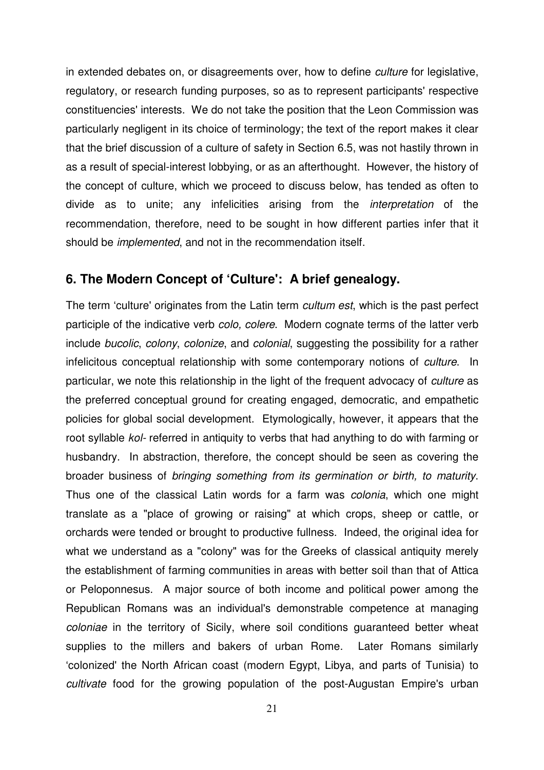in extended debates on, or disagreements over, how to define *culture* for legislative, regulatory, or research funding purposes, so as to represent participants' respective constituencies' interests. We do not take the position that the Leon Commission was particularly negligent in its choice of terminology; the text of the report makes it clear that the brief discussion of a culture of safety in Section 6.5, was not hastily thrown in as a result of special-interest lobbying, or as an afterthought. However, the history of the concept of culture, which we proceed to discuss below, has tended as often to divide as to unite; any infelicities arising from the *interpretation* of the recommendation, therefore, need to be sought in how different parties infer that it should be *implemented*, and not in the recommendation itself.

#### **6. The Modern Concept of 'Culture': A brief genealogy.**

The term 'culture' originates from the Latin term *cultum est*, which is the past perfect participle of the indicative verb *colo, colere*. Modern cognate terms of the latter verb include *bucolic*, *colony*, *colonize*, and *colonial*, suggesting the possibility for a rather infelicitous conceptual relationship with some contemporary notions of *culture*. In particular, we note this relationship in the light of the frequent advocacy of *culture* as the preferred conceptual ground for creating engaged, democratic, and empathetic policies for global social development. Etymologically, however, it appears that the root syllable *kol-* referred in antiquity to verbs that had anything to do with farming or husbandry. In abstraction, therefore, the concept should be seen as covering the broader business of *bringing something from its germination or birth, to maturity*. Thus one of the classical Latin words for a farm was *colonia*, which one might translate as a "place of growing or raising" at which crops, sheep or cattle, or orchards were tended or brought to productive fullness. Indeed, the original idea for what we understand as a "colony" was for the Greeks of classical antiquity merely the establishment of farming communities in areas with better soil than that of Attica or Peloponnesus. A major source of both income and political power among the Republican Romans was an individual's demonstrable competence at managing *coloniae* in the territory of Sicily, where soil conditions guaranteed better wheat supplies to the millers and bakers of urban Rome. Later Romans similarly 'colonized' the North African coast (modern Egypt, Libya, and parts of Tunisia) to *cultivate* food for the growing population of the post-Augustan Empire's urban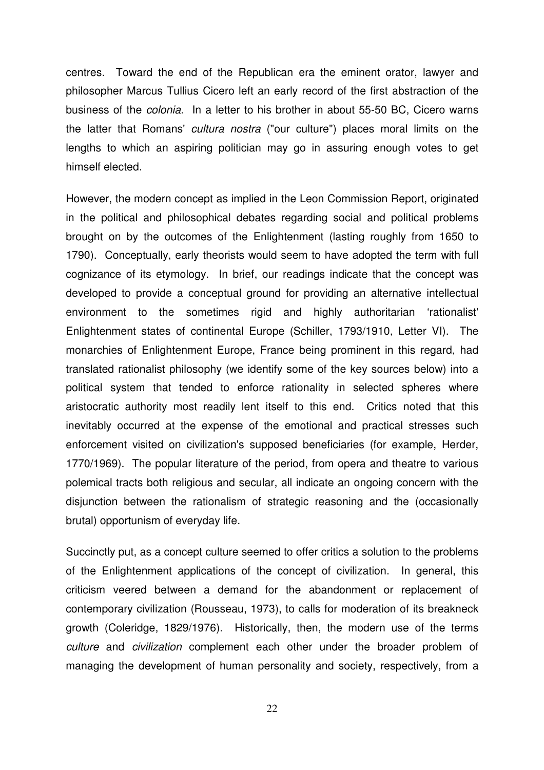centres. Toward the end of the Republican era the eminent orator, lawyer and philosopher Marcus Tullius Cicero left an early record of the first abstraction of the business of the *colonia*. In a letter to his brother in about 55-50 BC, Cicero warns the latter that Romans' *cultura nostra* ("our culture") places moral limits on the lengths to which an aspiring politician may go in assuring enough votes to get himself elected.

However, the modern concept as implied in the Leon Commission Report, originated in the political and philosophical debates regarding social and political problems brought on by the outcomes of the Enlightenment (lasting roughly from 1650 to 1790). Conceptually, early theorists would seem to have adopted the term with full cognizance of its etymology. In brief, our readings indicate that the concept was developed to provide a conceptual ground for providing an alternative intellectual environment to the sometimes rigid and highly authoritarian 'rationalist' Enlightenment states of continental Europe (Schiller, 1793/1910, Letter VI). The monarchies of Enlightenment Europe, France being prominent in this regard, had translated rationalist philosophy (we identify some of the key sources below) into a political system that tended to enforce rationality in selected spheres where aristocratic authority most readily lent itself to this end. Critics noted that this inevitably occurred at the expense of the emotional and practical stresses such enforcement visited on civilization's supposed beneficiaries (for example, Herder, 1770/1969). The popular literature of the period, from opera and theatre to various polemical tracts both religious and secular, all indicate an ongoing concern with the disjunction between the rationalism of strategic reasoning and the (occasionally brutal) opportunism of everyday life.

Succinctly put, as a concept culture seemed to offer critics a solution to the problems of the Enlightenment applications of the concept of civilization. In general, this criticism veered between a demand for the abandonment or replacement of contemporary civilization (Rousseau, 1973), to calls for moderation of its breakneck growth (Coleridge, 1829/1976). Historically, then, the modern use of the terms *culture* and *civilization* complement each other under the broader problem of managing the development of human personality and society, respectively, from a

22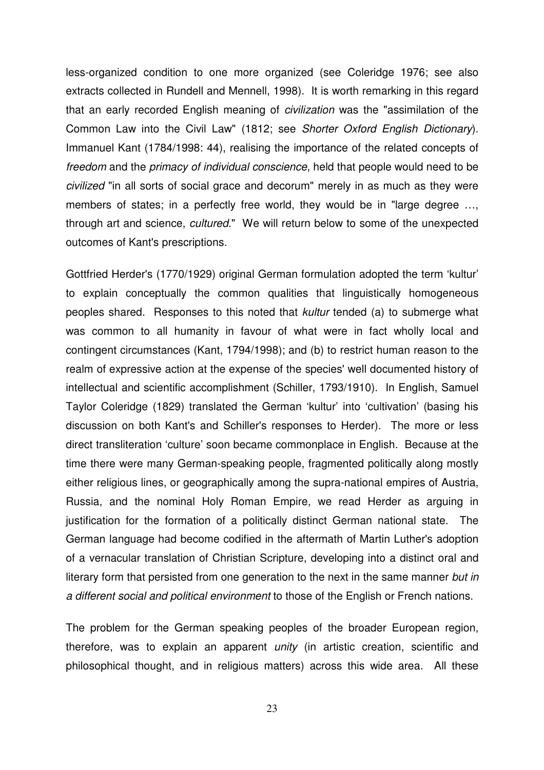less-organized condition to one more organized (see Coleridge 1976; see also extracts collected in Rundell and Mennell, 1998). It is worth remarking in this regard that an early recorded English meaning of *civilization* was the "assimilation of the Common Law into the Civil Law" (1812; see *Shorter Oxford English Dictionary*). Immanuel Kant (1784/1998: 44), realising the importance of the related concepts of *freedom* and the *primacy of individual conscience*, held that people would need to be *civilized* "in all sorts of social grace and decorum" merely in as much as they were members of states; in a perfectly free world, they would be in "large degree …, through art and science, *cultured*." We will return below to some of the unexpected outcomes of Kant's prescriptions.

Gottfried Herder's (1770/1929) original German formulation adopted the term 'kultur' to explain conceptually the common qualities that linguistically homogeneous peoples shared. Responses to this noted that *kultur* tended (a) to submerge what was common to all humanity in favour of what were in fact wholly local and contingent circumstances (Kant, 1794/1998); and (b) to restrict human reason to the realm of expressive action at the expense of the species' well documented history of intellectual and scientific accomplishment (Schiller, 1793/1910). In English, Samuel Taylor Coleridge (1829) translated the German 'kultur' into 'cultivation' (basing his discussion on both Kant's and Schiller's responses to Herder). The more or less direct transliteration 'culture' soon became commonplace in English. Because at the time there were many German-speaking people, fragmented politically along mostly either religious lines, or geographically among the supra-national empires of Austria, Russia, and the nominal Holy Roman Empire, we read Herder as arguing in justification for the formation of a politically distinct German national state. The German language had become codified in the aftermath of Martin Luther's adoption of a vernacular translation of Christian Scripture, developing into a distinct oral and literary form that persisted from one generation to the next in the same manner *but in a different social and political environment* to those of the English or French nations.

The problem for the German speaking peoples of the broader European region, therefore, was to explain an apparent *unity* (in artistic creation, scientific and philosophical thought, and in religious matters) across this wide area. All these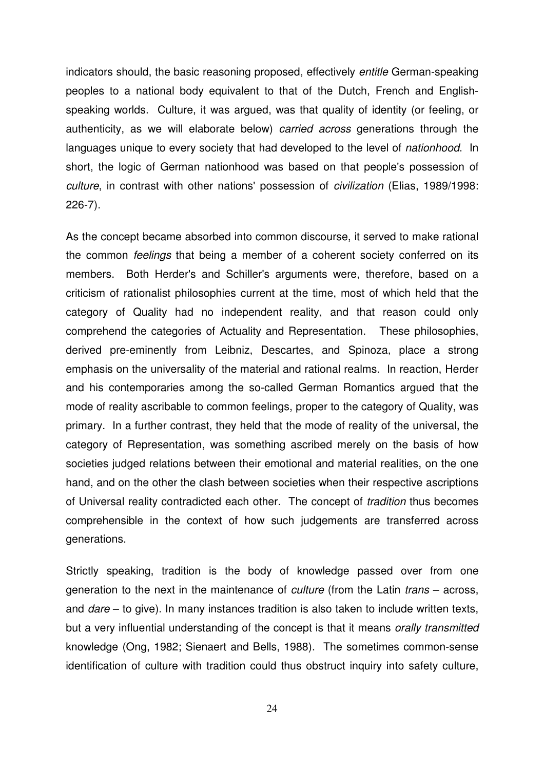indicators should, the basic reasoning proposed, effectively *entitle* German-speaking peoples to a national body equivalent to that of the Dutch, French and Englishspeaking worlds. Culture, it was argued, was that quality of identity (or feeling, or authenticity, as we will elaborate below) *carried across* generations through the languages unique to every society that had developed to the level of *nationhood*. In short, the logic of German nationhood was based on that people's possession of *culture*, in contrast with other nations' possession of *civilization* (Elias, 1989/1998: 226-7).

As the concept became absorbed into common discourse, it served to make rational the common *feelings* that being a member of a coherent society conferred on its members. Both Herder's and Schiller's arguments were, therefore, based on a criticism of rationalist philosophies current at the time, most of which held that the category of Quality had no independent reality, and that reason could only comprehend the categories of Actuality and Representation. These philosophies, derived pre-eminently from Leibniz, Descartes, and Spinoza, place a strong emphasis on the universality of the material and rational realms. In reaction, Herder and his contemporaries among the so-called German Romantics argued that the mode of reality ascribable to common feelings, proper to the category of Quality, was primary. In a further contrast, they held that the mode of reality of the universal, the category of Representation, was something ascribed merely on the basis of how societies judged relations between their emotional and material realities, on the one hand, and on the other the clash between societies when their respective ascriptions of Universal reality contradicted each other. The concept of *tradition* thus becomes comprehensible in the context of how such judgements are transferred across generations.

Strictly speaking, tradition is the body of knowledge passed over from one generation to the next in the maintenance of *culture* (from the Latin *trans* – across, and *dare* – to give). In many instances tradition is also taken to include written texts, but a very influential understanding of the concept is that it means *orally transmitted* knowledge (Ong, 1982; Sienaert and Bells, 1988). The sometimes common-sense identification of culture with tradition could thus obstruct inquiry into safety culture,

24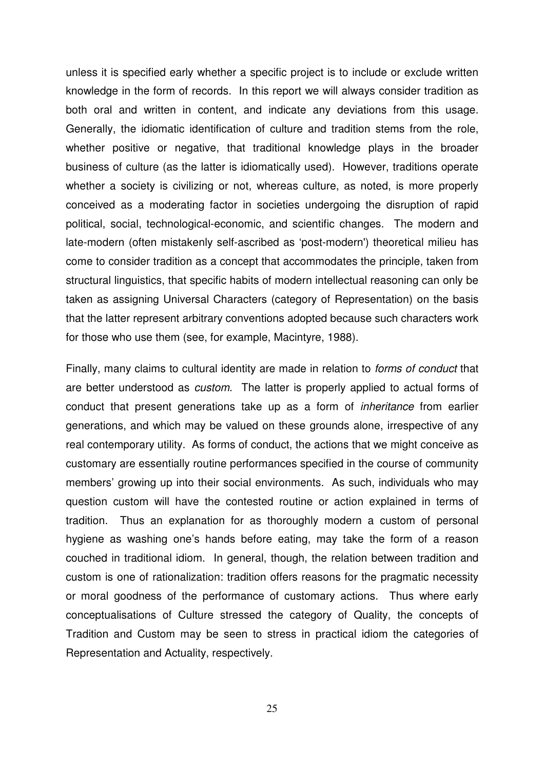unless it is specified early whether a specific project is to include or exclude written knowledge in the form of records. In this report we will always consider tradition as both oral and written in content, and indicate any deviations from this usage. Generally, the idiomatic identification of culture and tradition stems from the role, whether positive or negative, that traditional knowledge plays in the broader business of culture (as the latter is idiomatically used). However, traditions operate whether a society is civilizing or not, whereas culture, as noted, is more properly conceived as a moderating factor in societies undergoing the disruption of rapid political, social, technological-economic, and scientific changes. The modern and late-modern (often mistakenly self-ascribed as 'post-modern') theoretical milieu has come to consider tradition as a concept that accommodates the principle, taken from structural linguistics, that specific habits of modern intellectual reasoning can only be taken as assigning Universal Characters (category of Representation) on the basis that the latter represent arbitrary conventions adopted because such characters work for those who use them (see, for example, Macintyre, 1988).

Finally, many claims to cultural identity are made in relation to *forms of conduct* that are better understood as *custom*. The latter is properly applied to actual forms of conduct that present generations take up as a form of *inheritance* from earlier generations, and which may be valued on these grounds alone, irrespective of any real contemporary utility. As forms of conduct, the actions that we might conceive as customary are essentially routine performances specified in the course of community members' growing up into their social environments. As such, individuals who may question custom will have the contested routine or action explained in terms of tradition. Thus an explanation for as thoroughly modern a custom of personal hygiene as washing one's hands before eating, may take the form of a reason couched in traditional idiom. In general, though, the relation between tradition and custom is one of rationalization: tradition offers reasons for the pragmatic necessity or moral goodness of the performance of customary actions. Thus where early conceptualisations of Culture stressed the category of Quality, the concepts of Tradition and Custom may be seen to stress in practical idiom the categories of Representation and Actuality, respectively.

25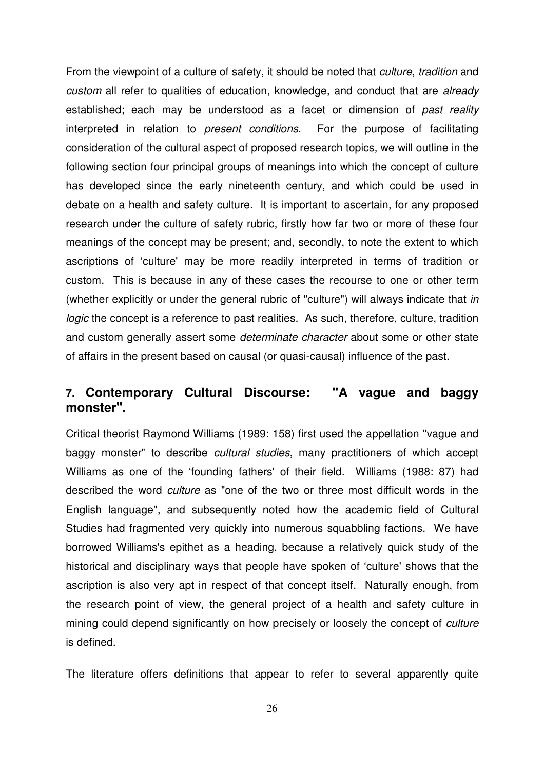From the viewpoint of a culture of safety, it should be noted that *culture*, *tradition* and *custom* all refer to qualities of education, knowledge, and conduct that are *already* established; each may be understood as a facet or dimension of *past reality* interpreted in relation to *present conditions*. For the purpose of facilitating consideration of the cultural aspect of proposed research topics, we will outline in the following section four principal groups of meanings into which the concept of culture has developed since the early nineteenth century, and which could be used in debate on a health and safety culture. It is important to ascertain, for any proposed research under the culture of safety rubric, firstly how far two or more of these four meanings of the concept may be present; and, secondly, to note the extent to which ascriptions of 'culture' may be more readily interpreted in terms of tradition or custom. This is because in any of these cases the recourse to one or other term (whether explicitly or under the general rubric of "culture") will always indicate that *in logic* the concept is a reference to past realities. As such, therefore, culture, tradition and custom generally assert some *determinate character* about some or other state of affairs in the present based on causal (or quasi-causal) influence of the past.

#### **7. Contemporary Cultural Discourse: "A vague and baggy monster".**

Critical theorist Raymond Williams (1989: 158) first used the appellation "vague and baggy monster" to describe *cultural studies*, many practitioners of which accept Williams as one of the 'founding fathers' of their field. Williams (1988: 87) had described the word *culture* as "one of the two or three most difficult words in the English language", and subsequently noted how the academic field of Cultural Studies had fragmented very quickly into numerous squabbling factions. We have borrowed Williams's epithet as a heading, because a relatively quick study of the historical and disciplinary ways that people have spoken of 'culture' shows that the ascription is also very apt in respect of that concept itself. Naturally enough, from the research point of view, the general project of a health and safety culture in mining could depend significantly on how precisely or loosely the concept of *culture* is defined.

The literature offers definitions that appear to refer to several apparently quite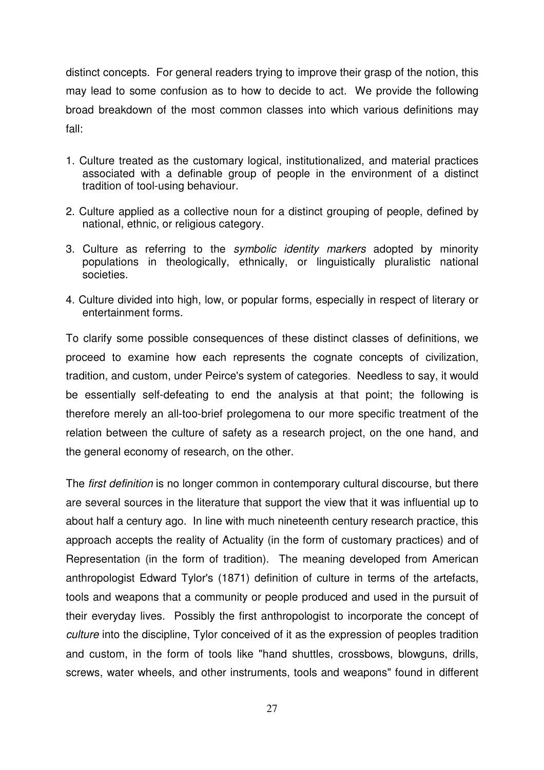distinct concepts. For general readers trying to improve their grasp of the notion, this may lead to some confusion as to how to decide to act. We provide the following broad breakdown of the most common classes into which various definitions may fall:

- 1. Culture treated as the customary logical, institutionalized, and material practices associated with a definable group of people in the environment of a distinct tradition of tool-using behaviour.
- 2. Culture applied as a collective noun for a distinct grouping of people, defined by national, ethnic, or religious category.
- 3. Culture as referring to the *symbolic identity markers* adopted by minority populations in theologically, ethnically, or linguistically pluralistic national societies.
- 4. Culture divided into high, low, or popular forms, especially in respect of literary or entertainment forms.

To clarify some possible consequences of these distinct classes of definitions, we proceed to examine how each represents the cognate concepts of civilization, tradition, and custom, under Peirce's system of categories. Needless to say, it would be essentially self-defeating to end the analysis at that point; the following is therefore merely an all-too-brief prolegomena to our more specific treatment of the relation between the culture of safety as a research project, on the one hand, and the general economy of research, on the other.

The *first definition* is no longer common in contemporary cultural discourse, but there are several sources in the literature that support the view that it was influential up to about half a century ago. In line with much nineteenth century research practice, this approach accepts the reality of Actuality (in the form of customary practices) and of Representation (in the form of tradition). The meaning developed from American anthropologist Edward Tylor's (1871) definition of culture in terms of the artefacts, tools and weapons that a community or people produced and used in the pursuit of their everyday lives. Possibly the first anthropologist to incorporate the concept of *culture* into the discipline, Tylor conceived of it as the expression of peoples tradition and custom, in the form of tools like "hand shuttles, crossbows, blowguns, drills, screws, water wheels, and other instruments, tools and weapons" found in different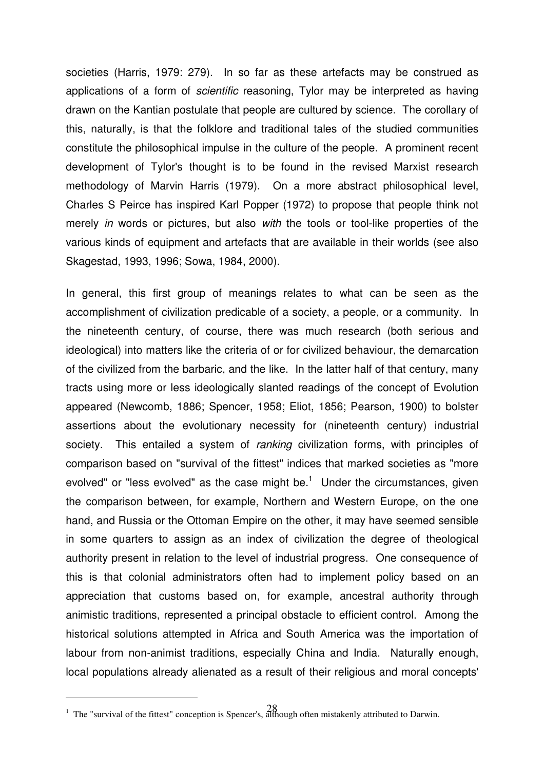societies (Harris, 1979: 279). In so far as these artefacts may be construed as applications of a form of *scientific* reasoning, Tylor may be interpreted as having drawn on the Kantian postulate that people are cultured by science. The corollary of this, naturally, is that the folklore and traditional tales of the studied communities constitute the philosophical impulse in the culture of the people. A prominent recent development of Tylor's thought is to be found in the revised Marxist research methodology of Marvin Harris (1979). On a more abstract philosophical level, Charles S Peirce has inspired Karl Popper (1972) to propose that people think not merely *in* words or pictures, but also *with* the tools or tool-like properties of the various kinds of equipment and artefacts that are available in their worlds (see also Skagestad, 1993, 1996; Sowa, 1984, 2000).

In general, this first group of meanings relates to what can be seen as the accomplishment of civilization predicable of a society, a people, or a community. In the nineteenth century, of course, there was much research (both serious and ideological) into matters like the criteria of or for civilized behaviour, the demarcation of the civilized from the barbaric, and the like. In the latter half of that century, many tracts using more or less ideologically slanted readings of the concept of Evolution appeared (Newcomb, 1886; Spencer, 1958; Eliot, 1856; Pearson, 1900) to bolster assertions about the evolutionary necessity for (nineteenth century) industrial society. This entailed a system of *ranking* civilization forms, with principles of comparison based on "survival of the fittest" indices that marked societies as "more evolved" or "less evolved" as the case might be. $^1$  Under the circumstances, given the comparison between, for example, Northern and Western Europe, on the one hand, and Russia or the Ottoman Empire on the other, it may have seemed sensible in some quarters to assign as an index of civilization the degree of theological authority present in relation to the level of industrial progress. One consequence of this is that colonial administrators often had to implement policy based on an appreciation that customs based on, for example, ancestral authority through animistic traditions, represented a principal obstacle to efficient control. Among the historical solutions attempted in Africa and South America was the importation of labour from non-animist traditions, especially China and India. Naturally enough, local populations already alienated as a result of their religious and moral concepts'

<sup>28</sup> <sup>1</sup> The "survival of the fittest" conception is Spencer's, although often mistakenly attributed to Darwin.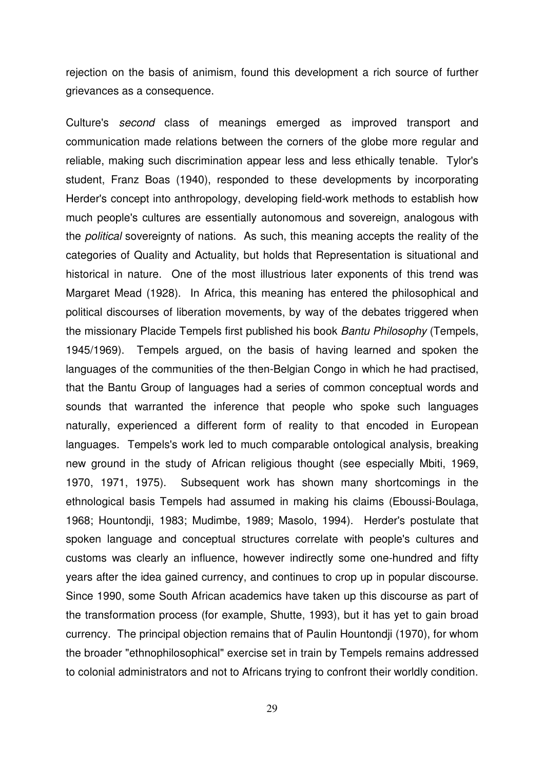rejection on the basis of animism, found this development a rich source of further grievances as a consequence.

Culture's *second* class of meanings emerged as improved transport and communication made relations between the corners of the globe more regular and reliable, making such discrimination appear less and less ethically tenable. Tylor's student, Franz Boas (1940), responded to these developments by incorporating Herder's concept into anthropology, developing field-work methods to establish how much people's cultures are essentially autonomous and sovereign, analogous with the *political* sovereignty of nations. As such, this meaning accepts the reality of the categories of Quality and Actuality, but holds that Representation is situational and historical in nature. One of the most illustrious later exponents of this trend was Margaret Mead (1928). In Africa, this meaning has entered the philosophical and political discourses of liberation movements, by way of the debates triggered when the missionary Placide Tempels first published his book *Bantu Philosophy* (Tempels, 1945/1969). Tempels argued, on the basis of having learned and spoken the languages of the communities of the then-Belgian Congo in which he had practised, that the Bantu Group of languages had a series of common conceptual words and sounds that warranted the inference that people who spoke such languages naturally, experienced a different form of reality to that encoded in European languages. Tempels's work led to much comparable ontological analysis, breaking new ground in the study of African religious thought (see especially Mbiti, 1969, 1970, 1971, 1975). Subsequent work has shown many shortcomings in the ethnological basis Tempels had assumed in making his claims (Eboussi-Boulaga, 1968; Hountondji, 1983; Mudimbe, 1989; Masolo, 1994). Herder's postulate that spoken language and conceptual structures correlate with people's cultures and customs was clearly an influence, however indirectly some one-hundred and fifty years after the idea gained currency, and continues to crop up in popular discourse. Since 1990, some South African academics have taken up this discourse as part of the transformation process (for example, Shutte, 1993), but it has yet to gain broad currency. The principal objection remains that of Paulin Hountondji (1970), for whom the broader "ethnophilosophical" exercise set in train by Tempels remains addressed to colonial administrators and not to Africans trying to confront their worldly condition.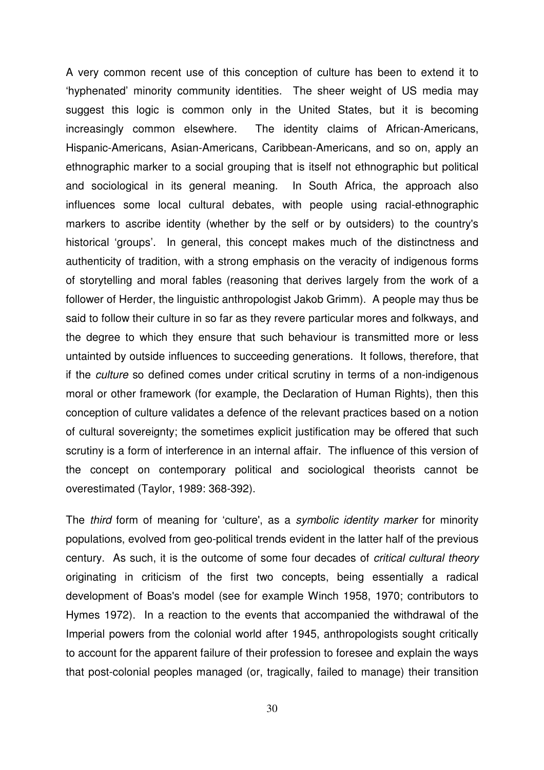A very common recent use of this conception of culture has been to extend it to 'hyphenated' minority community identities. The sheer weight of US media may suggest this logic is common only in the United States, but it is becoming increasingly common elsewhere. The identity claims of African-Americans, Hispanic-Americans, Asian-Americans, Caribbean-Americans, and so on, apply an ethnographic marker to a social grouping that is itself not ethnographic but political and sociological in its general meaning. In South Africa, the approach also influences some local cultural debates, with people using racial-ethnographic markers to ascribe identity (whether by the self or by outsiders) to the country's historical 'groups'. In general, this concept makes much of the distinctness and authenticity of tradition, with a strong emphasis on the veracity of indigenous forms of storytelling and moral fables (reasoning that derives largely from the work of a follower of Herder, the linguistic anthropologist Jakob Grimm). A people may thus be said to follow their culture in so far as they revere particular mores and folkways, and the degree to which they ensure that such behaviour is transmitted more or less untainted by outside influences to succeeding generations. It follows, therefore, that if the *culture* so defined comes under critical scrutiny in terms of a non-indigenous moral or other framework (for example, the Declaration of Human Rights), then this conception of culture validates a defence of the relevant practices based on a notion of cultural sovereignty; the sometimes explicit justification may be offered that such scrutiny is a form of interference in an internal affair. The influence of this version of the concept on contemporary political and sociological theorists cannot be overestimated (Taylor, 1989: 368-392).

The *third* form of meaning for 'culture', as a *symbolic identity marker* for minority populations, evolved from geo-political trends evident in the latter half of the previous century. As such, it is the outcome of some four decades of *critical cultural theory* originating in criticism of the first two concepts, being essentially a radical development of Boas's model (see for example Winch 1958, 1970; contributors to Hymes 1972). In a reaction to the events that accompanied the withdrawal of the Imperial powers from the colonial world after 1945, anthropologists sought critically to account for the apparent failure of their profession to foresee and explain the ways that post-colonial peoples managed (or, tragically, failed to manage) their transition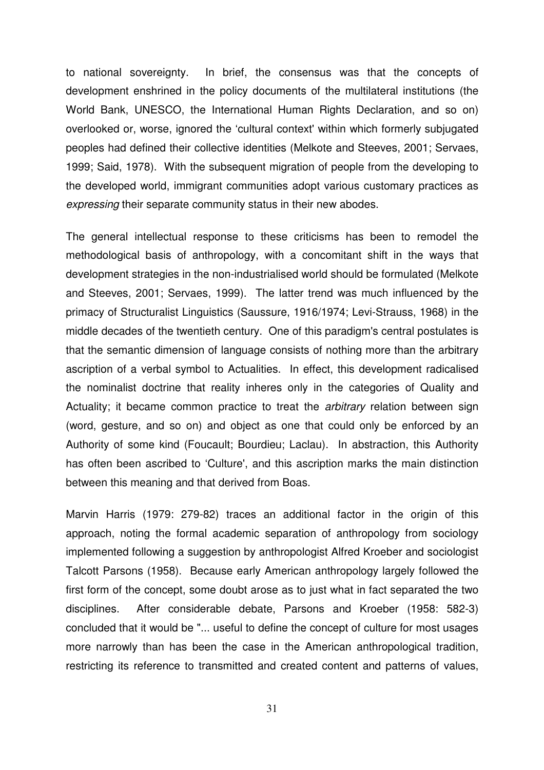to national sovereignty. In brief, the consensus was that the concepts of development enshrined in the policy documents of the multilateral institutions (the World Bank, UNESCO, the International Human Rights Declaration, and so on) overlooked or, worse, ignored the 'cultural context' within which formerly subjugated peoples had defined their collective identities (Melkote and Steeves, 2001; Servaes, 1999; Said, 1978). With the subsequent migration of people from the developing to the developed world, immigrant communities adopt various customary practices as *expressing* their separate community status in their new abodes.

The general intellectual response to these criticisms has been to remodel the methodological basis of anthropology, with a concomitant shift in the ways that development strategies in the non-industrialised world should be formulated (Melkote and Steeves, 2001; Servaes, 1999). The latter trend was much influenced by the primacy of Structuralist Linguistics (Saussure, 1916/1974; Levi-Strauss, 1968) in the middle decades of the twentieth century. One of this paradigm's central postulates is that the semantic dimension of language consists of nothing more than the arbitrary ascription of a verbal symbol to Actualities. In effect, this development radicalised the nominalist doctrine that reality inheres only in the categories of Quality and Actuality; it became common practice to treat the *arbitrary* relation between sign (word, gesture, and so on) and object as one that could only be enforced by an Authority of some kind (Foucault; Bourdieu; Laclau). In abstraction, this Authority has often been ascribed to 'Culture', and this ascription marks the main distinction between this meaning and that derived from Boas.

Marvin Harris (1979: 279-82) traces an additional factor in the origin of this approach, noting the formal academic separation of anthropology from sociology implemented following a suggestion by anthropologist Alfred Kroeber and sociologist Talcott Parsons (1958). Because early American anthropology largely followed the first form of the concept, some doubt arose as to just what in fact separated the two disciplines. After considerable debate, Parsons and Kroeber (1958: 582-3) concluded that it would be "... useful to define the concept of culture for most usages more narrowly than has been the case in the American anthropological tradition, restricting its reference to transmitted and created content and patterns of values,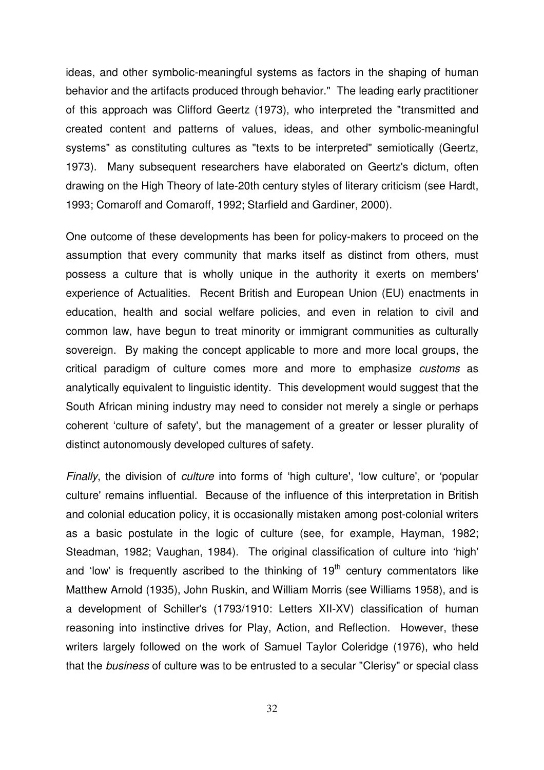ideas, and other symbolic-meaningful systems as factors in the shaping of human behavior and the artifacts produced through behavior." The leading early practitioner of this approach was Clifford Geertz (1973), who interpreted the "transmitted and created content and patterns of values, ideas, and other symbolic-meaningful systems" as constituting cultures as "texts to be interpreted" semiotically (Geertz, 1973). Many subsequent researchers have elaborated on Geertz's dictum, often drawing on the High Theory of late-20th century styles of literary criticism (see Hardt, 1993; Comaroff and Comaroff, 1992; Starfield and Gardiner, 2000).

One outcome of these developments has been for policy-makers to proceed on the assumption that every community that marks itself as distinct from others, must possess a culture that is wholly unique in the authority it exerts on members' experience of Actualities. Recent British and European Union (EU) enactments in education, health and social welfare policies, and even in relation to civil and common law, have begun to treat minority or immigrant communities as culturally sovereign. By making the concept applicable to more and more local groups, the critical paradigm of culture comes more and more to emphasize *customs* as analytically equivalent to linguistic identity. This development would suggest that the South African mining industry may need to consider not merely a single or perhaps coherent 'culture of safety', but the management of a greater or lesser plurality of distinct autonomously developed cultures of safety.

*Finally*, the division of *culture* into forms of 'high culture', 'low culture', or 'popular culture' remains influential. Because of the influence of this interpretation in British and colonial education policy, it is occasionally mistaken among post-colonial writers as a basic postulate in the logic of culture (see, for example, Hayman, 1982; Steadman, 1982; Vaughan, 1984). The original classification of culture into 'high' and 'low' is frequently ascribed to the thinking of 19<sup>th</sup> century commentators like Matthew Arnold (1935), John Ruskin, and William Morris (see Williams 1958), and is a development of Schiller's (1793/1910: Letters XII-XV) classification of human reasoning into instinctive drives for Play, Action, and Reflection. However, these writers largely followed on the work of Samuel Taylor Coleridge (1976), who held that the *business* of culture was to be entrusted to a secular "Clerisy" or special class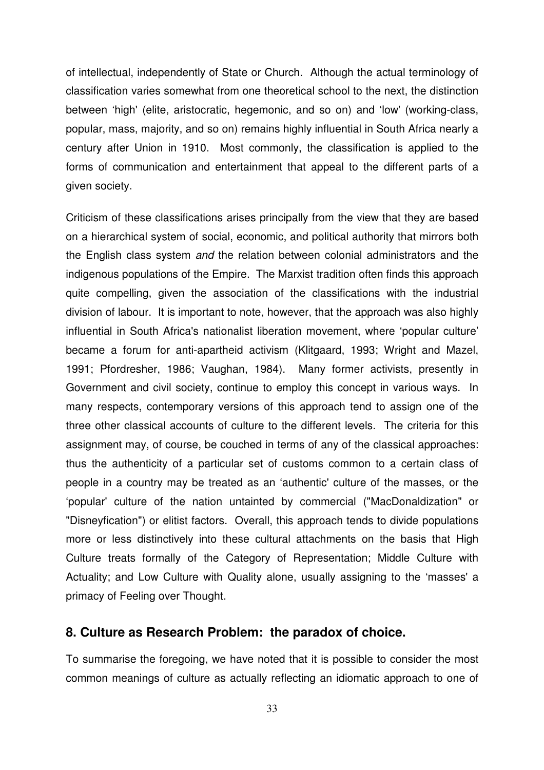of intellectual, independently of State or Church. Although the actual terminology of classification varies somewhat from one theoretical school to the next, the distinction between 'high' (elite, aristocratic, hegemonic, and so on) and 'low' (working-class, popular, mass, majority, and so on) remains highly influential in South Africa nearly a century after Union in 1910. Most commonly, the classification is applied to the forms of communication and entertainment that appeal to the different parts of a given society.

Criticism of these classifications arises principally from the view that they are based on a hierarchical system of social, economic, and political authority that mirrors both the English class system *and* the relation between colonial administrators and the indigenous populations of the Empire. The Marxist tradition often finds this approach quite compelling, given the association of the classifications with the industrial division of labour. It is important to note, however, that the approach was also highly influential in South Africa's nationalist liberation movement, where 'popular culture' became a forum for anti-apartheid activism (Klitgaard, 1993; Wright and Mazel, 1991; Pfordresher, 1986; Vaughan, 1984). Many former activists, presently in Government and civil society, continue to employ this concept in various ways. In many respects, contemporary versions of this approach tend to assign one of the three other classical accounts of culture to the different levels. The criteria for this assignment may, of course, be couched in terms of any of the classical approaches: thus the authenticity of a particular set of customs common to a certain class of people in a country may be treated as an 'authentic' culture of the masses, or the 'popular' culture of the nation untainted by commercial ("MacDonaldization" or "Disneyfication") or elitist factors. Overall, this approach tends to divide populations more or less distinctively into these cultural attachments on the basis that High Culture treats formally of the Category of Representation; Middle Culture with Actuality; and Low Culture with Quality alone, usually assigning to the 'masses' a primacy of Feeling over Thought.

#### **8. Culture as Research Problem: the paradox of choice.**

To summarise the foregoing, we have noted that it is possible to consider the most common meanings of culture as actually reflecting an idiomatic approach to one of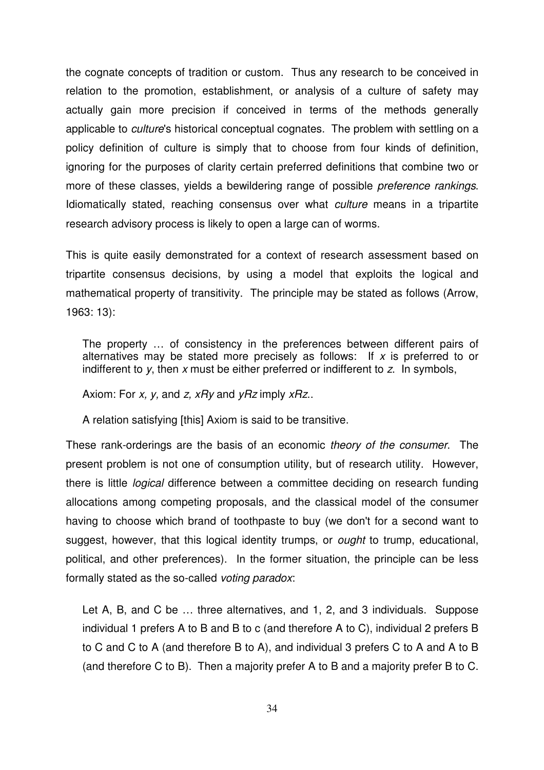the cognate concepts of tradition or custom. Thus any research to be conceived in relation to the promotion, establishment, or analysis of a culture of safety may actually gain more precision if conceived in terms of the methods generally applicable to *culture*'s historical conceptual cognates. The problem with settling on a policy definition of culture is simply that to choose from four kinds of definition, ignoring for the purposes of clarity certain preferred definitions that combine two or more of these classes, yields a bewildering range of possible *preference rankings*. Idiomatically stated, reaching consensus over what *culture* means in a tripartite research advisory process is likely to open a large can of worms.

This is quite easily demonstrated for a context of research assessment based on tripartite consensus decisions, by using a model that exploits the logical and mathematical property of transitivity. The principle may be stated as follows (Arrow, 1963: 13):

The property … of consistency in the preferences between different pairs of alternatives may be stated more precisely as follows: If *x* is preferred to or indifferent to *y*, then *x* must be either preferred or indifferent to *z*. In symbols,

Axiom: For *x, y,* and *z, xRy* and *yRz* imply *xRz*..

A relation satisfying [this] Axiom is said to be transitive.

These rank-orderings are the basis of an economic *theory of the consumer*. The present problem is not one of consumption utility, but of research utility. However, there is little *logical* difference between a committee deciding on research funding allocations among competing proposals, and the classical model of the consumer having to choose which brand of toothpaste to buy (we don't for a second want to suggest, however, that this logical identity trumps, or *ought* to trump, educational, political, and other preferences). In the former situation, the principle can be less formally stated as the so-called *voting paradox*:

Let A, B, and C be … three alternatives, and 1, 2, and 3 individuals. Suppose individual 1 prefers A to B and B to c (and therefore A to C), individual 2 prefers B to C and C to A (and therefore B to A), and individual 3 prefers C to A and A to B (and therefore C to B). Then a majority prefer A to B and a majority prefer B to C.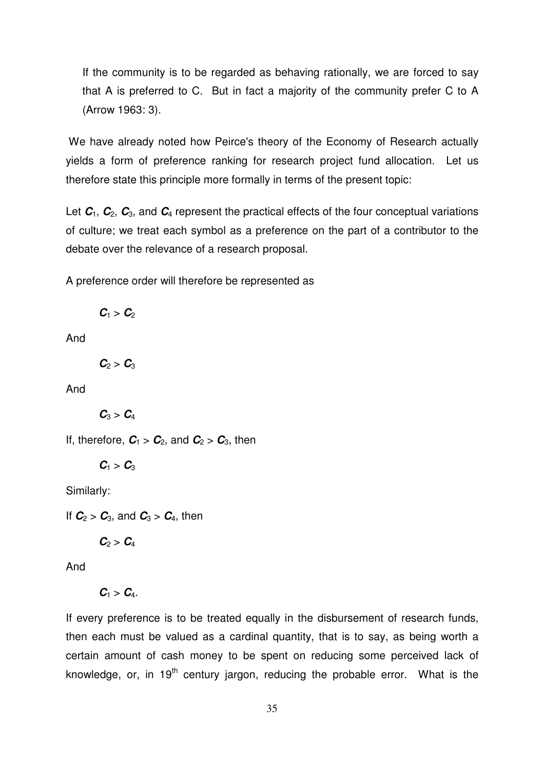If the community is to be regarded as behaving rationally, we are forced to say that A is preferred to C. But in fact a majority of the community prefer C to A (Arrow 1963: 3).

We have already noted how Peirce's theory of the Economy of Research actually yields a form of preference ranking for research project fund allocation. Let us therefore state this principle more formally in terms of the present topic:

Let  $C_1$ ,  $C_2$ ,  $C_3$ , and  $C_4$  represent the practical effects of the four conceptual variations of culture; we treat each symbol as a preference on the part of a contributor to the debate over the relevance of a research proposal.

A preference order will therefore be represented as

 $C_1 > C_2$ 

And

 $C_2 > C_3$ 

And

 $C_3 > C_4$ 

If, therefore,  $C_1 > C_2$ , and  $C_2 > C_3$ , then

 $C_1 > C_3$ 

Similarly:

If  $C_2 > C_3$ , and  $C_3 > C_4$ , then

$$
\pmb{C}_2 > \pmb{C}_4
$$

And

 $C_1 > C_4$ .

If every preference is to be treated equally in the disbursement of research funds, then each must be valued as a cardinal quantity, that is to say, as being worth a certain amount of cash money to be spent on reducing some perceived lack of knowledge, or, in 19<sup>th</sup> century jargon, reducing the probable error. What is the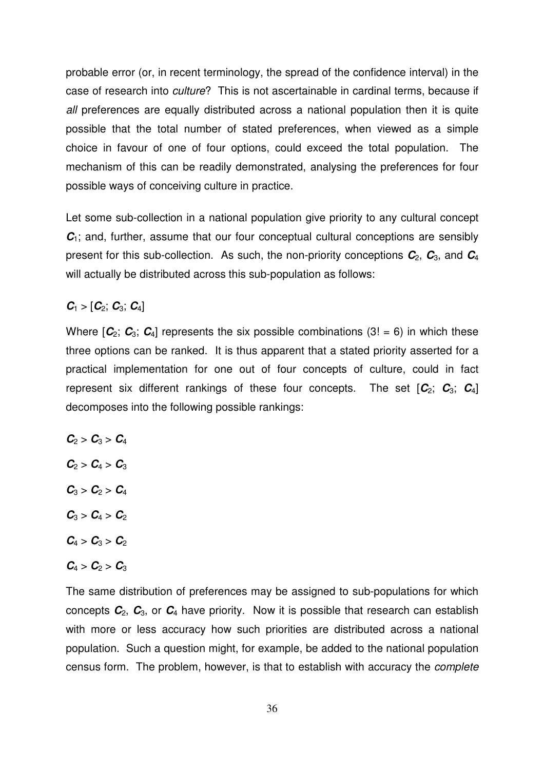probable error (or, in recent terminology, the spread of the confidence interval) in the case of research into *culture*? This is not ascertainable in cardinal terms, because if *all* preferences are equally distributed across a national population then it is quite possible that the total number of stated preferences, when viewed as a simple choice in favour of one of four options, could exceed the total population. The mechanism of this can be readily demonstrated, analysing the preferences for four possible ways of conceiving culture in practice.

Let some sub-collection in a national population give priority to any cultural concept  $C_1$ ; and, further, assume that our four conceptual cultural conceptions are sensibly present for this sub-collection. As such, the non-priority conceptions *C*2, *C*3, and *C*<sup>4</sup> will actually be distributed across this sub-population as follows:

#### $C_1 > [C_2; C_3; C_4]$

Where  $[C_2; C_3; C_4]$  represents the six possible combinations  $(3! = 6)$  in which these three options can be ranked. It is thus apparent that a stated priority asserted for a practical implementation for one out of four concepts of culture, could in fact represent six different rankings of these four concepts. The set  $[\mathcal{C}_2; \mathcal{C}_3; \mathcal{C}_4]$ decomposes into the following possible rankings:

- $C_2 > C_3 > C_4$
- $C_2 > C_4 > C_3$
- $C_3 > C_2 > C_4$
- $C_3 > C_4 > C_2$
- $C_4 > C_3 > C_2$
- $C_4 > C_2 > C_3$

The same distribution of preferences may be assigned to sub-populations for which concepts *C*2, *C*3, or *C*<sup>4</sup> have priority. Now it is possible that research can establish with more or less accuracy how such priorities are distributed across a national population. Such a question might, for example, be added to the national population census form. The problem, however, is that to establish with accuracy the *complete*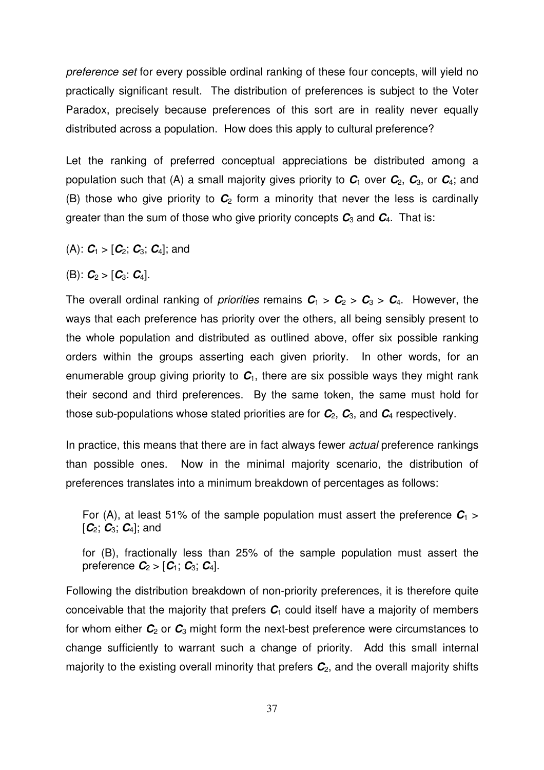*preference set* for every possible ordinal ranking of these four concepts, will yield no practically significant result. The distribution of preferences is subject to the Voter Paradox, precisely because preferences of this sort are in reality never equally distributed across a population. How does this apply to cultural preference?

Let the ranking of preferred conceptual appreciations be distributed among a population such that (A) a small majority gives priority to  $C_1$  over  $C_2$ ,  $C_3$ , or  $C_4$ ; and (B) those who give priority to  $C_2$  form a minority that never the less is cardinally greater than the sum of those who give priority concepts  $C_3$  and  $C_4$ . That is:

- (A):  $C_1 > [C_2; C_3; C_4]$ ; and
- (B):  $C_2 > [C_3: C_4]$ .

The overall ordinal ranking of *priorities* remains  $C_1 > C_2 > C_3 > C_4$ . However, the ways that each preference has priority over the others, all being sensibly present to the whole population and distributed as outlined above, offer six possible ranking orders within the groups asserting each given priority. In other words, for an enumerable group giving priority to  $C<sub>1</sub>$ , there are six possible ways they might rank their second and third preferences. By the same token, the same must hold for those sub-populations whose stated priorities are for  $C_2$ ,  $C_3$ , and  $C_4$  respectively.

In practice, this means that there are in fact always fewer *actual* preference rankings than possible ones. Now in the minimal majority scenario, the distribution of preferences translates into a minimum breakdown of percentages as follows:

For (A), at least 51% of the sample population must assert the preference  $C_1$  > [*C*2; *C*3; *C*4]; and

for (B), fractionally less than 25% of the sample population must assert the preference  $C_2 > [C_1; C_3; C_4]$ .

Following the distribution breakdown of non-priority preferences, it is therefore quite conceivable that the majority that prefers  $C_1$  could itself have a majority of members for whom either  $C_2$  or  $C_3$  might form the next-best preference were circumstances to change sufficiently to warrant such a change of priority. Add this small internal majority to the existing overall minority that prefers *C*2, and the overall majority shifts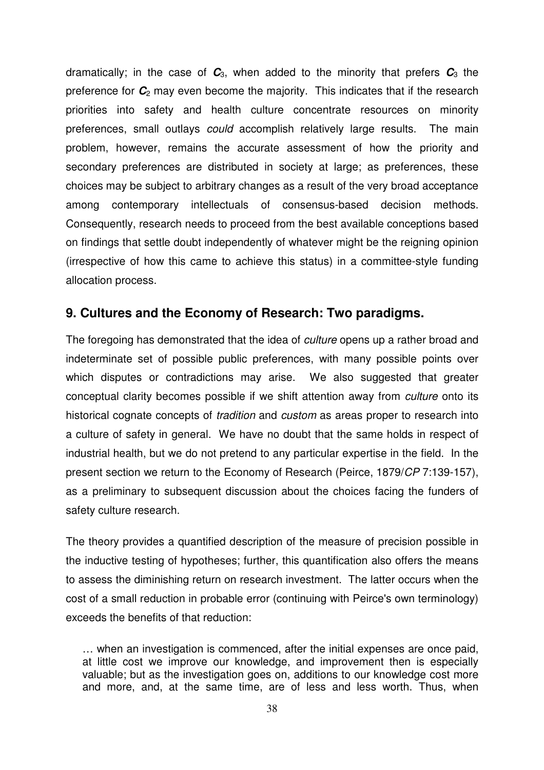dramatically; in the case of  $C_3$ , when added to the minority that prefers  $C_3$  the preference for  $\mathcal{C}_2$  may even become the majority. This indicates that if the research priorities into safety and health culture concentrate resources on minority preferences, small outlays *could* accomplish relatively large results. The main problem, however, remains the accurate assessment of how the priority and secondary preferences are distributed in society at large; as preferences, these choices may be subject to arbitrary changes as a result of the very broad acceptance among contemporary intellectuals of consensus-based decision methods. Consequently, research needs to proceed from the best available conceptions based on findings that settle doubt independently of whatever might be the reigning opinion (irrespective of how this came to achieve this status) in a committee-style funding allocation process.

### **9. Cultures and the Economy of Research: Two paradigms.**

The foregoing has demonstrated that the idea of *culture* opens up a rather broad and indeterminate set of possible public preferences, with many possible points over which disputes or contradictions may arise. We also suggested that greater conceptual clarity becomes possible if we shift attention away from *culture* onto its historical cognate concepts of *tradition* and *custom* as areas proper to research into a culture of safety in general. We have no doubt that the same holds in respect of industrial health, but we do not pretend to any particular expertise in the field. In the present section we return to the Economy of Research (Peirce, 1879/*CP* 7:139-157), as a preliminary to subsequent discussion about the choices facing the funders of safety culture research.

The theory provides a quantified description of the measure of precision possible in the inductive testing of hypotheses; further, this quantification also offers the means to assess the diminishing return on research investment. The latter occurs when the cost of a small reduction in probable error (continuing with Peirce's own terminology) exceeds the benefits of that reduction:

… when an investigation is commenced, after the initial expenses are once paid, at little cost we improve our knowledge, and improvement then is especially valuable; but as the investigation goes on, additions to our knowledge cost more and more, and, at the same time, are of less and less worth. Thus, when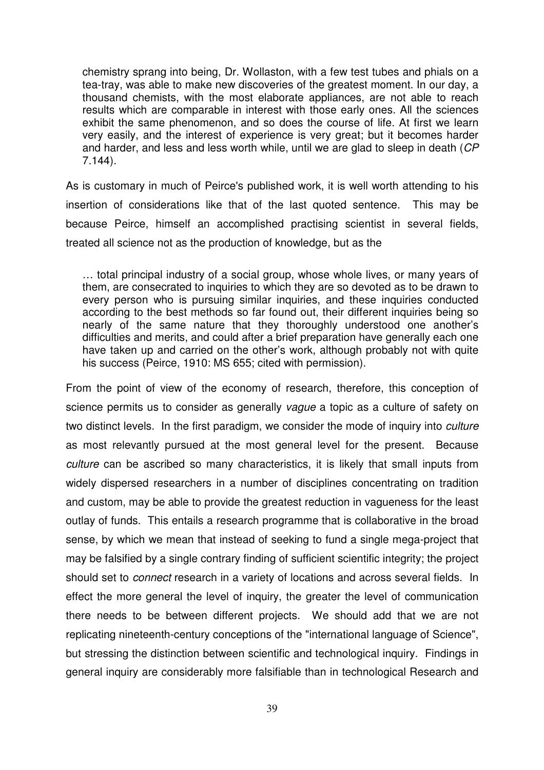chemistry sprang into being, Dr. Wollaston, with a few test tubes and phials on a tea-tray, was able to make new discoveries of the greatest moment. In our day, a thousand chemists, with the most elaborate appliances, are not able to reach results which are comparable in interest with those early ones. All the sciences exhibit the same phenomenon, and so does the course of life. At first we learn very easily, and the interest of experience is very great; but it becomes harder and harder, and less and less worth while, until we are glad to sleep in death (*CP* 7.144).

As is customary in much of Peirce's published work, it is well worth attending to his insertion of considerations like that of the last quoted sentence. This may be because Peirce, himself an accomplished practising scientist in several fields, treated all science not as the production of knowledge, but as the

… total principal industry of a social group, whose whole lives, or many years of them, are consecrated to inquiries to which they are so devoted as to be drawn to every person who is pursuing similar inquiries, and these inquiries conducted according to the best methods so far found out, their different inquiries being so nearly of the same nature that they thoroughly understood one another's difficulties and merits, and could after a brief preparation have generally each one have taken up and carried on the other's work, although probably not with quite his success (Peirce, 1910: MS 655; cited with permission).

From the point of view of the economy of research, therefore, this conception of science permits us to consider as generally *vague* a topic as a culture of safety on two distinct levels. In the first paradigm, we consider the mode of inquiry into *culture* as most relevantly pursued at the most general level for the present. Because *culture* can be ascribed so many characteristics, it is likely that small inputs from widely dispersed researchers in a number of disciplines concentrating on tradition and custom, may be able to provide the greatest reduction in vagueness for the least outlay of funds. This entails a research programme that is collaborative in the broad sense, by which we mean that instead of seeking to fund a single mega-project that may be falsified by a single contrary finding of sufficient scientific integrity; the project should set to *connect* research in a variety of locations and across several fields. In effect the more general the level of inquiry, the greater the level of communication there needs to be between different projects. We should add that we are not replicating nineteenth-century conceptions of the "international language of Science", but stressing the distinction between scientific and technological inquiry. Findings in general inquiry are considerably more falsifiable than in technological Research and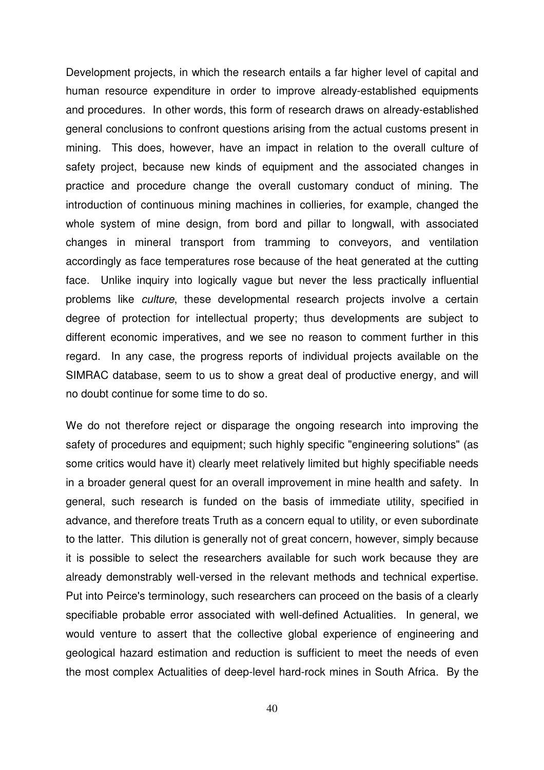Development projects, in which the research entails a far higher level of capital and human resource expenditure in order to improve already-established equipments and procedures. In other words, this form of research draws on already-established general conclusions to confront questions arising from the actual customs present in mining. This does, however, have an impact in relation to the overall culture of safety project, because new kinds of equipment and the associated changes in practice and procedure change the overall customary conduct of mining. The introduction of continuous mining machines in collieries, for example, changed the whole system of mine design, from bord and pillar to longwall, with associated changes in mineral transport from tramming to conveyors, and ventilation accordingly as face temperatures rose because of the heat generated at the cutting face. Unlike inquiry into logically vague but never the less practically influential problems like *culture*, these developmental research projects involve a certain degree of protection for intellectual property; thus developments are subject to different economic imperatives, and we see no reason to comment further in this regard. In any case, the progress reports of individual projects available on the SIMRAC database, seem to us to show a great deal of productive energy, and will no doubt continue for some time to do so.

We do not therefore reject or disparage the ongoing research into improving the safety of procedures and equipment; such highly specific "engineering solutions" (as some critics would have it) clearly meet relatively limited but highly specifiable needs in a broader general quest for an overall improvement in mine health and safety. In general, such research is funded on the basis of immediate utility, specified in advance, and therefore treats Truth as a concern equal to utility, or even subordinate to the latter. This dilution is generally not of great concern, however, simply because it is possible to select the researchers available for such work because they are already demonstrably well-versed in the relevant methods and technical expertise. Put into Peirce's terminology, such researchers can proceed on the basis of a clearly specifiable probable error associated with well-defined Actualities. In general, we would venture to assert that the collective global experience of engineering and geological hazard estimation and reduction is sufficient to meet the needs of even the most complex Actualities of deep-level hard-rock mines in South Africa. By the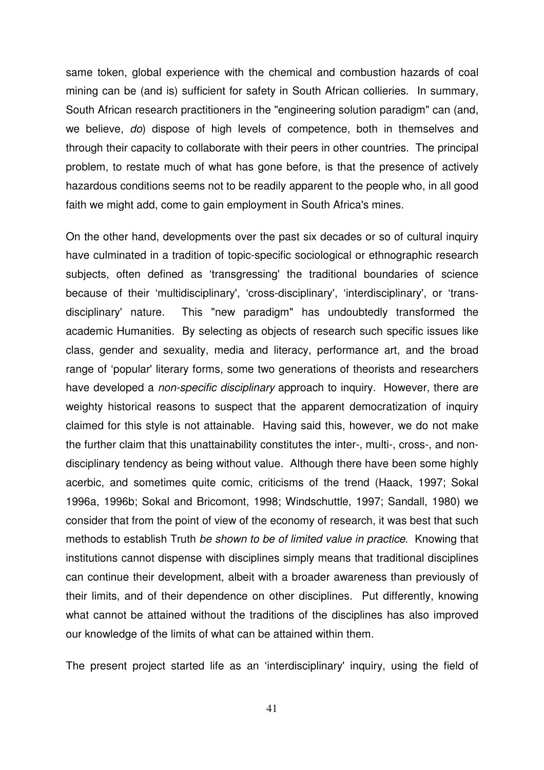same token, global experience with the chemical and combustion hazards of coal mining can be (and is) sufficient for safety in South African collieries. In summary, South African research practitioners in the "engineering solution paradigm" can (and, we believe, *do*) dispose of high levels of competence, both in themselves and through their capacity to collaborate with their peers in other countries. The principal problem, to restate much of what has gone before, is that the presence of actively hazardous conditions seems not to be readily apparent to the people who, in all good faith we might add, come to gain employment in South Africa's mines.

On the other hand, developments over the past six decades or so of cultural inquiry have culminated in a tradition of topic-specific sociological or ethnographic research subjects, often defined as 'transgressing' the traditional boundaries of science because of their 'multidisciplinary', 'cross-disciplinary', 'interdisciplinary', or 'transdisciplinary' nature. This "new paradigm" has undoubtedly transformed the academic Humanities. By selecting as objects of research such specific issues like class, gender and sexuality, media and literacy, performance art, and the broad range of 'popular' literary forms, some two generations of theorists and researchers have developed a *non-specific disciplinary* approach to inquiry. However, there are weighty historical reasons to suspect that the apparent democratization of inquiry claimed for this style is not attainable. Having said this, however, we do not make the further claim that this unattainability constitutes the inter-, multi-, cross-, and nondisciplinary tendency as being without value. Although there have been some highly acerbic, and sometimes quite comic, criticisms of the trend (Haack, 1997; Sokal 1996a, 1996b; Sokal and Bricomont, 1998; Windschuttle, 1997; Sandall, 1980) we consider that from the point of view of the economy of research, it was best that such methods to establish Truth *be shown to be of limited value in practice*. Knowing that institutions cannot dispense with disciplines simply means that traditional disciplines can continue their development, albeit with a broader awareness than previously of their limits, and of their dependence on other disciplines. Put differently, knowing what cannot be attained without the traditions of the disciplines has also improved our knowledge of the limits of what can be attained within them.

The present project started life as an 'interdisciplinary' inquiry, using the field of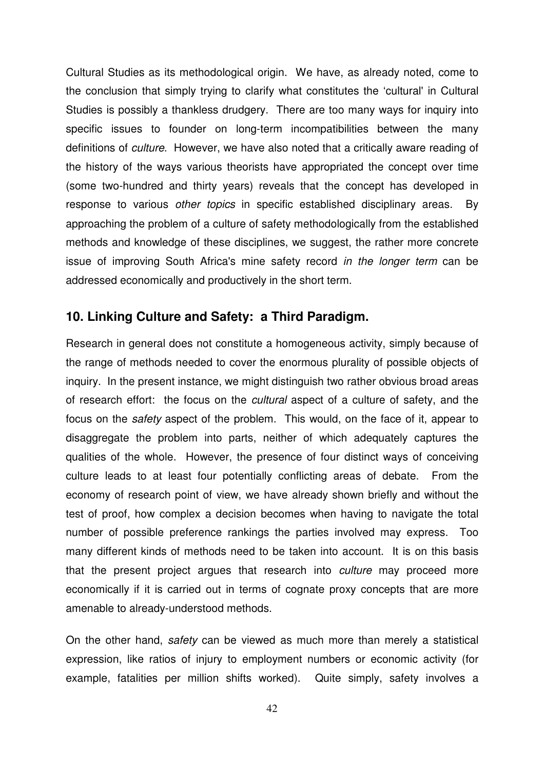Cultural Studies as its methodological origin. We have, as already noted, come to the conclusion that simply trying to clarify what constitutes the 'cultural' in Cultural Studies is possibly a thankless drudgery. There are too many ways for inquiry into specific issues to founder on long-term incompatibilities between the many definitions of *culture*. However, we have also noted that a critically aware reading of the history of the ways various theorists have appropriated the concept over time (some two-hundred and thirty years) reveals that the concept has developed in response to various *other topics* in specific established disciplinary areas. By approaching the problem of a culture of safety methodologically from the established methods and knowledge of these disciplines, we suggest, the rather more concrete issue of improving South Africa's mine safety record *in the longer term* can be addressed economically and productively in the short term.

## **10. Linking Culture and Safety: a Third Paradigm.**

Research in general does not constitute a homogeneous activity, simply because of the range of methods needed to cover the enormous plurality of possible objects of inquiry. In the present instance, we might distinguish two rather obvious broad areas of research effort: the focus on the *cultural* aspect of a culture of safety, and the focus on the *safety* aspect of the problem. This would, on the face of it, appear to disaggregate the problem into parts, neither of which adequately captures the qualities of the whole. However, the presence of four distinct ways of conceiving culture leads to at least four potentially conflicting areas of debate. From the economy of research point of view, we have already shown briefly and without the test of proof, how complex a decision becomes when having to navigate the total number of possible preference rankings the parties involved may express. Too many different kinds of methods need to be taken into account. It is on this basis that the present project argues that research into *culture* may proceed more economically if it is carried out in terms of cognate proxy concepts that are more amenable to already-understood methods.

On the other hand, *safety* can be viewed as much more than merely a statistical expression, like ratios of injury to employment numbers or economic activity (for example, fatalities per million shifts worked). Quite simply, safety involves a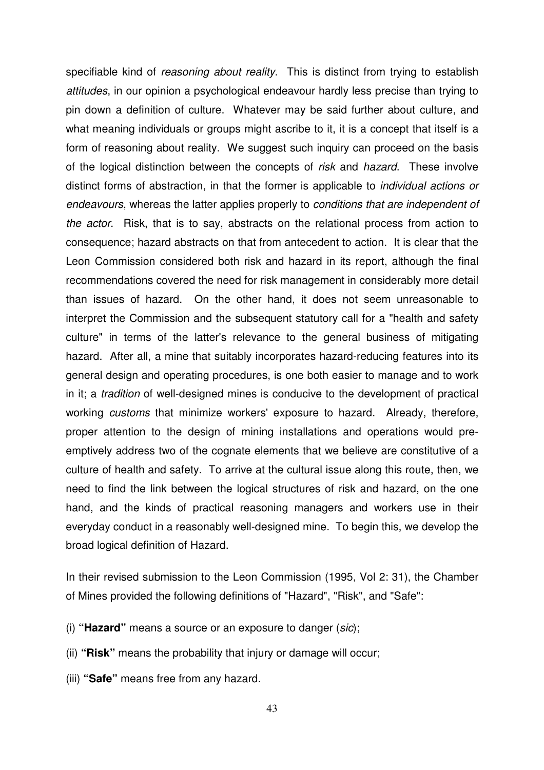specifiable kind of *reasoning about reality*. This is distinct from trying to establish *attitudes*, in our opinion a psychological endeavour hardly less precise than trying to pin down a definition of culture. Whatever may be said further about culture, and what meaning individuals or groups might ascribe to it, it is a concept that itself is a form of reasoning about reality. We suggest such inquiry can proceed on the basis of the logical distinction between the concepts of *risk* and *hazard*. These involve distinct forms of abstraction, in that the former is applicable to *individual actions or endeavours*, whereas the latter applies properly to *conditions that are independent of the actor*. Risk, that is to say, abstracts on the relational process from action to consequence; hazard abstracts on that from antecedent to action. It is clear that the Leon Commission considered both risk and hazard in its report, although the final recommendations covered the need for risk management in considerably more detail than issues of hazard. On the other hand, it does not seem unreasonable to interpret the Commission and the subsequent statutory call for a "health and safety culture" in terms of the latter's relevance to the general business of mitigating hazard. After all, a mine that suitably incorporates hazard-reducing features into its general design and operating procedures, is one both easier to manage and to work in it; a *tradition* of well-designed mines is conducive to the development of practical working *customs* that minimize workers' exposure to hazard. Already, therefore, proper attention to the design of mining installations and operations would preemptively address two of the cognate elements that we believe are constitutive of a culture of health and safety. To arrive at the cultural issue along this route, then, we need to find the link between the logical structures of risk and hazard, on the one hand, and the kinds of practical reasoning managers and workers use in their everyday conduct in a reasonably well-designed mine. To begin this, we develop the broad logical definition of Hazard.

In their revised submission to the Leon Commission (1995, Vol 2: 31), the Chamber of Mines provided the following definitions of "Hazard", "Risk", and "Safe":

- (i) **"Hazard"** means a source or an exposure to danger (*sic*);
- (ii) **"Risk"** means the probability that injury or damage will occur;
- (iii) **"Safe"** means free from any hazard.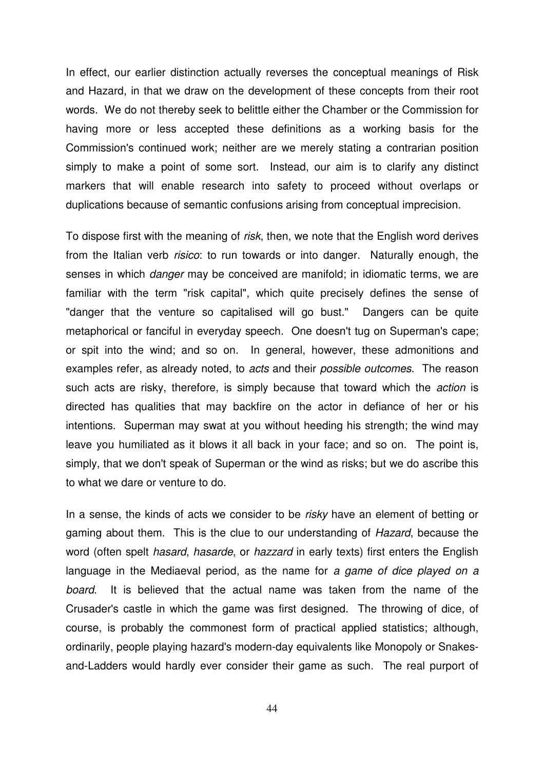In effect, our earlier distinction actually reverses the conceptual meanings of Risk and Hazard, in that we draw on the development of these concepts from their root words. We do not thereby seek to belittle either the Chamber or the Commission for having more or less accepted these definitions as a working basis for the Commission's continued work; neither are we merely stating a contrarian position simply to make a point of some sort. Instead, our aim is to clarify any distinct markers that will enable research into safety to proceed without overlaps or duplications because of semantic confusions arising from conceptual imprecision.

To dispose first with the meaning of *risk*, then, we note that the English word derives from the Italian verb *risico*: to run towards or into danger. Naturally enough, the senses in which *danger* may be conceived are manifold; in idiomatic terms, we are familiar with the term "risk capital", which quite precisely defines the sense of "danger that the venture so capitalised will go bust." Dangers can be quite metaphorical or fanciful in everyday speech. One doesn't tug on Superman's cape; or spit into the wind; and so on. In general, however, these admonitions and examples refer, as already noted, to *acts* and their *possible outcomes*. The reason such acts are risky, therefore, is simply because that toward which the *action* is directed has qualities that may backfire on the actor in defiance of her or his intentions. Superman may swat at you without heeding his strength; the wind may leave you humiliated as it blows it all back in your face; and so on. The point is, simply, that we don't speak of Superman or the wind as risks; but we do ascribe this to what we dare or venture to do.

In a sense, the kinds of acts we consider to be *risky* have an element of betting or gaming about them. This is the clue to our understanding of *Hazard*, because the word (often spelt *hasard*, *hasarde*, or *hazzard* in early texts) first enters the English language in the Mediaeval period, as the name for *a game of dice played on a board*. It is believed that the actual name was taken from the name of the Crusader's castle in which the game was first designed. The throwing of dice, of course, is probably the commonest form of practical applied statistics; although, ordinarily, people playing hazard's modern-day equivalents like Monopoly or Snakesand-Ladders would hardly ever consider their game as such. The real purport of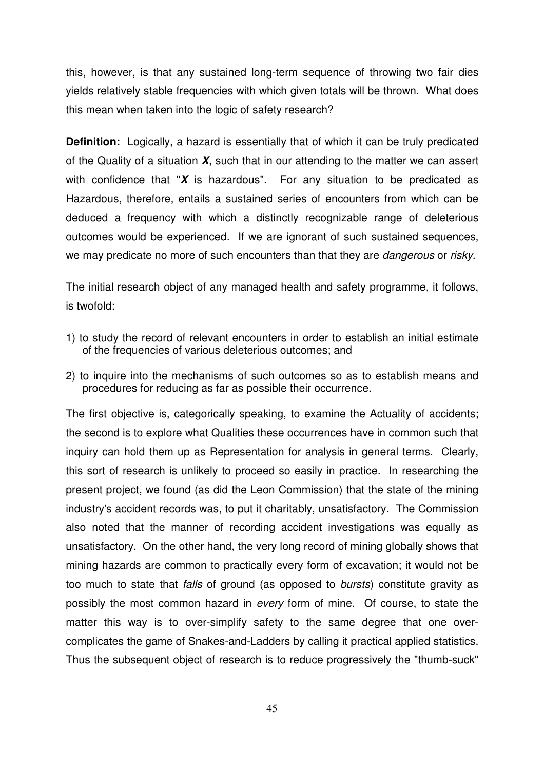this, however, is that any sustained long-term sequence of throwing two fair dies yields relatively stable frequencies with which given totals will be thrown. What does this mean when taken into the logic of safety research?

**Definition:** Logically, a hazard is essentially that of which it can be truly predicated of the Quality of a situation *X*, such that in our attending to the matter we can assert with confidence that "*X* is hazardous". For any situation to be predicated as Hazardous, therefore, entails a sustained series of encounters from which can be deduced a frequency with which a distinctly recognizable range of deleterious outcomes would be experienced. If we are ignorant of such sustained sequences, we may predicate no more of such encounters than that they are *dangerous* or *risky*.

The initial research object of any managed health and safety programme, it follows, is twofold:

- 1) to study the record of relevant encounters in order to establish an initial estimate of the frequencies of various deleterious outcomes; and
- 2) to inquire into the mechanisms of such outcomes so as to establish means and procedures for reducing as far as possible their occurrence.

The first objective is, categorically speaking, to examine the Actuality of accidents; the second is to explore what Qualities these occurrences have in common such that inquiry can hold them up as Representation for analysis in general terms. Clearly, this sort of research is unlikely to proceed so easily in practice. In researching the present project, we found (as did the Leon Commission) that the state of the mining industry's accident records was, to put it charitably, unsatisfactory. The Commission also noted that the manner of recording accident investigations was equally as unsatisfactory. On the other hand, the very long record of mining globally shows that mining hazards are common to practically every form of excavation; it would not be too much to state that *falls* of ground (as opposed to *bursts*) constitute gravity as possibly the most common hazard in *every* form of mine. Of course, to state the matter this way is to over-simplify safety to the same degree that one overcomplicates the game of Snakes-and-Ladders by calling it practical applied statistics. Thus the subsequent object of research is to reduce progressively the "thumb-suck"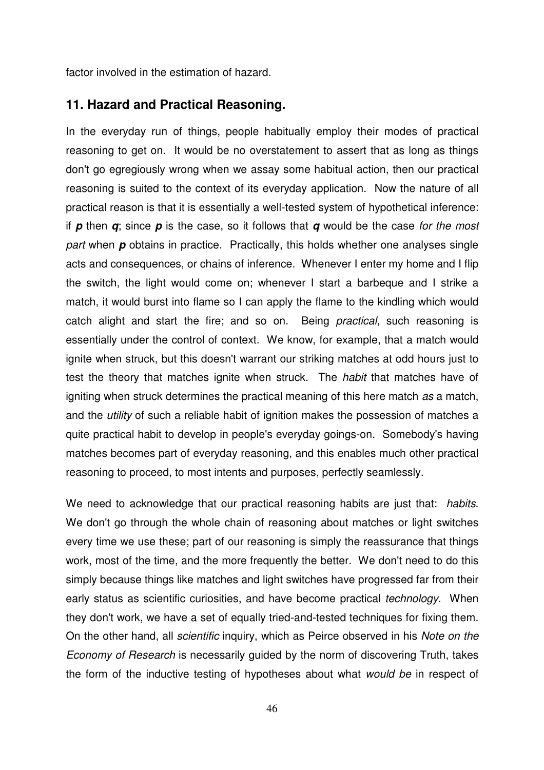factor involved in the estimation of hazard.

#### **11. Hazard and Practical Reasoning.**

In the everyday run of things, people habitually employ their modes of practical reasoning to get on. It would be no overstatement to assert that as long as things don't go egregiously wrong when we assay some habitual action, then our practical reasoning is suited to the context of its everyday application. Now the nature of all practical reason is that it is essentially a well-tested system of hypothetical inference: if *p* then *q*; since *p* is the case, so it follows that *q* would be the case *for the most part* when **p** obtains in practice. Practically, this holds whether one analyses single acts and consequences, or chains of inference. Whenever I enter my home and I flip the switch, the light would come on; whenever I start a barbeque and I strike a match, it would burst into flame so I can apply the flame to the kindling which would catch alight and start the fire; and so on. Being *practical*, such reasoning is essentially under the control of context. We know, for example, that a match would ignite when struck, but this doesn't warrant our striking matches at odd hours just to test the theory that matches ignite when struck. The *habit* that matches have of igniting when struck determines the practical meaning of this here match *as* a match, and the *utility* of such a reliable habit of ignition makes the possession of matches a quite practical habit to develop in people's everyday goings-on. Somebody's having matches becomes part of everyday reasoning, and this enables much other practical reasoning to proceed, to most intents and purposes, perfectly seamlessly.

We need to acknowledge that our practical reasoning habits are just that: *habits*. We don't go through the whole chain of reasoning about matches or light switches every time we use these; part of our reasoning is simply the reassurance that things work, most of the time, and the more frequently the better. We don't need to do this simply because things like matches and light switches have progressed far from their early status as scientific curiosities, and have become practical *technology*. When they don't work, we have a set of equally tried-and-tested techniques for fixing them. On the other hand, all *scientific* inquiry, which as Peirce observed in his *Note on the Economy of Research* is necessarily guided by the norm of discovering Truth, takes the form of the inductive testing of hypotheses about what *would be* in respect of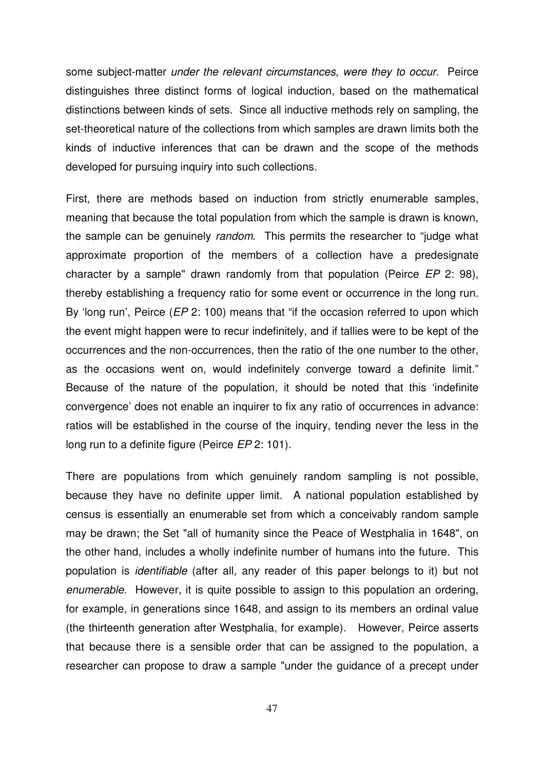some subject-matter *under the relevant circumstances, were they to occur*. Peirce distinguishes three distinct forms of logical induction, based on the mathematical distinctions between kinds of sets. Since all inductive methods rely on sampling, the set-theoretical nature of the collections from which samples are drawn limits both the kinds of inductive inferences that can be drawn and the scope of the methods developed for pursuing inquiry into such collections.

First, there are methods based on induction from strictly enumerable samples, meaning that because the total population from which the sample is drawn is known, the sample can be genuinely *random*. This permits the researcher to "judge what approximate proportion of the members of a collection have a predesignate character by a sample" drawn randomly from that population (Peirce *EP* 2: 98), thereby establishing a frequency ratio for some event or occurrence in the long run. By 'long run', Peirce (*EP* 2: 100) means that "if the occasion referred to upon which the event might happen were to recur indefinitely, and if tallies were to be kept of the occurrences and the non-occurrences, then the ratio of the one number to the other, as the occasions went on, would indefinitely converge toward a definite limit." Because of the nature of the population, it should be noted that this 'indefinite convergence' does not enable an inquirer to fix any ratio of occurrences in advance: ratios will be established in the course of the inquiry, tending never the less in the long run to a definite figure (Peirce *EP* 2: 101).

There are populations from which genuinely random sampling is not possible, because they have no definite upper limit. A national population established by census is essentially an enumerable set from which a conceivably random sample may be drawn; the Set "all of humanity since the Peace of Westphalia in 1648", on the other hand, includes a wholly indefinite number of humans into the future. This population is *identifiable* (after all, any reader of this paper belongs to it) but not *enumerable*. However, it is quite possible to assign to this population an ordering, for example, in generations since 1648, and assign to its members an ordinal value (the thirteenth generation after Westphalia, for example). However, Peirce asserts that because there is a sensible order that can be assigned to the population, a researcher can propose to draw a sample "under the guidance of a precept under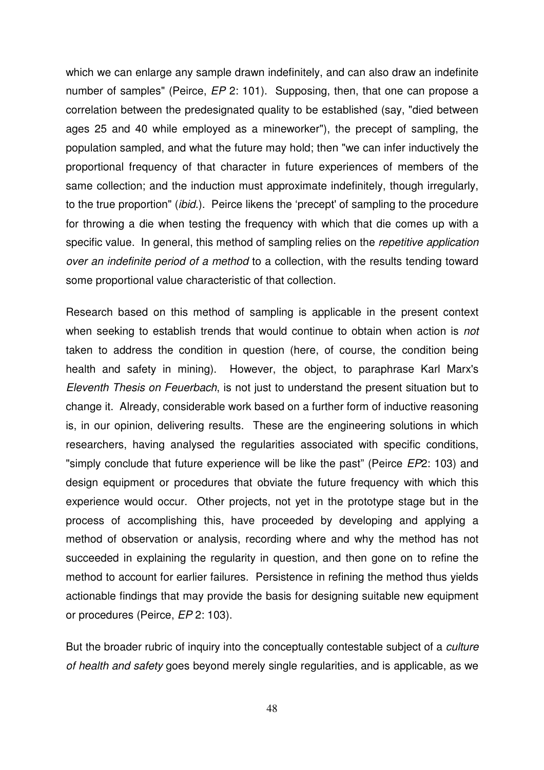which we can enlarge any sample drawn indefinitely, and can also draw an indefinite number of samples" (Peirce, *EP* 2: 101). Supposing, then, that one can propose a correlation between the predesignated quality to be established (say, "died between ages 25 and 40 while employed as a mineworker"), the precept of sampling, the population sampled, and what the future may hold; then "we can infer inductively the proportional frequency of that character in future experiences of members of the same collection; and the induction must approximate indefinitely, though irregularly, to the true proportion" (*ibid*.). Peirce likens the 'precept' of sampling to the procedure for throwing a die when testing the frequency with which that die comes up with a specific value. In general, this method of sampling relies on the *repetitive application over an indefinite period of a method* to a collection, with the results tending toward some proportional value characteristic of that collection.

Research based on this method of sampling is applicable in the present context when seeking to establish trends that would continue to obtain when action is *not* taken to address the condition in question (here, of course, the condition being health and safety in mining). However, the object, to paraphrase Karl Marx's *Eleventh Thesis on Feuerbach*, is not just to understand the present situation but to change it. Already, considerable work based on a further form of inductive reasoning is, in our opinion, delivering results. These are the engineering solutions in which researchers, having analysed the regularities associated with specific conditions, "simply conclude that future experience will be like the past" (Peirce *EP*2: 103) and design equipment or procedures that obviate the future frequency with which this experience would occur. Other projects, not yet in the prototype stage but in the process of accomplishing this, have proceeded by developing and applying a method of observation or analysis, recording where and why the method has not succeeded in explaining the regularity in question, and then gone on to refine the method to account for earlier failures. Persistence in refining the method thus yields actionable findings that may provide the basis for designing suitable new equipment or procedures (Peirce, *EP* 2: 103).

But the broader rubric of inquiry into the conceptually contestable subject of a *culture of health and safety* goes beyond merely single regularities, and is applicable, as we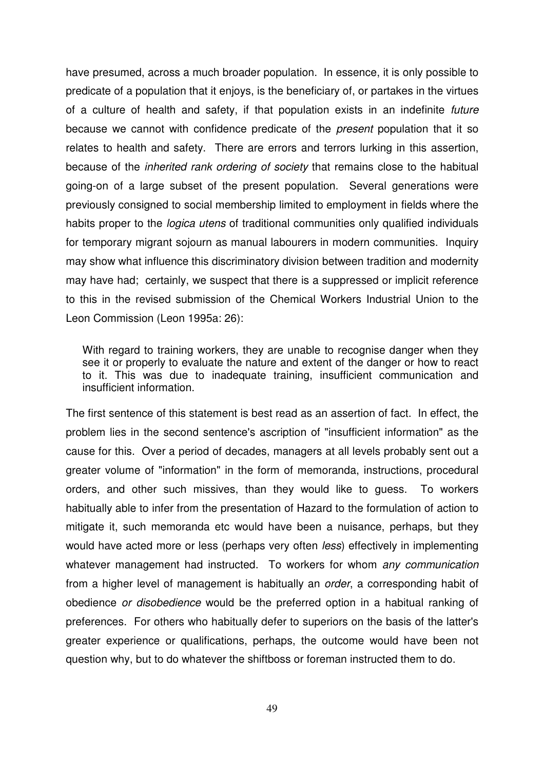have presumed, across a much broader population. In essence, it is only possible to predicate of a population that it enjoys, is the beneficiary of, or partakes in the virtues of a culture of health and safety, if that population exists in an indefinite *future* because we cannot with confidence predicate of the *present* population that it so relates to health and safety. There are errors and terrors lurking in this assertion, because of the *inherited rank ordering of society* that remains close to the habitual going-on of a large subset of the present population. Several generations were previously consigned to social membership limited to employment in fields where the habits proper to the *logica utens* of traditional communities only qualified individuals for temporary migrant sojourn as manual labourers in modern communities. Inquiry may show what influence this discriminatory division between tradition and modernity may have had; certainly, we suspect that there is a suppressed or implicit reference to this in the revised submission of the Chemical Workers Industrial Union to the Leon Commission (Leon 1995a: 26):

With regard to training workers, they are unable to recognise danger when they see it or properly to evaluate the nature and extent of the danger or how to react to it. This was due to inadequate training, insufficient communication and insufficient information.

The first sentence of this statement is best read as an assertion of fact. In effect, the problem lies in the second sentence's ascription of "insufficient information" as the cause for this. Over a period of decades, managers at all levels probably sent out a greater volume of "information" in the form of memoranda, instructions, procedural orders, and other such missives, than they would like to guess. To workers habitually able to infer from the presentation of Hazard to the formulation of action to mitigate it, such memoranda etc would have been a nuisance, perhaps, but they would have acted more or less (perhaps very often *less*) effectively in implementing whatever management had instructed. To workers for whom *any communication* from a higher level of management is habitually an *order*, a corresponding habit of obedience *or disobedience* would be the preferred option in a habitual ranking of preferences. For others who habitually defer to superiors on the basis of the latter's greater experience or qualifications, perhaps, the outcome would have been not question why, but to do whatever the shiftboss or foreman instructed them to do.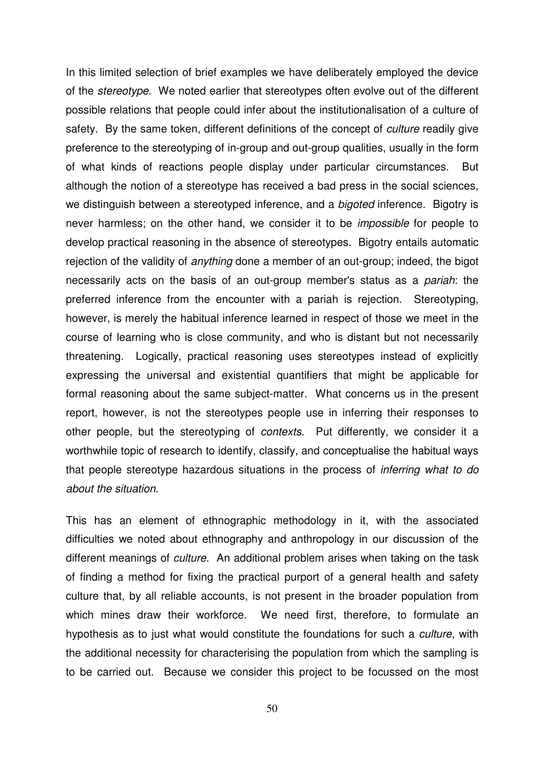In this limited selection of brief examples we have deliberately employed the device of the *stereotype*. We noted earlier that stereotypes often evolve out of the different possible relations that people could infer about the institutionalisation of a culture of safety. By the same token, different definitions of the concept of *culture* readily give preference to the stereotyping of in-group and out-group qualities, usually in the form of what kinds of reactions people display under particular circumstances. But although the notion of a stereotype has received a bad press in the social sciences, we distinguish between a stereotyped inference, and a *bigoted* inference. Bigotry is never harmless; on the other hand, we consider it to be *impossible* for people to develop practical reasoning in the absence of stereotypes. Bigotry entails automatic rejection of the validity of *anything* done a member of an out-group; indeed, the bigot necessarily acts on the basis of an out-group member's status as a *pariah*: the preferred inference from the encounter with a pariah is rejection. Stereotyping, however, is merely the habitual inference learned in respect of those we meet in the course of learning who is close community, and who is distant but not necessarily threatening. Logically, practical reasoning uses stereotypes instead of explicitly expressing the universal and existential quantifiers that might be applicable for formal reasoning about the same subject-matter. What concerns us in the present report, however, is not the stereotypes people use in inferring their responses to other people, but the stereotyping of *contexts*. Put differently, we consider it a worthwhile topic of research to identify, classify, and conceptualise the habitual ways that people stereotype hazardous situations in the process of *inferring what to do about the situation*.

This has an element of ethnographic methodology in it, with the associated difficulties we noted about ethnography and anthropology in our discussion of the different meanings of *culture*. An additional problem arises when taking on the task of finding a method for fixing the practical purport of a general health and safety culture that, by all reliable accounts, is not present in the broader population from which mines draw their workforce. We need first, therefore, to formulate an hypothesis as to just what would constitute the foundations for such a *culture*, with the additional necessity for characterising the population from which the sampling is to be carried out. Because we consider this project to be focussed on the most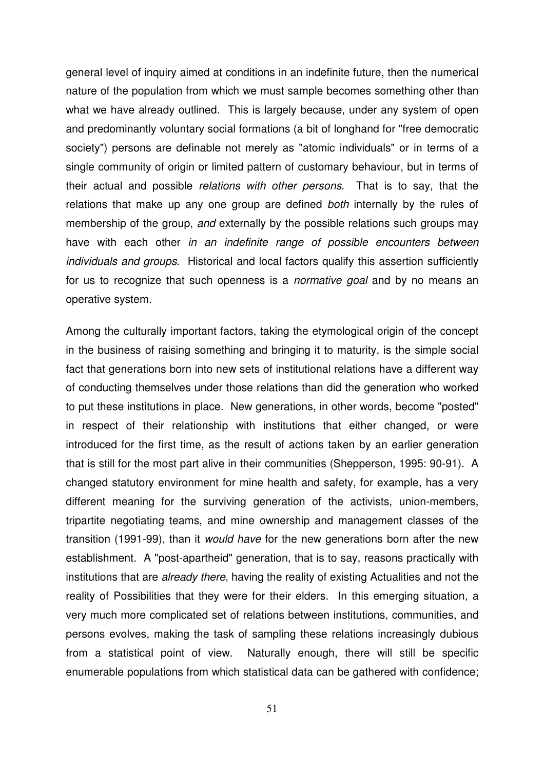general level of inquiry aimed at conditions in an indefinite future, then the numerical nature of the population from which we must sample becomes something other than what we have already outlined. This is largely because, under any system of open and predominantly voluntary social formations (a bit of longhand for "free democratic society") persons are definable not merely as "atomic individuals" or in terms of a single community of origin or limited pattern of customary behaviour, but in terms of their actual and possible *relations with other persons*. That is to say, that the relations that make up any one group are defined *both* internally by the rules of membership of the group, *and* externally by the possible relations such groups may have with each other *in an indefinite range of possible encounters between individuals and groups*. Historical and local factors qualify this assertion sufficiently for us to recognize that such openness is a *normative goal* and by no means an operative system.

Among the culturally important factors, taking the etymological origin of the concept in the business of raising something and bringing it to maturity, is the simple social fact that generations born into new sets of institutional relations have a different way of conducting themselves under those relations than did the generation who worked to put these institutions in place. New generations, in other words, become "posted" in respect of their relationship with institutions that either changed, or were introduced for the first time, as the result of actions taken by an earlier generation that is still for the most part alive in their communities (Shepperson, 1995: 90-91). A changed statutory environment for mine health and safety, for example, has a very different meaning for the surviving generation of the activists, union-members, tripartite negotiating teams, and mine ownership and management classes of the transition (1991-99), than it *would have* for the new generations born after the new establishment. A "post-apartheid" generation, that is to say, reasons practically with institutions that are *already there*, having the reality of existing Actualities and not the reality of Possibilities that they were for their elders. In this emerging situation, a very much more complicated set of relations between institutions, communities, and persons evolves, making the task of sampling these relations increasingly dubious from a statistical point of view. Naturally enough, there will still be specific enumerable populations from which statistical data can be gathered with confidence;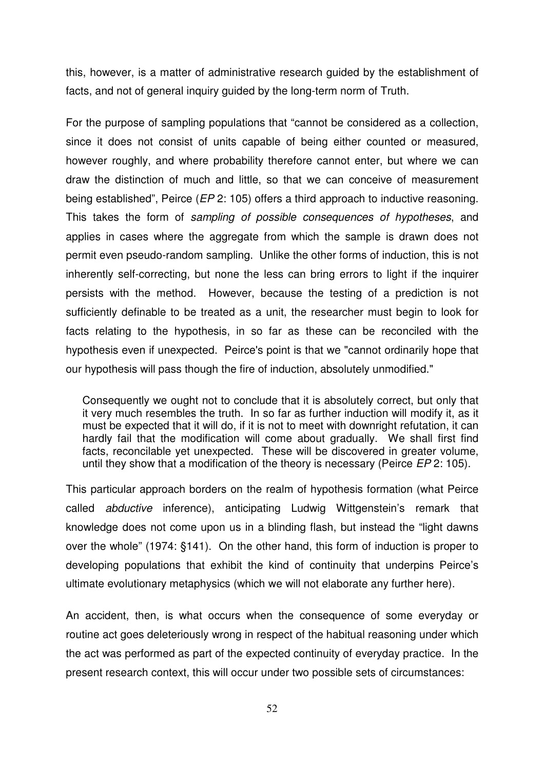this, however, is a matter of administrative research guided by the establishment of facts, and not of general inquiry guided by the long-term norm of Truth.

For the purpose of sampling populations that "cannot be considered as a collection, since it does not consist of units capable of being either counted or measured, however roughly, and where probability therefore cannot enter, but where we can draw the distinction of much and little, so that we can conceive of measurement being established", Peirce (*EP* 2: 105) offers a third approach to inductive reasoning. This takes the form of *sampling of possible consequences of hypotheses*, and applies in cases where the aggregate from which the sample is drawn does not permit even pseudo-random sampling. Unlike the other forms of induction, this is not inherently self-correcting, but none the less can bring errors to light if the inquirer persists with the method. However, because the testing of a prediction is not sufficiently definable to be treated as a unit, the researcher must begin to look for facts relating to the hypothesis, in so far as these can be reconciled with the hypothesis even if unexpected. Peirce's point is that we "cannot ordinarily hope that our hypothesis will pass though the fire of induction, absolutely unmodified."

Consequently we ought not to conclude that it is absolutely correct, but only that it very much resembles the truth. In so far as further induction will modify it, as it must be expected that it will do, if it is not to meet with downright refutation, it can hardly fail that the modification will come about gradually. We shall first find facts, reconcilable yet unexpected. These will be discovered in greater volume, until they show that a modification of the theory is necessary (Peirce *EP* 2: 105).

This particular approach borders on the realm of hypothesis formation (what Peirce called *abductive* inference), anticipating Ludwig Wittgenstein's remark that knowledge does not come upon us in a blinding flash, but instead the "light dawns over the whole" (1974: §141). On the other hand, this form of induction is proper to developing populations that exhibit the kind of continuity that underpins Peirce's ultimate evolutionary metaphysics (which we will not elaborate any further here).

An accident, then, is what occurs when the consequence of some everyday or routine act goes deleteriously wrong in respect of the habitual reasoning under which the act was performed as part of the expected continuity of everyday practice. In the present research context, this will occur under two possible sets of circumstances: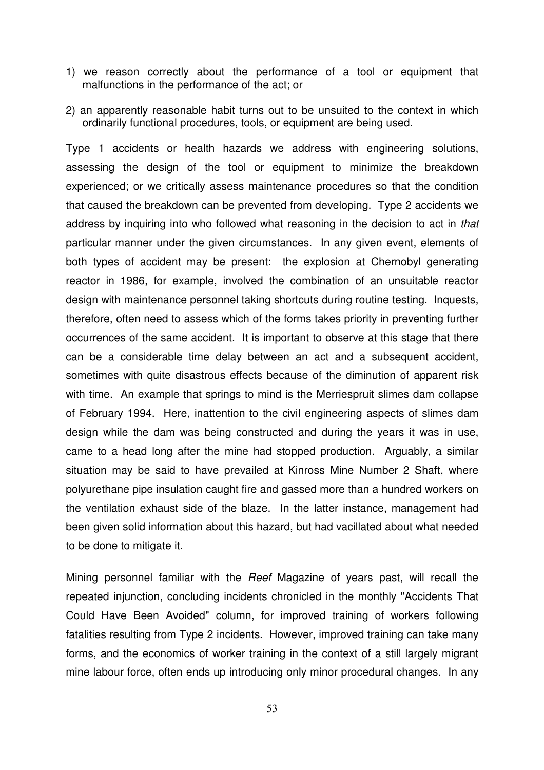- 1) we reason correctly about the performance of a tool or equipment that malfunctions in the performance of the act; or
- 2) an apparently reasonable habit turns out to be unsuited to the context in which ordinarily functional procedures, tools, or equipment are being used.

Type 1 accidents or health hazards we address with engineering solutions, assessing the design of the tool or equipment to minimize the breakdown experienced; or we critically assess maintenance procedures so that the condition that caused the breakdown can be prevented from developing. Type 2 accidents we address by inquiring into who followed what reasoning in the decision to act in *that* particular manner under the given circumstances. In any given event, elements of both types of accident may be present: the explosion at Chernobyl generating reactor in 1986, for example, involved the combination of an unsuitable reactor design with maintenance personnel taking shortcuts during routine testing. Inquests, therefore, often need to assess which of the forms takes priority in preventing further occurrences of the same accident. It is important to observe at this stage that there can be a considerable time delay between an act and a subsequent accident, sometimes with quite disastrous effects because of the diminution of apparent risk with time. An example that springs to mind is the Merriespruit slimes dam collapse of February 1994. Here, inattention to the civil engineering aspects of slimes dam design while the dam was being constructed and during the years it was in use, came to a head long after the mine had stopped production. Arguably, a similar situation may be said to have prevailed at Kinross Mine Number 2 Shaft, where polyurethane pipe insulation caught fire and gassed more than a hundred workers on the ventilation exhaust side of the blaze. In the latter instance, management had been given solid information about this hazard, but had vacillated about what needed to be done to mitigate it.

Mining personnel familiar with the *Reef* Magazine of years past, will recall the repeated injunction, concluding incidents chronicled in the monthly "Accidents That Could Have Been Avoided" column, for improved training of workers following fatalities resulting from Type 2 incidents. However, improved training can take many forms, and the economics of worker training in the context of a still largely migrant mine labour force, often ends up introducing only minor procedural changes. In any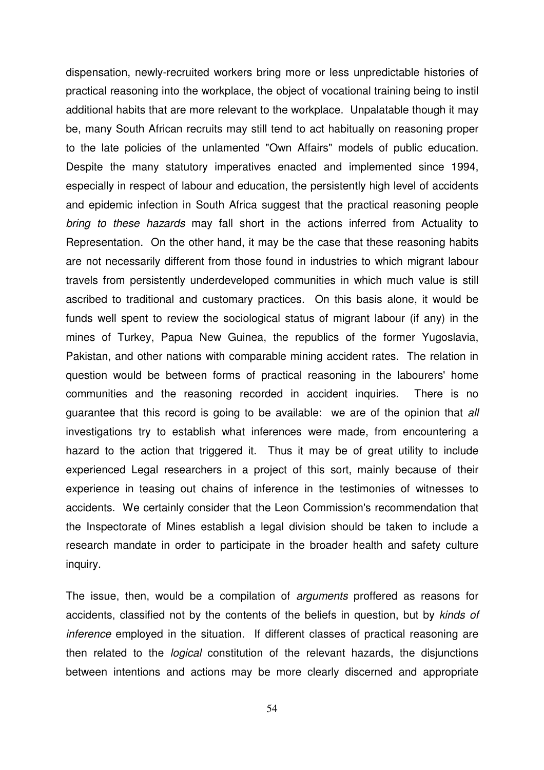dispensation, newly-recruited workers bring more or less unpredictable histories of practical reasoning into the workplace, the object of vocational training being to instil additional habits that are more relevant to the workplace. Unpalatable though it may be, many South African recruits may still tend to act habitually on reasoning proper to the late policies of the unlamented "Own Affairs" models of public education. Despite the many statutory imperatives enacted and implemented since 1994, especially in respect of labour and education, the persistently high level of accidents and epidemic infection in South Africa suggest that the practical reasoning people *bring to these hazards* may fall short in the actions inferred from Actuality to Representation. On the other hand, it may be the case that these reasoning habits are not necessarily different from those found in industries to which migrant labour travels from persistently underdeveloped communities in which much value is still ascribed to traditional and customary practices. On this basis alone, it would be funds well spent to review the sociological status of migrant labour (if any) in the mines of Turkey, Papua New Guinea, the republics of the former Yugoslavia, Pakistan, and other nations with comparable mining accident rates. The relation in question would be between forms of practical reasoning in the labourers' home communities and the reasoning recorded in accident inquiries. There is no guarantee that this record is going to be available: we are of the opinion that *all* investigations try to establish what inferences were made, from encountering a hazard to the action that triggered it. Thus it may be of great utility to include experienced Legal researchers in a project of this sort, mainly because of their experience in teasing out chains of inference in the testimonies of witnesses to accidents. We certainly consider that the Leon Commission's recommendation that the Inspectorate of Mines establish a legal division should be taken to include a research mandate in order to participate in the broader health and safety culture inquiry.

The issue, then, would be a compilation of *arguments* proffered as reasons for accidents, classified not by the contents of the beliefs in question, but by *kinds of inference* employed in the situation. If different classes of practical reasoning are then related to the *logical* constitution of the relevant hazards, the disjunctions between intentions and actions may be more clearly discerned and appropriate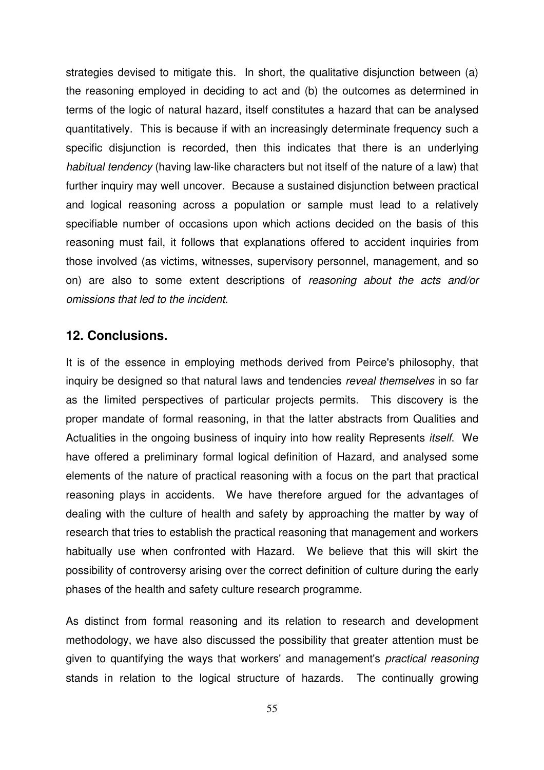strategies devised to mitigate this. In short, the qualitative disjunction between (a) the reasoning employed in deciding to act and (b) the outcomes as determined in terms of the logic of natural hazard, itself constitutes a hazard that can be analysed quantitatively. This is because if with an increasingly determinate frequency such a specific disjunction is recorded, then this indicates that there is an underlying *habitual tendency* (having law-like characters but not itself of the nature of a law) that further inquiry may well uncover. Because a sustained disjunction between practical and logical reasoning across a population or sample must lead to a relatively specifiable number of occasions upon which actions decided on the basis of this reasoning must fail, it follows that explanations offered to accident inquiries from those involved (as victims, witnesses, supervisory personnel, management, and so on) are also to some extent descriptions of *reasoning about the acts and/or omissions that led to the incident*.

#### **12. Conclusions.**

It is of the essence in employing methods derived from Peirce's philosophy, that inquiry be designed so that natural laws and tendencies *reveal themselves* in so far as the limited perspectives of particular projects permits. This discovery is the proper mandate of formal reasoning, in that the latter abstracts from Qualities and Actualities in the ongoing business of inquiry into how reality Represents *itself*. We have offered a preliminary formal logical definition of Hazard, and analysed some elements of the nature of practical reasoning with a focus on the part that practical reasoning plays in accidents. We have therefore argued for the advantages of dealing with the culture of health and safety by approaching the matter by way of research that tries to establish the practical reasoning that management and workers habitually use when confronted with Hazard. We believe that this will skirt the possibility of controversy arising over the correct definition of culture during the early phases of the health and safety culture research programme.

As distinct from formal reasoning and its relation to research and development methodology, we have also discussed the possibility that greater attention must be given to quantifying the ways that workers' and management's *practical reasoning* stands in relation to the logical structure of hazards. The continually growing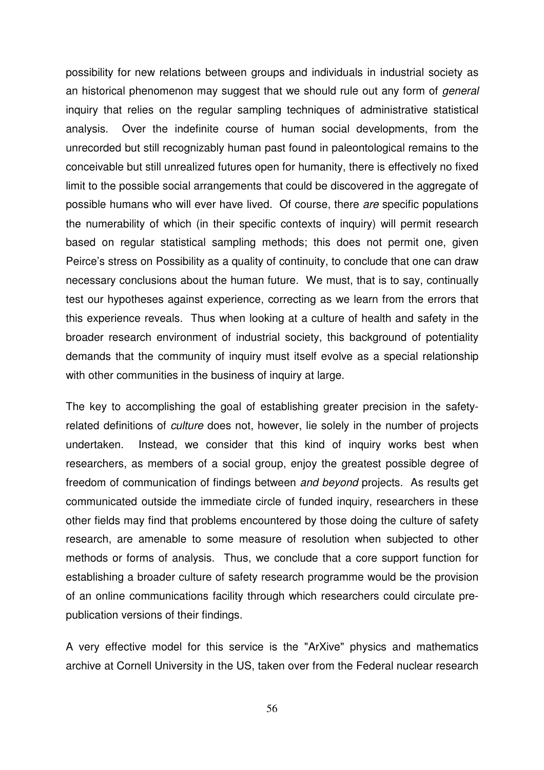possibility for new relations between groups and individuals in industrial society as an historical phenomenon may suggest that we should rule out any form of *general* inquiry that relies on the regular sampling techniques of administrative statistical analysis. Over the indefinite course of human social developments, from the unrecorded but still recognizably human past found in paleontological remains to the conceivable but still unrealized futures open for humanity, there is effectively no fixed limit to the possible social arrangements that could be discovered in the aggregate of possible humans who will ever have lived. Of course, there *are* specific populations the numerability of which (in their specific contexts of inquiry) will permit research based on regular statistical sampling methods; this does not permit one, given Peirce's stress on Possibility as a quality of continuity, to conclude that one can draw necessary conclusions about the human future. We must, that is to say, continually test our hypotheses against experience, correcting as we learn from the errors that this experience reveals. Thus when looking at a culture of health and safety in the broader research environment of industrial society, this background of potentiality demands that the community of inquiry must itself evolve as a special relationship with other communities in the business of inquiry at large.

The key to accomplishing the goal of establishing greater precision in the safetyrelated definitions of *culture* does not, however, lie solely in the number of projects undertaken. Instead, we consider that this kind of inquiry works best when researchers, as members of a social group, enjoy the greatest possible degree of freedom of communication of findings between *and beyond* projects. As results get communicated outside the immediate circle of funded inquiry, researchers in these other fields may find that problems encountered by those doing the culture of safety research, are amenable to some measure of resolution when subjected to other methods or forms of analysis. Thus, we conclude that a core support function for establishing a broader culture of safety research programme would be the provision of an online communications facility through which researchers could circulate prepublication versions of their findings.

A very effective model for this service is the "ArXive" physics and mathematics archive at Cornell University in the US, taken over from the Federal nuclear research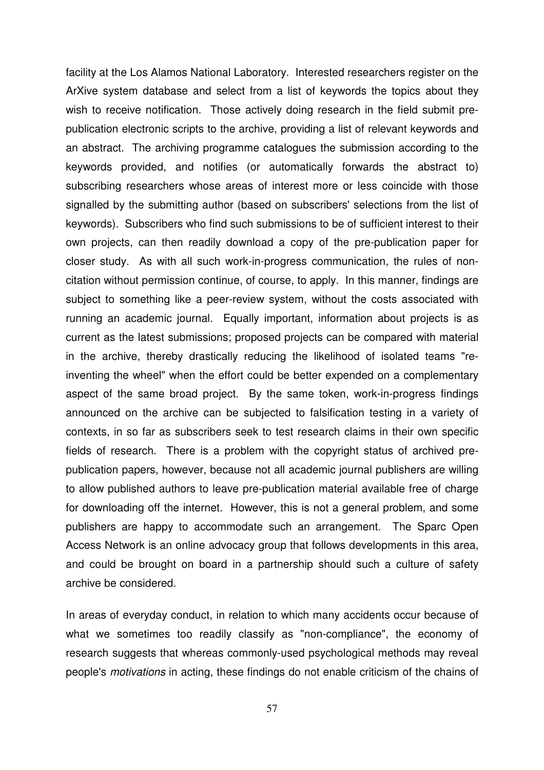facility at the Los Alamos National Laboratory. Interested researchers register on the ArXive system database and select from a list of keywords the topics about they wish to receive notification. Those actively doing research in the field submit prepublication electronic scripts to the archive, providing a list of relevant keywords and an abstract. The archiving programme catalogues the submission according to the keywords provided, and notifies (or automatically forwards the abstract to) subscribing researchers whose areas of interest more or less coincide with those signalled by the submitting author (based on subscribers' selections from the list of keywords). Subscribers who find such submissions to be of sufficient interest to their own projects, can then readily download a copy of the pre-publication paper for closer study. As with all such work-in-progress communication, the rules of noncitation without permission continue, of course, to apply. In this manner, findings are subject to something like a peer-review system, without the costs associated with running an academic journal. Equally important, information about projects is as current as the latest submissions; proposed projects can be compared with material in the archive, thereby drastically reducing the likelihood of isolated teams "reinventing the wheel" when the effort could be better expended on a complementary aspect of the same broad project. By the same token, work-in-progress findings announced on the archive can be subjected to falsification testing in a variety of contexts, in so far as subscribers seek to test research claims in their own specific fields of research. There is a problem with the copyright status of archived prepublication papers, however, because not all academic journal publishers are willing to allow published authors to leave pre-publication material available free of charge for downloading off the internet. However, this is not a general problem, and some publishers are happy to accommodate such an arrangement. The Sparc Open Access Network is an online advocacy group that follows developments in this area, and could be brought on board in a partnership should such a culture of safety archive be considered.

In areas of everyday conduct, in relation to which many accidents occur because of what we sometimes too readily classify as "non-compliance", the economy of research suggests that whereas commonly-used psychological methods may reveal people's *motivations* in acting, these findings do not enable criticism of the chains of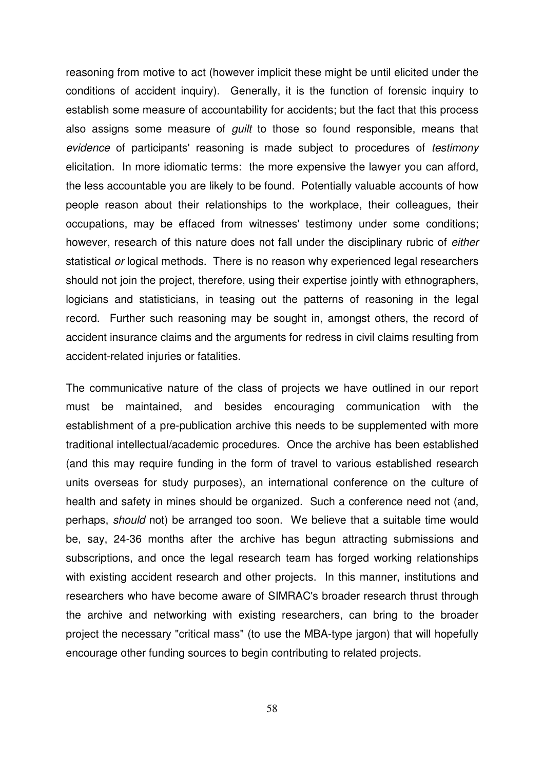reasoning from motive to act (however implicit these might be until elicited under the conditions of accident inquiry). Generally, it is the function of forensic inquiry to establish some measure of accountability for accidents; but the fact that this process also assigns some measure of *guilt* to those so found responsible, means that *evidence* of participants' reasoning is made subject to procedures of *testimony* elicitation. In more idiomatic terms: the more expensive the lawyer you can afford, the less accountable you are likely to be found. Potentially valuable accounts of how people reason about their relationships to the workplace, their colleagues, their occupations, may be effaced from witnesses' testimony under some conditions; however, research of this nature does not fall under the disciplinary rubric of *either* statistical *or* logical methods. There is no reason why experienced legal researchers should not join the project, therefore, using their expertise jointly with ethnographers, logicians and statisticians, in teasing out the patterns of reasoning in the legal record. Further such reasoning may be sought in, amongst others, the record of accident insurance claims and the arguments for redress in civil claims resulting from accident-related injuries or fatalities.

The communicative nature of the class of projects we have outlined in our report must be maintained, and besides encouraging communication with the establishment of a pre-publication archive this needs to be supplemented with more traditional intellectual/academic procedures. Once the archive has been established (and this may require funding in the form of travel to various established research units overseas for study purposes), an international conference on the culture of health and safety in mines should be organized. Such a conference need not (and, perhaps, *should* not) be arranged too soon. We believe that a suitable time would be, say, 24-36 months after the archive has begun attracting submissions and subscriptions, and once the legal research team has forged working relationships with existing accident research and other projects. In this manner, institutions and researchers who have become aware of SIMRAC's broader research thrust through the archive and networking with existing researchers, can bring to the broader project the necessary "critical mass" (to use the MBA-type jargon) that will hopefully encourage other funding sources to begin contributing to related projects.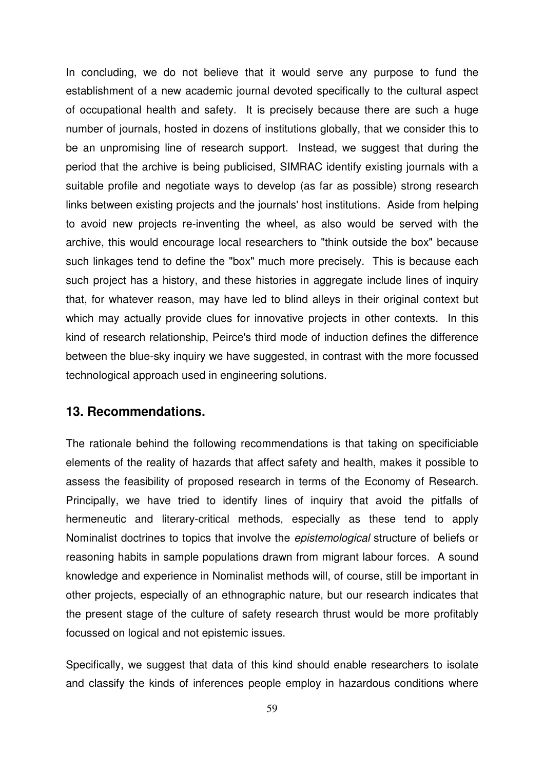In concluding, we do not believe that it would serve any purpose to fund the establishment of a new academic journal devoted specifically to the cultural aspect of occupational health and safety. It is precisely because there are such a huge number of journals, hosted in dozens of institutions globally, that we consider this to be an unpromising line of research support. Instead, we suggest that during the period that the archive is being publicised, SIMRAC identify existing journals with a suitable profile and negotiate ways to develop (as far as possible) strong research links between existing projects and the journals' host institutions. Aside from helping to avoid new projects re-inventing the wheel, as also would be served with the archive, this would encourage local researchers to "think outside the box" because such linkages tend to define the "box" much more precisely. This is because each such project has a history, and these histories in aggregate include lines of inquiry that, for whatever reason, may have led to blind alleys in their original context but which may actually provide clues for innovative projects in other contexts. In this kind of research relationship, Peirce's third mode of induction defines the difference between the blue-sky inquiry we have suggested, in contrast with the more focussed technological approach used in engineering solutions.

#### **13. Recommendations.**

The rationale behind the following recommendations is that taking on specificiable elements of the reality of hazards that affect safety and health, makes it possible to assess the feasibility of proposed research in terms of the Economy of Research. Principally, we have tried to identify lines of inquiry that avoid the pitfalls of hermeneutic and literary-critical methods, especially as these tend to apply Nominalist doctrines to topics that involve the *epistemological* structure of beliefs or reasoning habits in sample populations drawn from migrant labour forces. A sound knowledge and experience in Nominalist methods will, of course, still be important in other projects, especially of an ethnographic nature, but our research indicates that the present stage of the culture of safety research thrust would be more profitably focussed on logical and not epistemic issues.

Specifically, we suggest that data of this kind should enable researchers to isolate and classify the kinds of inferences people employ in hazardous conditions where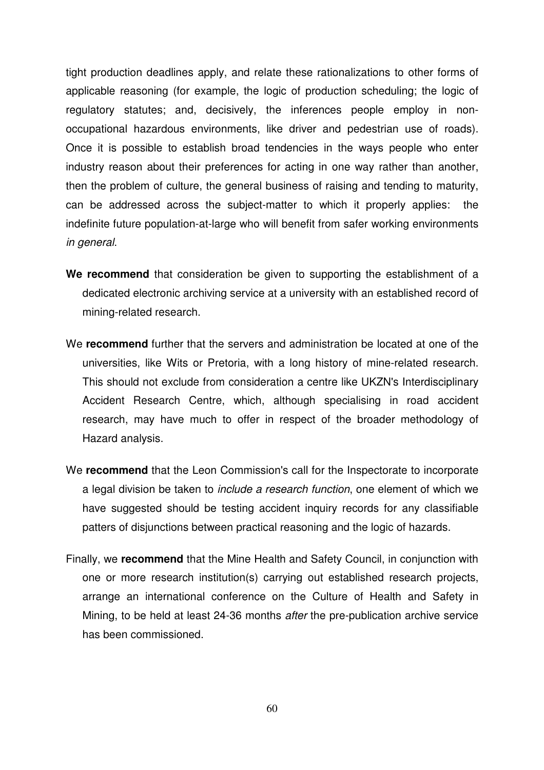tight production deadlines apply, and relate these rationalizations to other forms of applicable reasoning (for example, the logic of production scheduling; the logic of regulatory statutes; and, decisively, the inferences people employ in nonoccupational hazardous environments, like driver and pedestrian use of roads). Once it is possible to establish broad tendencies in the ways people who enter industry reason about their preferences for acting in one way rather than another, then the problem of culture, the general business of raising and tending to maturity, can be addressed across the subject-matter to which it properly applies: the indefinite future population-at-large who will benefit from safer working environments *in general*.

- **We recommend** that consideration be given to supporting the establishment of a dedicated electronic archiving service at a university with an established record of mining-related research.
- We **recommend** further that the servers and administration be located at one of the universities, like Wits or Pretoria, with a long history of mine-related research. This should not exclude from consideration a centre like UKZN's Interdisciplinary Accident Research Centre, which, although specialising in road accident research, may have much to offer in respect of the broader methodology of Hazard analysis.
- We **recommend** that the Leon Commission's call for the Inspectorate to incorporate a legal division be taken to *include a research function*, one element of which we have suggested should be testing accident inquiry records for any classifiable patters of disjunctions between practical reasoning and the logic of hazards.
- Finally, we **recommend** that the Mine Health and Safety Council, in conjunction with one or more research institution(s) carrying out established research projects, arrange an international conference on the Culture of Health and Safety in Mining, to be held at least 24-36 months *after* the pre-publication archive service has been commissioned.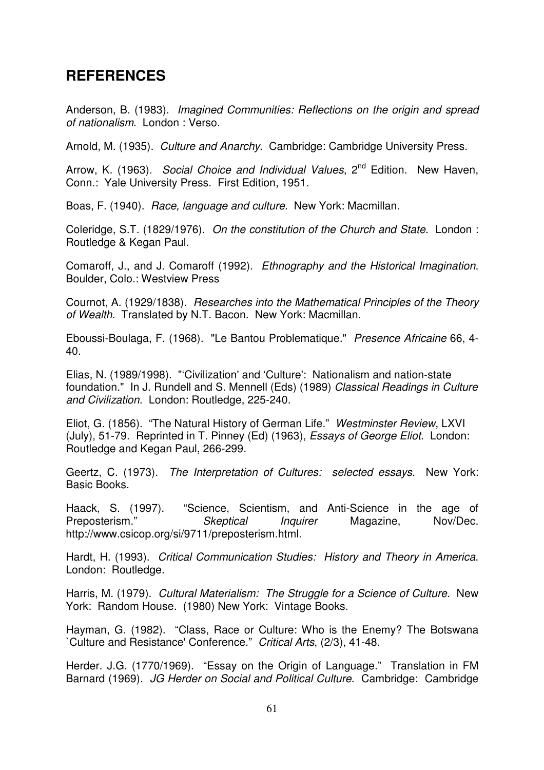# **REFERENCES**

Anderson, B. (1983). *Imagined Communities: Reflections on the origin and spread of nationalism*. London : Verso.

Arnold, M. (1935). *Culture and Anarchy*. Cambridge: Cambridge University Press.

Arrow, K. (1963). *Social Choice and Individual Values*, 2 nd Edition. New Haven, Conn.: Yale University Press. First Edition, 1951.

Boas, F. (1940). *Race, language and culture*. New York: Macmillan.

Coleridge, S.T. (1829/1976). *On the constitution of the Church and State*. London : Routledge & Kegan Paul.

Comaroff, J., and J. Comaroff (1992). *Ethnography and the Historical Imagination*. Boulder, Colo.: Westview Press

Cournot, A. (1929/1838). *Researches into the Mathematical Principles of the Theory of Wealth*. Translated by N.T. Bacon. New York: Macmillan.

Eboussi-Boulaga, F. (1968). "Le Bantou Problematique." *Presence Africaine* 66, 4- 40.

Elias, N. (1989/1998). "'Civilization' and 'Culture': Nationalism and nation-state foundation." In J. Rundell and S. Mennell (Eds) (1989) *Classical Readings in Culture and Civilization*. London: Routledge, 225-240.

Eliot, G. (1856). "The Natural History of German Life." *Westminster Review*, LXVI (July), 51-79. Reprinted in T. Pinney (Ed) (1963), *Essays of George Eliot*. London: Routledge and Kegan Paul, 266-299.

Geertz, C. (1973). *The Interpretation of Cultures: selected essays*. New York: Basic Books.

Haack, S. (1997). "Science, Scientism, and Anti-Science in the age of Preposterism." *Skeptical Inquirer* Magazine, Nov/Dec. http://www.csicop.org/si/9711/preposterism.html.

Hardt, H. (1993). *Critical Communication Studies: History and Theory in America*. London: Routledge.

Harris, M. (1979). *Cultural Materialism: The Struggle for a Science of Culture*. New York: Random House. (1980) New York: Vintage Books.

Hayman, G. (1982). "Class, Race or Culture: Who is the Enemy? The Botswana `Culture and Resistance' Conference." *Critical Arts*, (2/3), 41-48.

Herder. J.G. (1770/1969). "Essay on the Origin of Language." Translation in FM Barnard (1969). *JG Herder on Social and Political Culture*. Cambridge: Cambridge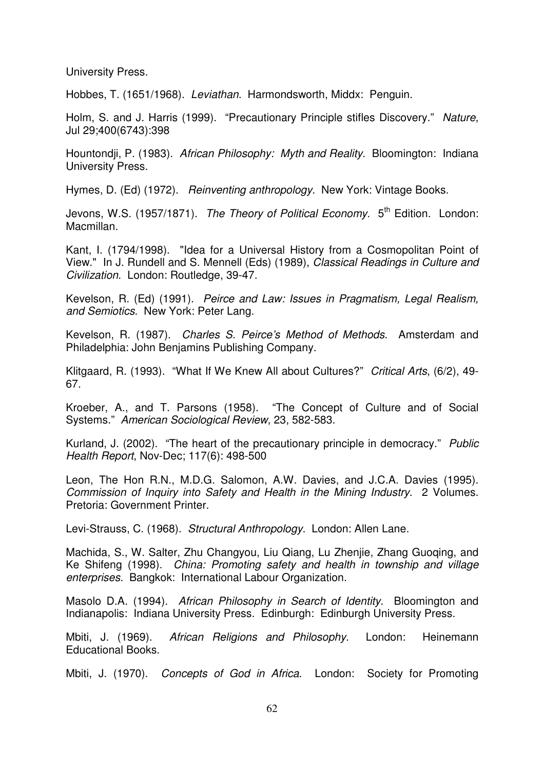University Press.

Hobbes, T. (1651/1968). *Leviathan*. Harmondsworth, Middx: Penguin.

Holm, S. and J. Harris (1999). "Precautionary Principle stifles Discovery." *Nature*, Jul 29;400(6743):398

Hountondji, P. (1983). *African Philosophy: Myth and Reality*. Bloomington: Indiana University Press.

Hymes, D. (Ed) (1972). *Reinventing anthropology*. New York: Vintage Books.

Jevons, W.S. (1957/1871). *The Theory of Political Economy*. 5 th Edition. London: Macmillan.

Kant, I. (1794/1998). "Idea for a Universal History from a Cosmopolitan Point of View." In J. Rundell and S. Mennell (Eds) (1989), *Classical Readings in Culture and Civilization*. London: Routledge, 39-47.

Kevelson, R. (Ed) (1991). *Peirce and Law: Issues in Pragmatism, Legal Realism, and Semiotics*. New York: Peter Lang.

Kevelson, R. (1987). *Charles S. Peirce's Method of Methods*. Amsterdam and Philadelphia: John Benjamins Publishing Company.

Klitgaard, R. (1993). "What If We Knew All about Cultures?" *Critical Arts*, (6/2), 49- 67.

Kroeber, A., and T. Parsons (1958). "The Concept of Culture and of Social Systems." *American Sociological Review*, 23, 582-583.

Kurland, J. (2002). "The heart of the precautionary principle in democracy." *Public Health Report*, Nov-Dec; 117(6): 498-500

Leon, The Hon R.N., M.D.G. Salomon, A.W. Davies, and J.C.A. Davies (1995). *Commission of Inquiry into Safety and Health in the Mining Industry*. 2 Volumes. Pretoria: Government Printer.

Levi-Strauss, C. (1968). *Structural Anthropology*. London: Allen Lane.

Machida, S., W. Salter, Zhu Changyou, Liu Qiang, Lu Zhenjie, Zhang Guoqing, and Ke Shifeng (1998). *China: Promoting safety and health in township and village enterprises*. Bangkok: International Labour Organization.

Masolo D.A. (1994). *African Philosophy in Search of Identity*. Bloomington and Indianapolis: Indiana University Press. Edinburgh: Edinburgh University Press.

Mbiti, J. (1969). *African Religions and Philosophy*. London: Heinemann Educational Books.

Mbiti, J. (1970). *Concepts of God in Africa*. London: Society for Promoting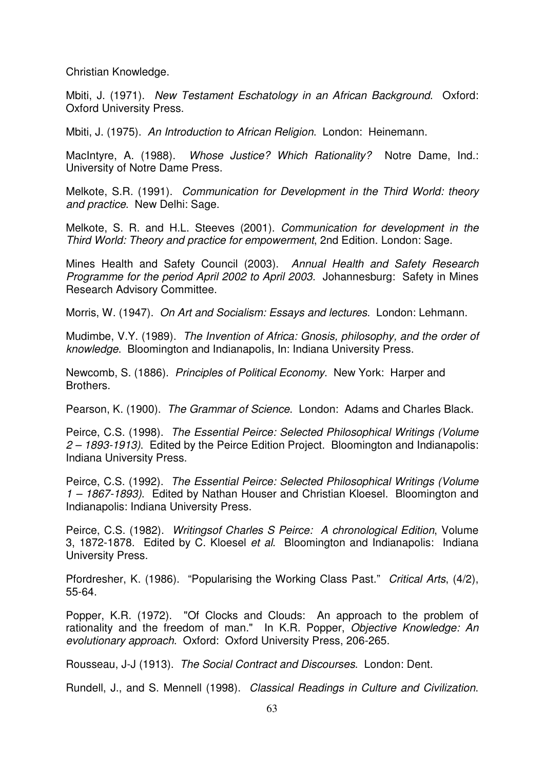Christian Knowledge.

Mbiti, J. (1971). *New Testament Eschatology in an African Background*. Oxford: Oxford University Press.

Mbiti, J. (1975). *An Introduction to African Religion*. London: Heinemann.

MacIntyre, A. (1988). *Whose Justice? Which Rationality?* Notre Dame, Ind.: University of Notre Dame Press.

Melkote, S.R. (1991). *Communication for Development in the Third World: theory and practice*. New Delhi: Sage.

Melkote, S. R. and H.L. Steeves (2001). *Communication for development in the Third World: Theory and practice for empowerment*, 2nd Edition. London: Sage.

Mines Health and Safety Council (2003). *Annual Health and Safety Research Programme for the period April 2002 to April 2003.* Johannesburg: Safety in Mines Research Advisory Committee.

Morris, W. (1947). *On Art and Socialism: Essays and lectures*. London: Lehmann.

Mudimbe, V.Y. (1989). *The Invention of Africa: Gnosis, philosophy, and the order of knowledge*. Bloomington and Indianapolis, In: Indiana University Press.

Newcomb, S. (1886). *Principles of Political Economy*. New York: Harper and Brothers.

Pearson, K. (1900). *The Grammar of Science*. London: Adams and Charles Black.

Peirce, C.S. (1998). *The Essential Peirce: Selected Philosophical Writings (Volume 2 – 1893-1913)*. Edited by the Peirce Edition Project. Bloomington and Indianapolis: Indiana University Press.

Peirce, C.S. (1992). *The Essential Peirce: Selected Philosophical Writings (Volume 1 – 1867-1893)*. Edited by Nathan Houser and Christian Kloesel. Bloomington and Indianapolis: Indiana University Press.

Peirce, C.S. (1982). *Writingsof Charles S Peirce: A chronological Edition*, Volume 3, 1872-1878. Edited by C. Kloesel *et al*. Bloomington and Indianapolis: Indiana University Press.

Pfordresher, K. (1986). "Popularising the Working Class Past." *Critical Arts*, (4/2), 55-64.

Popper, K.R. (1972). "Of Clocks and Clouds: An approach to the problem of rationality and the freedom of man." In K.R. Popper, *Objective Knowledge: An evolutionary approach*. Oxford: Oxford University Press, 206-265.

Rousseau, J-J (1913). *The Social Contract and Discourses*. London: Dent.

Rundell, J., and S. Mennell (1998). *Classical Readings in Culture and Civilization*.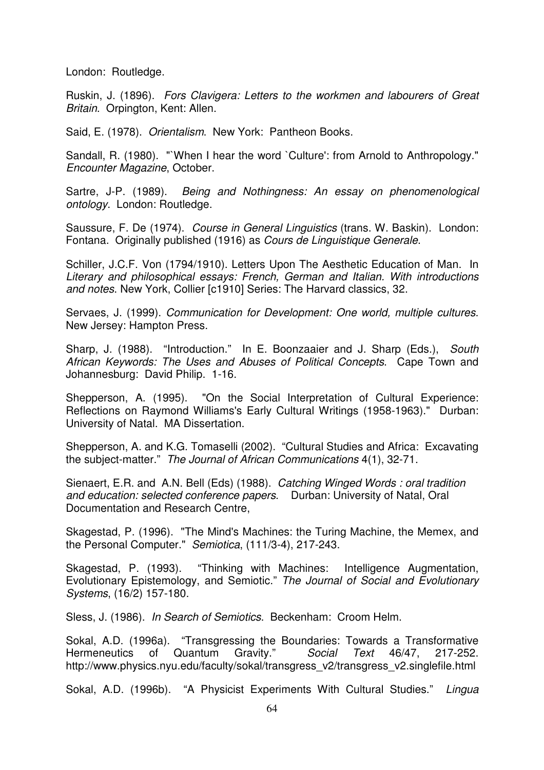London: Routledge.

Ruskin, J. (1896). *Fors Clavigera: Letters to the workmen and labourers of Great Britain*. Orpington, Kent: Allen.

Said, E. (1978). *Orientalism*. New York: Pantheon Books.

Sandall, R. (1980). "`When I hear the word `Culture': from Arnold to Anthropology." *Encounter Magazine*, October.

Sartre, J-P. (1989). *Being and Nothingness: An essay on phenomenological ontology*. London: Routledge.

Saussure, F. De (1974). *Course in General Linguistics* (trans. W. Baskin). London: Fontana. Originally published (1916) as *Cours de Linguistique Generale*.

Schiller, J.C.F. Von (1794/1910). Letters Upon The Aesthetic Education of Man. In *Literary and philosophical essays: French, German and Italian. With introductions and notes*. New York, Collier [c1910] Series: The Harvard classics, 32.

Servaes, J. (1999). *Communication for Development: One world, multiple cultures*. New Jersey: Hampton Press.

Sharp, J. (1988). "Introduction." In E. Boonzaaier and J. Sharp (Eds.), *South African Keywords: The Uses and Abuses of Political Concepts*. Cape Town and Johannesburg: David Philip. 1-16.

Shepperson, A. (1995). "On the Social Interpretation of Cultural Experience: Reflections on Raymond Williams's Early Cultural Writings (1958-1963)." Durban: University of Natal. MA Dissertation.

Shepperson, A. and K.G. Tomaselli (2002). "Cultural Studies and Africa: Excavating the subject-matter." *The Journal of African Communications* 4(1), 32-71.

Sienaert, E.R. and A.N. Bell (Eds) (1988). *Catching Winged Words : oral tradition and education: selected conference papers*. Durban: University of Natal, Oral Documentation and Research Centre,

Skagestad, P. (1996). "The Mind's Machines: the Turing Machine, the Memex, and the Personal Computer." *Semiotica*, (111/3-4), 217-243.

Skagestad, P. (1993). "Thinking with Machines: Intelligence Augmentation, Evolutionary Epistemology, and Semiotic." *The Journal of Social and Evolutionary Systems*, (16/2) 157-180.

Sless, J. (1986). *In Search of Semiotics*. Beckenham: Croom Helm.

Sokal, A.D. (1996a). "Transgressing the Boundaries: Towards a Transformative Hermeneutics of Quantum Gravity." Social Text 46/47, 217-252. Hermeneutics of Quantum Gravity." *Social Text* 46/47, 217-252. http://www.physics.nyu.edu/faculty/sokal/transgress\_v2/transgress\_v2.singlefile.html

Sokal, A.D. (1996b). "A Physicist Experiments With Cultural Studies." *Lingua*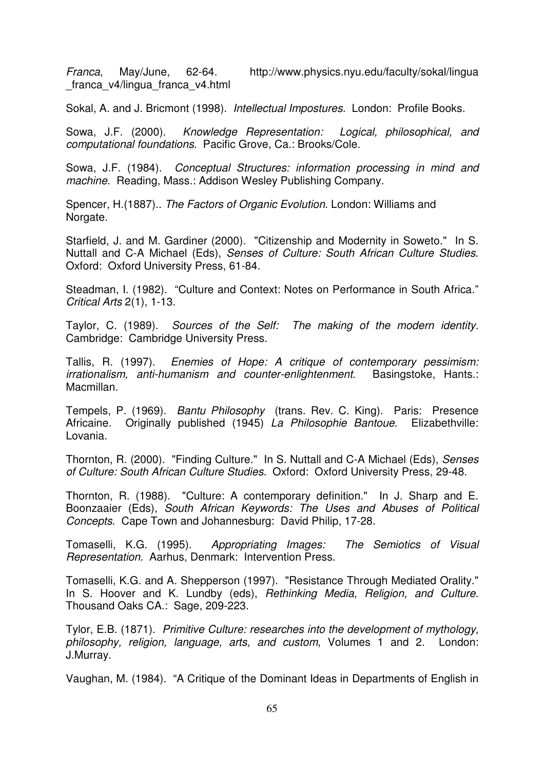*Franca*, May/June, 62-64. http://www.physics.nyu.edu/faculty/sokal/lingua franca v4/lingua franca v4.html

Sokal, A. and J. Bricmont (1998). *Intellectual Impostures*. London: Profile Books.

Sowa, J.F. (2000). *Knowledge Representation: Logical, philosophical, and computational foundations*. Pacific Grove, Ca.: Brooks/Cole.

Sowa, J.F. (1984). *Conceptual Structures: information processing in mind and machine*. Reading, Mass.: Addison Wesley Publishing Company.

Spencer, H.(1887).. *The Factors of Organic Evolution*. London: Williams and Norgate.

Starfield, J. and M. Gardiner (2000). "Citizenship and Modernity in Soweto." In S. Nuttall and C-A Michael (Eds), *Senses of Culture: South African Culture Studies*. Oxford: Oxford University Press, 61-84.

Steadman, I. (1982). "Culture and Context: Notes on Performance in South Africa." *Critical Arts* 2(1), 1-13.

Taylor, C. (1989). *Sources of the Self: The making of the modern identity*. Cambridge: Cambridge University Press.

Tallis, R. (1997). *Enemies of Hope: A critique of contemporary pessimism: irrationalism, anti-humanism and counter-enlightenment*. Basingstoke, Hants.: Macmillan.

Tempels, P. (1969). *Bantu Philosophy* (trans. Rev. C. King). Paris: Presence Africaine. Originally published (1945) *La Philosophie Bantoue*. Elizabethville: Lovania.

Thornton, R. (2000). "Finding Culture." In S. Nuttall and C-A Michael (Eds), *Senses of Culture: South African Culture Studies*. Oxford: Oxford University Press, 29-48.

Thornton, R. (1988). "Culture: A contemporary definition." In J. Sharp and E. Boonzaaier (Eds), *South African Keywords: The Uses and Abuses of Political Concepts*. Cape Town and Johannesburg: David Philip, 17-28.

Tomaselli, K.G. (1995). *Appropriating Images: The Semiotics of Visual Representation*. Aarhus, Denmark: Intervention Press.

Tomaselli, K.G. and A. Shepperson (1997). "Resistance Through Mediated Orality." In S. Hoover and K. Lundby (eds), *Rethinking Media, Religion, and Culture*. Thousand Oaks CA.: Sage, 209-223.

Tylor, E.B. (1871). *Primitive Culture: researches into the development of mythology, philosophy, religion, language, arts, and custom*, Volumes 1 and 2. London: J.Murray.

Vaughan, M. (1984). "A Critique of the Dominant Ideas in Departments of English in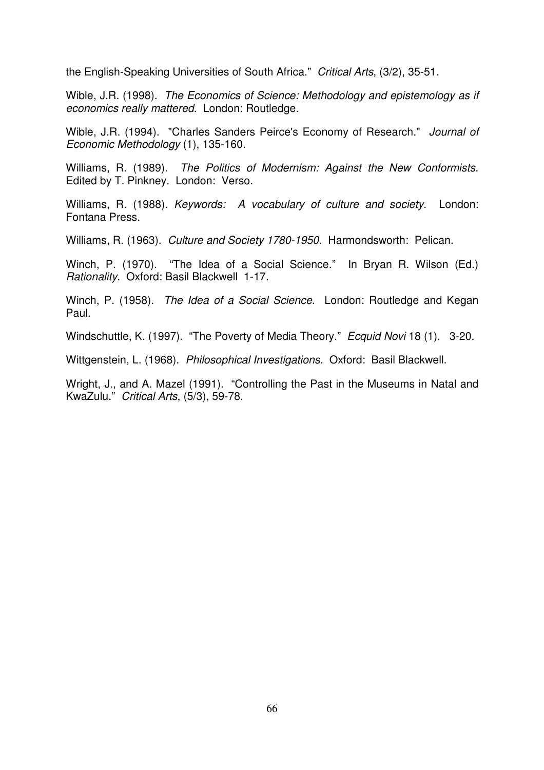the English-Speaking Universities of South Africa." *Critical Arts*, (3/2), 35-51.

Wible, J.R. (1998). *The Economics of Science: Methodology and epistemology as if economics really mattered*. London: Routledge.

Wible, J.R. (1994). "Charles Sanders Peirce's Economy of Research." *Journal of Economic Methodology* (1), 135-160.

Williams, R. (1989). *The Politics of Modernism: Against the New Conformists*. Edited by T. Pinkney. London: Verso.

Williams, R. (1988). *Keywords: A vocabulary of culture and society*. London: Fontana Press.

Williams, R. (1963). *Culture and Society 1780-1950*. Harmondsworth: Pelican.

Winch, P. (1970). "The Idea of a Social Science." In Bryan R. Wilson (Ed.) *Rationality*. Oxford: Basil Blackwell 1-17.

Winch, P. (1958). *The Idea of a Social Science*. London: Routledge and Kegan Paul.

Windschuttle, K. (1997). "The Poverty of Media Theory." *Ecquid Novi* 18 (1). 3-20.

Wittgenstein, L. (1968). *Philosophical Investigations*. Oxford: Basil Blackwell.

Wright, J., and A. Mazel (1991). "Controlling the Past in the Museums in Natal and KwaZulu." *Critical Arts*, (5/3), 59-78.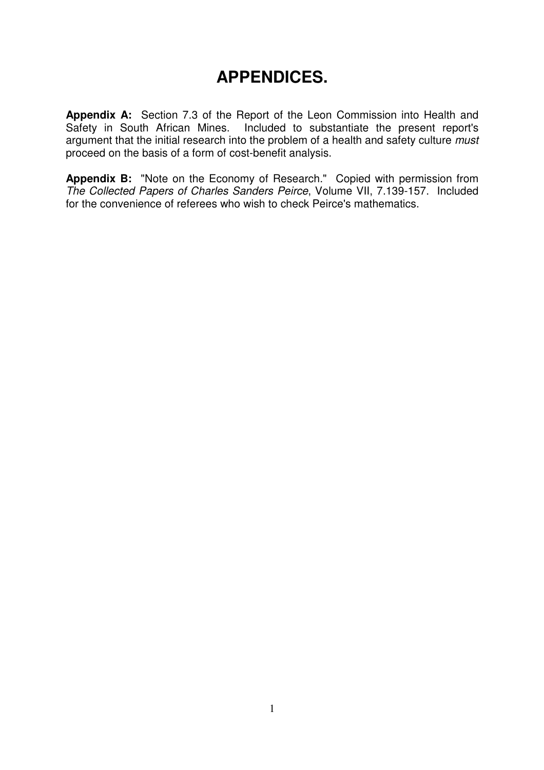# **APPENDICES.**

**Appendix A:** Section 7.3 of the Report of the Leon Commission into Health and Safety in South African Mines. Included to substantiate the present report's argument that the initial research into the problem of a health and safety culture *must* proceed on the basis of a form of cost-benefit analysis.

**Appendix B:** "Note on the Economy of Research." Copied with permission from *The Collected Papers of Charles Sanders Peirce*, Volume VII, 7.139-157. Included for the convenience of referees who wish to check Peirce's mathematics.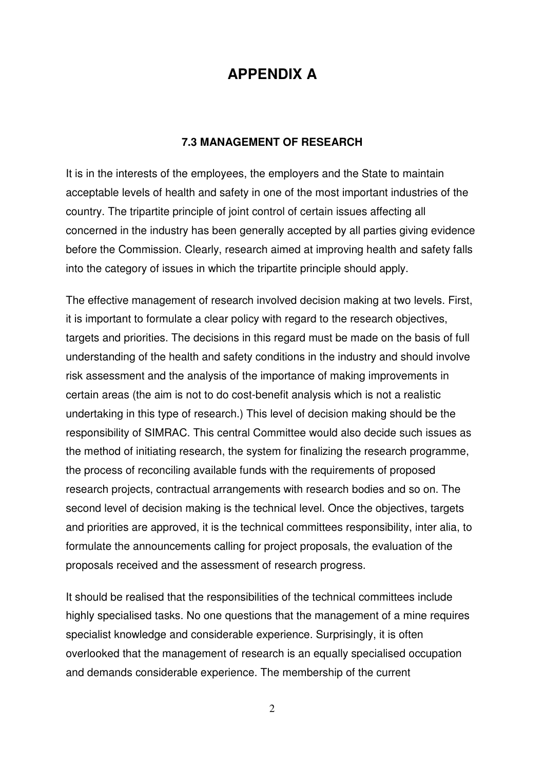## **APPENDIX A**

## **7.3 MANAGEMENT OF RESEARCH**

It is in the interests of the employees, the employers and the State to maintain acceptable levels of health and safety in one of the most important industries of the country. The tripartite principle of joint control of certain issues affecting all concerned in the industry has been generally accepted by all parties giving evidence before the Commission. Clearly, research aimed at improving health and safety falls into the category of issues in which the tripartite principle should apply.

The effective management of research involved decision making at two levels. First, it is important to formulate a clear policy with regard to the research objectives, targets and priorities. The decisions in this regard must be made on the basis of full understanding of the health and safety conditions in the industry and should involve risk assessment and the analysis of the importance of making improvements in certain areas (the aim is not to do cost-benefit analysis which is not a realistic undertaking in this type of research.) This level of decision making should be the responsibility of SIMRAC. This central Committee would also decide such issues as the method of initiating research, the system for finalizing the research programme, the process of reconciling available funds with the requirements of proposed research projects, contractual arrangements with research bodies and so on. The second level of decision making is the technical level. Once the objectives, targets and priorities are approved, it is the technical committees responsibility, inter alia, to formulate the announcements calling for project proposals, the evaluation of the proposals received and the assessment of research progress.

It should be realised that the responsibilities of the technical committees include highly specialised tasks. No one questions that the management of a mine requires specialist knowledge and considerable experience. Surprisingly, it is often overlooked that the management of research is an equally specialised occupation and demands considerable experience. The membership of the current

2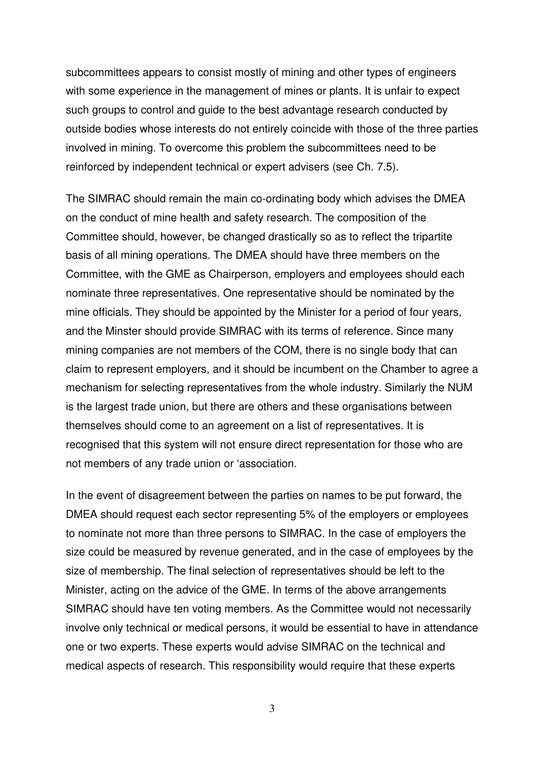subcommittees appears to consist mostly of mining and other types of engineers with some experience in the management of mines or plants. It is unfair to expect such groups to control and guide to the best advantage research conducted by outside bodies whose interests do not entirely coincide with those of the three parties involved in mining. To overcome this problem the subcommittees need to be reinforced by independent technical or expert advisers (see Ch. 7.5).

The SIMRAC should remain the main co-ordinating body which advises the DMEA on the conduct of mine health and safety research. The composition of the Committee should, however, be changed drastically so as to reflect the tripartite basis of all mining operations. The DMEA should have three members on the Committee, with the GME as Chairperson, employers and employees should each nominate three representatives. One representative should be nominated by the mine officials. They should be appointed by the Minister for a period of four years, and the Minster should provide SIMRAC with its terms of reference. Since many mining companies are not members of the COM, there is no single body that can claim to represent employers, and it should be incumbent on the Chamber to agree a mechanism for selecting representatives from the whole industry. Similarly the NUM is the largest trade union, but there are others and these organisations between themselves should come to an agreement on a list of representatives. It is recognised that this system will not ensure direct representation for those who are not members of any trade union or 'association.

In the event of disagreement between the parties on names to be put forward, the DMEA should request each sector representing 5% of the employers or employees to nominate not more than three persons to SIMRAC. In the case of employers the size could be measured by revenue generated, and in the case of employees by the size of membership. The final selection of representatives should be left to the Minister, acting on the advice of the GME. In terms of the above arrangements SIMRAC should have ten voting members. As the Committee would not necessarily involve only technical or medical persons, it would be essential to have in attendance one or two experts. These experts would advise SIMRAC on the technical and medical aspects of research. This responsibility would require that these experts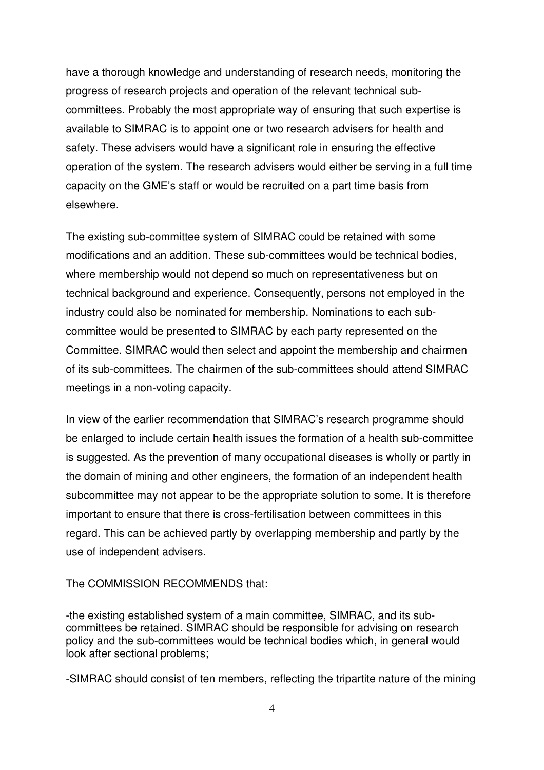have a thorough knowledge and understanding of research needs, monitoring the progress of research projects and operation of the relevant technical subcommittees. Probably the most appropriate way of ensuring that such expertise is available to SIMRAC is to appoint one or two research advisers for health and safety. These advisers would have a significant role in ensuring the effective operation of the system. The research advisers would either be serving in a full time capacity on the GME's staff or would be recruited on a part time basis from elsewhere.

The existing sub-committee system of SIMRAC could be retained with some modifications and an addition. These sub-committees would be technical bodies, where membership would not depend so much on representativeness but on technical background and experience. Consequently, persons not employed in the industry could also be nominated for membership. Nominations to each subcommittee would be presented to SIMRAC by each party represented on the Committee. SIMRAC would then select and appoint the membership and chairmen of its sub-committees. The chairmen of the sub-committees should attend SIMRAC meetings in a non-voting capacity.

In view of the earlier recommendation that SIMRAC's research programme should be enlarged to include certain health issues the formation of a health sub-committee is suggested. As the prevention of many occupational diseases is wholly or partly in the domain of mining and other engineers, the formation of an independent health subcommittee may not appear to be the appropriate solution to some. It is therefore important to ensure that there is cross-fertilisation between committees in this regard. This can be achieved partly by overlapping membership and partly by the use of independent advisers.

## The COMMISSION RECOMMENDS that:

-the existing established system of a main committee, SIMRAC, and its subcommittees be retained. SIMRAC should be responsible for advising on research policy and the sub-committees would be technical bodies which, in general would look after sectional problems;

-SIMRAC should consist of ten members, reflecting the tripartite nature of the mining